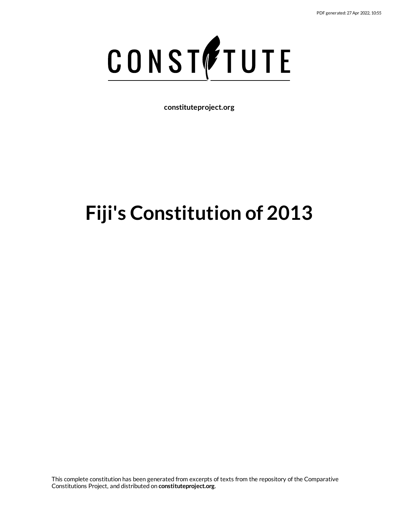

**constituteproject.org**

# **Fiji's Constitution of 2013**

This complete constitution has been generated from excerpts of texts from the repository of the Comparative Constitutions Project, and distributed on **constituteproject.org**.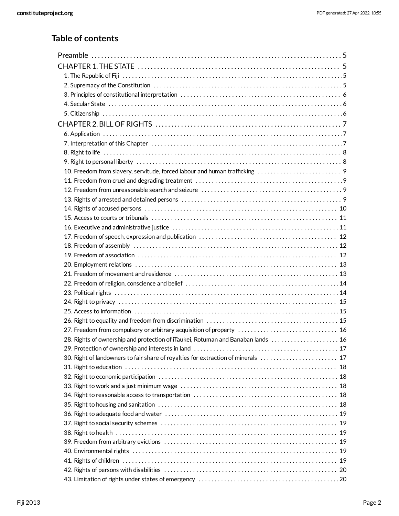### **Table of contents**

| 28. Rights of ownership and protection of iTaukei, Rotuman and Banaban lands  16  |  |
|-----------------------------------------------------------------------------------|--|
|                                                                                   |  |
| 30. Right of landowners to fair share of royalties for extraction of minerals  17 |  |
| 31. Right to education ………………………………………………………………………………………18                        |  |
|                                                                                   |  |
|                                                                                   |  |
|                                                                                   |  |
|                                                                                   |  |
|                                                                                   |  |
|                                                                                   |  |
|                                                                                   |  |
|                                                                                   |  |
|                                                                                   |  |
|                                                                                   |  |
|                                                                                   |  |
|                                                                                   |  |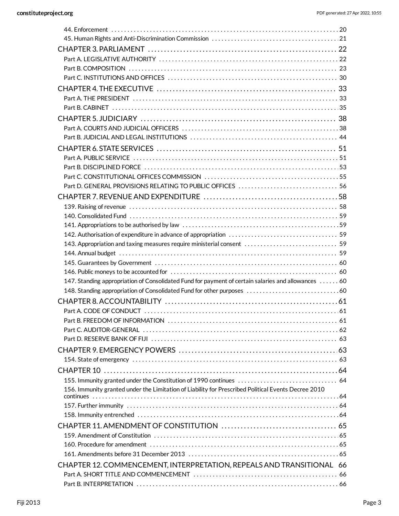| 147. Standing appropriation of Consolidated Fund for payment of certain salaries and allowances  60                                                                                                                            |  |
|--------------------------------------------------------------------------------------------------------------------------------------------------------------------------------------------------------------------------------|--|
|                                                                                                                                                                                                                                |  |
|                                                                                                                                                                                                                                |  |
|                                                                                                                                                                                                                                |  |
|                                                                                                                                                                                                                                |  |
|                                                                                                                                                                                                                                |  |
|                                                                                                                                                                                                                                |  |
|                                                                                                                                                                                                                                |  |
|                                                                                                                                                                                                                                |  |
|                                                                                                                                                                                                                                |  |
|                                                                                                                                                                                                                                |  |
| 156. Immunity granted under the Limitation of Liability for Prescribed Political Events Decree 2010                                                                                                                            |  |
|                                                                                                                                                                                                                                |  |
|                                                                                                                                                                                                                                |  |
|                                                                                                                                                                                                                                |  |
|                                                                                                                                                                                                                                |  |
| 160. Procedure for amendment (and accommodation of the contract of the contract of the contract of the contract of the contract of the contract of the contract of the contract of the contract of the contract of the contrac |  |
|                                                                                                                                                                                                                                |  |
| CHAPTER 12. COMMENCEMENT, INTERPRETATION, REPEALS AND TRANSITIONAL 66                                                                                                                                                          |  |
|                                                                                                                                                                                                                                |  |
|                                                                                                                                                                                                                                |  |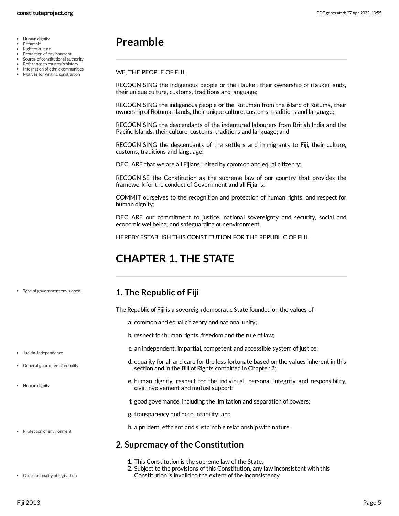- Human dignity
- Preamble
- Right to culture
- Protection of environment
- Source of constitutional authority Reference to country's history
- Integration of ethnic communities
- Motives for writing constitution

# <span id="page-4-0"></span>**Preamble**

RECOGNISING the indigenous people or the iTaukei, their ownership of iTaukei lands, their unique culture, customs, traditions and language;

RECOGNISING the indigenous people or the Rotuman from the island of Rotuma, their ownership of Rotuman lands, their unique culture, customs, traditions and language;

RECOGNISING the descendants of the indentured labourers from British India and the Pacific Islands, their culture, customs, traditions and language; and

RECOGNISING the descendants of the settlers and immigrants to Fiji, their culture, customs, traditions and language,

DECLARE that we are all Fijians united by common and equal citizenry;

RECOGNISE the Constitution as the supreme law of our country that provides the framework for the conduct of Government and all Fijians;

COMMIT ourselves to the recognition and protection of human rights, and respect for human dignity;

DECLARE our commitment to justice, national sovereignty and security, social and economic wellbeing, and safeguarding our environment,

HEREBY ESTABLISH THIS CONSTITUTION FOR THE REPUBLIC OF FIJI.

# <span id="page-4-1"></span>**CHAPTER 1. THE STATE**

| Type of government envisioned |  |
|-------------------------------|--|
|-------------------------------|--|

### <span id="page-4-2"></span>**1. The Republic of Fiji**

The Republic of Fiji is a sovereign democratic State founded on the values of-

- **a.** common and equal citizenry and national unity;
- **b.** respect for human rights, freedom and the rule of law;
- **c.** an independent, impartial, competent and accessible system of justice;
- **d.** equality for all and care for the less fortunate based on the values inherent in this section and in the Bill of Rights contained in Chapter 2;
- **e.** human dignity, respect for the individual, personal integrity and responsibility, civic involvement and mutual support;
- **f.** good governance, including the limitation and separation of powers;
- **g.** transparency and accountability; and
- **h.** a prudent, efficient and sustainable relationship with nature.

### <span id="page-4-3"></span>**2. Supremacy of the Constitution**

- **1.** This Constitution is the supreme law of the State.
- **2.** Subject to the provisions of this Constitution, any law inconsistent with this Constitution is invalid to the extent of the inconsistency.

• Protection of environment

Constitutionality of legislation

Judicial independence

• Human dignity

General guarantee of equality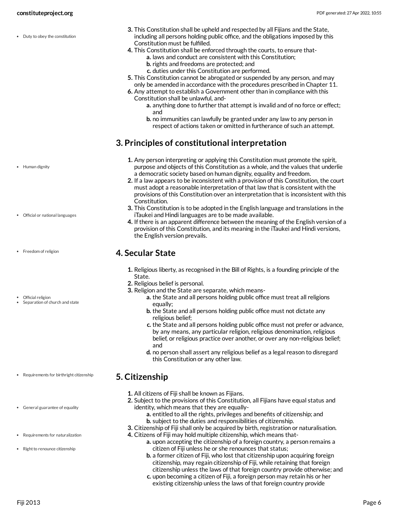Duty to obey the constitution

- **3.** This Constitution shall be upheld and respected by all Fijians and the State, including all persons holding public office, and the obligations imposed by this Constitution must be fulfilled.
- **4.** This Constitution shall be enforced through the courts, to ensure that**a.** laws and conduct are consistent with this Constitution;
	- **b.** rights and freedoms are protected; and
	- **c.** duties under this Constitution are performed.
- **5.** This Constitution cannot be abrogated or suspended by any person, and may
- only be amended in accordance with the procedures prescribed in Chapter 11. **6.** Any attempt to establish a Government other than in compliance with this Constitution shall be unlawful, and
	- **a.** anything done to further that attempt is invalid and of no force or effect; and
	- **b.** no immunities can lawfully be granted under any law to any person in respect of actions taken or omitted in furtherance of such an attempt.

### <span id="page-5-0"></span>**3. Principles of constitutional interpretation**

- **1.** Any person interpreting or applying this Constitution must promote the spirit, purpose and objects of this Constitution as a whole, and the values that underlie a democratic society based on human dignity, equality and freedom.
- **2.** If a law appears to be inconsistent with a provision of this Constitution, the court must adopt a reasonable interpretation of that law that is consistent with the provisions of this Constitution over an interpretation that is inconsistent with this Constitution.
- **3.** This Constitution is to be adopted in the English language and translations in the iTaukei and Hindi languages are to be made available.
- **4.** If there is an apparent difference between the meaning of the English version of a provision of this Constitution, and its meaning in the iTaukei and Hindi versions, the English version prevails.

### <span id="page-5-1"></span>**4. Secular State**

- **1.** Religious liberty, as recognised in the Bill of Rights, is a founding principle of the State.
- **2.** Religious belief is personal.
- **3.** Religion and the State are separate, which means
	- **a.** the State and all persons holding public office must treat all religions equally;
	- **b.** the State and all persons holding public office must not dictate any religious belief;
	- **c.** the State and all persons holding public office must not prefer or advance, by any means, any particular religion, religious denomination, religious belief, or religious practice over another, or over any non-religious belief; and
	- **d.** no person shall assert any religious belief as a legal reason to disregard this Constitution or any other law.

### <span id="page-5-2"></span>**5. Citizenship**

- **1.** All citizens of Fiji shall be known as Fijians.
- **2.** Subject to the provisions of this Constitution, all Fijians have equal status and identity, which means that they are equally
	- **a.** entitled to all the rights, privileges and benefits of citizenship; and **b.** subject to the duties and responsibilities of citizenship.
- **3.** Citizenship of Fiji shall only be acquired by birth, registration or naturalisation.
- **4.** Citizens of Fiji may hold multiple citizenship, which means that**a.** upon accepting the citizenship of a foreign country, a person remains a
	- citizen of Fiji unless he or she renounces that status;
	- **b.** a former citizen of Fiji, who lost that citizenship upon acquiring foreign citizenship, may regain citizenship of Fiji, while retaining that foreign citizenship unless the laws of that foreign country provide otherwise; and
	- **c.** upon becoming a citizen of Fiji, a foreign person may retain his or her existing citizenship unless the laws of that foreign country provide
- Human dignity
- Official or national languages
- Freedom of religion
- Official religion
- Separation of church and state

- Requirements for birthright citizenship
- General guarantee of equality
- Requirements for naturalization
- Right to renounce citizenship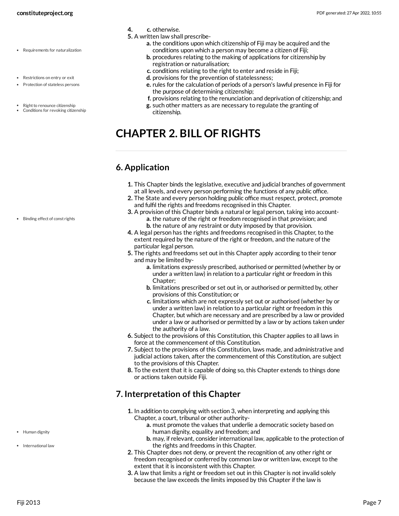- Requirements for naturalization
- Restrictions on entry or exit
- Protection of stateless persons
- Right to renounce citizenship

• Binding effect of const rights

- Conditions for revoking citizenship
- <span id="page-6-0"></span>**CHAPTER 2. BILL OF RIGHTS**

registration or naturalisation;

### <span id="page-6-1"></span>**6. Application**

**4. c.** otherwise.

**5.** A written law shall prescribe-

citizenship.

**1.** This Chapter binds the legislative, executive and judicial branches of government at all levels, and every person performing the functions of any public office.

**a.** the conditions upon which citizenship of Fiji may be acquired and the conditions upon which a person may become a citizen of Fiji; **b.** procedures relating to the making of applications for citizenship by

**e.** rules for the calculation of periods of a person's lawful presence in Fiji for

**f.** provisions relating to the renunciation and deprivation of citizenship; and

**g.** such other matters as are necessary to regulate the granting of

**c.** conditions relating to the right to enter and reside in Fiji;

**d.** provisions for the prevention of statelessness;

the purpose of determining citizenship;

- **2.** The State and every person holding public office must respect, protect, promote and fulfil the rights and freedoms recognised in this Chapter.
- **3.** A provision of this Chapter binds a natural or legal person, taking into account**a.** the nature of the right or freedom recognised in that provision; and **b.** the nature of any restraint or duty imposed by that provision.
- **4.** A legal person has the rights and freedoms recognised in this Chapter, to the extent required by the nature of the right or freedom, and the nature of the particular legal person.
- **5.** The rights and freedoms set out in this Chapter apply according to their tenor and may be limited by
	- **a.** limitations expressly prescribed, authorised or permitted (whether by or under a written law) in relation to a particular right or freedom in this Chapter;
	- **b.** limitations prescribed or set out in, or authorised or permitted by, other provisions of this Constitution; or
	- **c.** limitations which are not expressly set out or authorised (whether by or under a written law) in relation to a particular right or freedom in this Chapter, but which are necessary and are prescribed by a law or provided under a law or authorised or permitted by a law or by actions taken under the authority of a law.
- **6.** Subject to the provisions of this Constitution, this Chapter applies to all laws in force at the commencement of this Constitution.
- **7.** Subject to the provisions of this Constitution, laws made, and administrative and judicial actions taken, after the commencement of this Constitution, are subject to the provisions of this Chapter.
- **8.** To the extent that it is capable of doing so, this Chapter extends to things done or actions taken outside Fiji.

### <span id="page-6-2"></span>**7. Interpretation of this Chapter**

- **1.** In addition to complying with section 3, when interpreting and applying this Chapter, a court, tribunal or other authority
	- **a.** must promote the values that underlie a democratic society based on human dignity, equality and freedom; and
	- **b.** may, if relevant, consider international law, applicable to the protection of the rights and freedoms in this Chapter.
- **2.** This Chapter does not deny, or prevent the recognition of, any other right or freedom recognised or conferred by common law or written law, except to the extent that it is inconsistent with this Chapter.
- **3.** A law that limits a right or freedom set out in this Chapter is not invalid solely because the law exceeds the limits imposed by this Chapter if the law is
- Human dignity
- International law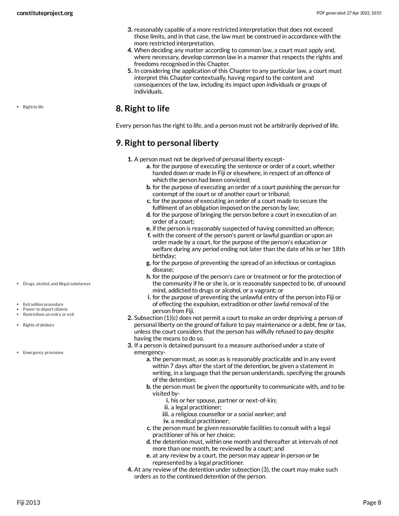- **3.** reasonably capable of a more restricted interpretation that does not exceed those limits, and in that case, the law must be construed in accordance with the more restricted interpretation.
- **4.** When deciding any matter according to common law, a court must apply and, where necessary, develop common law in a manner that respects the rights and freedoms recognised in this Chapter.
- **5.** In considering the application of this Chapter to any particular law, a court must interpret this Chapter contextually, having regard to the content and consequences of the law, including its impact upon individuals or groups of individuals.

### <span id="page-7-0"></span>**8. Right to life**

Every person has the right to life, and a person must not be arbitrarily deprived of life.

### <span id="page-7-1"></span>**9. Right to personal liberty**

- **1.** A person must not be deprived of personal liberty except
	- **a.** for the purpose of executing the sentence or order of a court, whether handed down or made in Fiji or elsewhere, in respect of an offence of which the person had been convicted;
	- **b.** for the purpose of executing an order of a court punishing the person for contempt of the court or of another court or tribunal;
	- **c.** for the purpose of executing an order of a court made to secure the fulfilment of an obligation imposed on the person by law;
	- **d.** for the purpose of bringing the person before a court in execution of an order of a court;
	- **e.** if the person is reasonably suspected of having committed an offence;
	- **f.** with the consent of the person's parent or lawful guardian or upon an order made by a court, for the purpose of the person's education or welfare during any period ending not later than the date of his or her 18th birthday;
	- **g.** for the purpose of preventing the spread of an infectious or contagious disease;
	- **h.** for the purpose of the person's care or treatment or for the protection of the community if he or she is, or is reasonably suspected to be, of unsound mind, addicted to drugs or alcohol, or a vagrant; or
	- **i.** for the purpose of preventing the unlawful entry of the person into Fiji or of effecting the expulsion, extradition or other lawful removal of the person from Fiji.
- **2.** Subsection (1)(c) does not permit a court to make an order depriving a person of personal liberty on the ground of failure to pay maintenance or a debt, fine or tax, unless the court considers that the person has wilfully refused to pay despite having the means to do so.
- **3.** If a person is detained pursuant to a measure authorised under a state of emergency
	- **a.** the person must, as soon as is reasonably practicable and in any event within 7 days after the start of the detention, be given a statement in writing, in a language that the person understands, specifying the grounds of the detention;
	- **b.** the person must be given the opportunity to communicate with, and to be visited by
		- **i.** his or her spouse, partner or next-of-kin;
		- **ii.** a legal practitioner;
		- **iii.** a religious counsellor or a social worker; and
		- **iv.** a medical practitioner;
	- **c.** the person must be given reasonable facilities to consult with a legal practitioner of his or her choice;
	- **d.** the detention must, within one month and thereafter at intervals of not more than one month, be reviewed by a court; and
	- **e.** at any review by a court, the person may appear in person or be represented by a legal practitioner.
- **4.** At any review of the detention under subsection (3), the court may make such orders as to the continued detention of the person.

• Right to life

- Drugs, alcohol, and illegal substances
- Extradition procedure
- Power to deport citizens Restrictions on entry or exit
- Rights of debtors
- Emergency provisions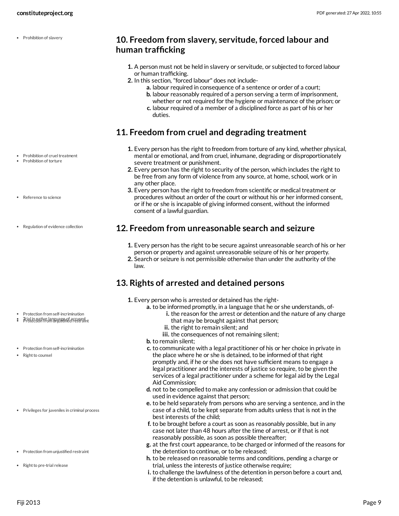### <span id="page-8-0"></span>**10. Freedom from slavery, servitude, forced labour and human trafficking**

- **1.** A person must not be held in slavery or servitude, or subjected to forced labour or human trafficking.
- **2.** In this section, "forced labour" does not include
	- **a.** labour required in consequence of a sentence or order of a court: **b.** labour reasonably required of a person serving a term of imprisonment,
	- whether or not required for the hygiene or maintenance of the prison; or **c.** labour required of a member of a disciplined force as part of his or her
	- duties.

### <span id="page-8-1"></span>**11. Freedom from cruel and degrading treatment**

- **1.** Every person has the right to freedom from torture of any kind, whether physical, mental or emotional, and from cruel, inhumane, degrading or disproportionately severe treatment or punishment.
- **2.** Every person has the right to security of the person, which includes the right to be free from any form of violence from any source, at home, school, work or in any other place.
- **3.** Every person has the right to freedom from scientific or medical treatment or procedures without an order of the court or without his or her informed consent, or if he or she is incapable of giving informed consent, without the informed consent of a lawful guardian.

### <span id="page-8-2"></span>**12. Freedom from unreasonable search and seizure**

- **1.** Every person has the right to be secure against unreasonable search of his or her person or property and against unreasonable seizure of his or her property.
- **2.** Search or seizure is not permissible otherwise than under the authority of the law.

### <span id="page-8-3"></span>**13. Rights of arrested and detained persons**

- **1.** Every person who is arrested or detained has the right
	- **a.** to be informed promptly, in a language that he or she understands, of
		- **i.** the reason for the arrest or detention and the nature of any charge that may be brought against that person;
		- **ii.** the right to remain silent; and
		- **iii.** the consequences of not remaining silent;
	- **b.** to remain silent;
	- **c.** to communicate with a legal practitioner of his or her choice in private in the place where he or she is detained, to be informed of that right promptly and, if he or she does not have sufficient means to engage a legal practitioner and the interests of justice so require, to be given the services of a legal practitioner under a scheme for legal aid by the Legal Aid Commission;
	- **d.** not to be compelled to make any confession or admission that could be used in evidence against that person;
	- **e.** to be held separately from persons who are serving a sentence, and in the case of a child, to be kept separate from adults unless that is not in the best interests of the child;
	- **f.** to be brought before a court as soon as reasonably possible, but in any case not later than 48 hours after the time of arrest, or if that is not reasonably possible, as soon as possible thereafter;
	- **g.** at the first court appearance, to be charged or informed of the reasons for the detention to continue, or to be released;
	- **h.** to be released on reasonable terms and conditions, pending a charge or trial, unless the interests of justice otherwise require;
	- **i.** to challenge the lawfulness of the detention in person before a court and, if the detention is unlawful, to be released;
- Prohibition of cruel treatment Prohibition of torture
- 
- Reference to science
- Regulation of evidence collection

- Protection from self-incrimination
- \* **Prial in native language of accused restraint**
- Protection from self-incrimination
- Right to counsel
- Privileges for juveniles in criminal process
- Protection from unjustified restraint
- Right to pre-trial release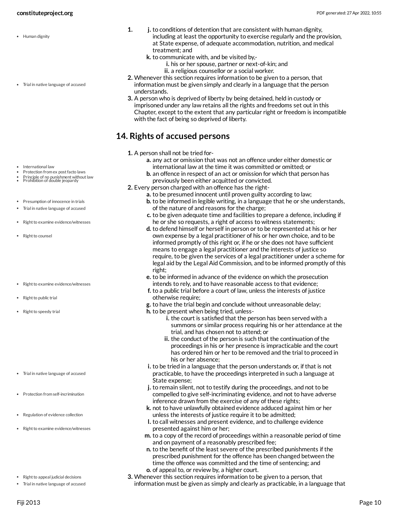- Human dignity
- Trial in native language of accused

- International law
- Protection from ex post facto laws
- Principle of no punishment without law<br>Prohibition of double jeopardy
- Presumption of innocence in trials
- Trial in native language of accused
- Right to examine evidence/witnesses
- Right to counsel
- Right to examine evidence/witnesses
- Right to public trial
- Right to speedy trial

- Trial in native language of accused
- Protection from self-incrimination
- Regulation of evidence collection
- Right to examine evidence/witnesses
- $\cdot$  Right to appeal judicial decisions
- Trial in native language of accused
- **1. j.** to conditions of detention that are consistent with human dignity, including at least the opportunity to exercise regularly and the provision, at State expense, of adequate accommodation, nutrition, and medical treatment; and
	- **k.** to communicate with, and be visited by,
		- **i.** his or her spouse, partner or next-of-kin; and
		- **ii.** a religious counsellor or a social worker.
- **2.** Whenever this section requires information to be given to a person, that information must be given simply and clearly in a language that the person understands.
- **3.** A person who is deprived of liberty by being detained, held in custody or imprisoned under any law retains all the rights and freedoms set out in this Chapter, except to the extent that any particular right or freedom is incompatible with the fact of being so deprived of liberty.

### <span id="page-9-0"></span>**14. Rights of accused persons**

- **1.** A person shall not be tried for
	- **a.** any act or omission that was not an offence under either domestic or international law at the time it was committed or omitted; or
	- **b.** an offence in respect of an act or omission for which that person has previously been either acquitted or convicted.
- **2.** Every person charged with an offence has the right
	- **a.** to be presumed innocent until proven guilty according to law;
	- **b.** to be informed in legible writing, in a language that he or she understands, of the nature of and reasons for the charge;
	- **c.** to be given adequate time and facilities to prepare a defence, including if he or she so requests, a right of access to witness statements;
	- **d.** to defend himself or herself in person or to be represented at his or her own expense by a legal practitioner of his or her own choice, and to be informed promptly of this right or, if he or she does not have sufficient means to engage a legal practitioner and the interests of justice so require, to be given the services of a legal practitioner under a scheme for legal aid by the Legal Aid Commission, and to be informed promptly of this right;
	- **e.** to be informed in advance of the evidence on which the prosecution intends to rely, and to have reasonable access to that evidence;
	- **f.** to a public trial before a court of law, unless the interests of justice otherwise require;
	- **g.** to have the trial begin and conclude without unreasonable delay;
	- **h.** to be present when being tried, unless
		- **i.** the court is satisfied that the person has been served with a summons or similar process requiring his or her attendance at the trial, and has chosen not to attend; or
		- **ii.** the conduct of the person is such that the continuation of the proceedings in his or her presence is impracticable and the court has ordered him or her to be removed and the trial to proceed in his or her absence;
	- **i.** to be tried in a language that the person understands or, if that is not practicable, to have the proceedings interpreted in such a language at State expense;
	- **j.** to remain silent, not to testify during the proceedings, and not to be compelled to give self-incriminating evidence, and not to have adverse inference drawn from the exercise of any of these rights;
	- **k.** not to have unlawfully obtained evidence adduced against him or her unless the interests of justice require it to be admitted;
	- **l.** to call witnesses and present evidence, and to challenge evidence presented against him or her;
	- **m.** to a copy of the record of proceedings within a reasonable period of time and on payment of a reasonably prescribed fee;
	- **n.** to the benefit of the least severe of the prescribed punishments if the prescribed punishment for the offence has been changed between the time the offence was committed and the time of sentencing; and **o.** of appeal to, or review by, a higher court.
- **3.** Whenever this section requires information to be given to a person, that information must be given as simply and clearly as practicable, in a language that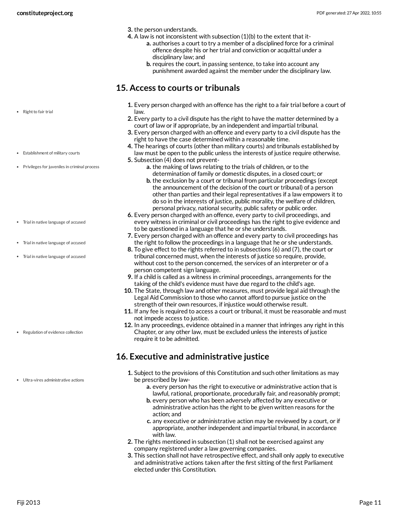- **3.** the person understands.
- **4.** A law is not inconsistent with subsection (1)(b) to the extent that it
	- **a.** authorises a court to try a member of a disciplined force for a criminal offence despite his or her trial and conviction or acquittal under a disciplinary law; and
	- **b.** requires the court, in passing sentence, to take into account any punishment awarded against the member under the disciplinary law.

### <span id="page-10-0"></span>**15. Access to courts or tribunals**

- Right to fair trial
- Establishment of military courts
- Privileges for juveniles in criminal process
- Trial in native language of accused
- Trial in native language of accused
- Trial in native language of accused

- Regulation of evidence collection
- Ultra-vires administrative actions
- **1.** Every person charged with an offence has the right to a fair trial before a court of law.
- **2.** Every party to a civil dispute has the right to have the matter determined by a court of law or if appropriate, by an independent and impartial tribunal.
- **3.** Every person charged with an offence and every party to a civil dispute has the right to have the case determined within a reasonable time.
- **4.** The hearings of courts (other than military courts) and tribunals established by law must be open to the public unless the interests of justice require otherwise.
- **5.** Subsection (4) does not prevent
	- **a.** the making of laws relating to the trials of children, or to the determination of family or domestic disputes, in a closed court; or
		- **b.** the exclusion by a court or tribunal from particular proceedings (except the announcement of the decision of the court or tribunal) of a person other than parties and their legal representatives if a law empowers it to do so in the interests of justice, public morality, the welfare of children, personal privacy, national security, public safety or public order.
- **6.** Every person charged with an offence, every party to civil proceedings, and every witness in criminal or civil proceedings has the right to give evidence and to be questioned in a language that he or she understands.
- **7.** Every person charged with an offence and every party to civil proceedings has the right to follow the proceedings in a language that he or she understands.
- **8.** To give effect to the rights referred to in subsections (6) and (7), the court or tribunal concerned must, when the interests of justice so require, provide, without cost to the person concerned, the services of an interpreter or of a person competent sign language.
- **9.** If a child is called as a witness in criminal proceedings, arrangements for the taking of the child's evidence must have due regard to the child's age.
- **10.** The State, through law and other measures, must provide legal aid through the Legal Aid Commission to those who cannot afford to pursue justice on the strength of their own resources, if injustice would otherwise result.
- **11.** If any fee is required to access a court or tribunal, it must be reasonable and must not impede access to justice.
- **12.** In any proceedings, evidence obtained in a manner that infringes any right in this Chapter, or any other law, must be excluded unless the interests of justice require it to be admitted.

### <span id="page-10-1"></span>**16. Executive and administrative justice**

- **1.** Subject to the provisions of this Constitution and such other limitations as may be prescribed by law
	- **a.** every person has the right to executive or administrative action that is lawful, rational, proportionate, procedurally fair, and reasonably prompt;
	- **b.** every person who has been adversely affected by any executive or administrative action has the right to be given written reasons for the action; and
	- **c.** any executive or administrative action may be reviewed by a court, or if appropriate, another independent and impartial tribunal, in accordance with law.
- **2.** The rights mentioned in subsection (1) shall not be exercised against any company registered under a law governing companies.
- **3.** This section shall not have retrospective effect, and shall only apply to executive and administrative actions taken after the first sitting of the first Parliament elected under this Constitution.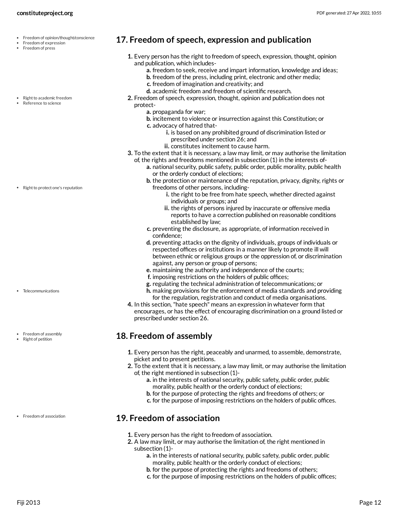- Freedom of opinion/thought/conscience
- Freedom of expression
- Freedom of press
- Right to academic freedom
- Reference to science

• Right to protect one's reputation

- Telecommunications
- Freedom of assembly

• Freedom of association

Right of petition

### <span id="page-11-0"></span>**17. Freedom of speech, expression and publication**

- **1.** Every person has the right to freedom of speech, expression, thought, opinion and publication, which includes
	- **a.** freedom to seek, receive and impart information, knowledge and ideas;
	- **b.** freedom of the press, including print, electronic and other media;
	- **c.** freedom of imagination and creativity; and
	- **d.** academic freedom and freedom of scientific research.
- **2.** Freedom of speech, expression, thought, opinion and publication does not protect
	- **a.** propaganda for war;
	- **b.** incitement to violence or insurrection against this Constitution; or
	- **c.** advocacy of hatred that
		- **i.** is based on any prohibited ground of discrimination listed or prescribed under section 26; and
		- **ii.** constitutes incitement to cause harm.
- **3.** To the extent that it is necessary, a law may limit, or may authorise the limitation
	- of, the rights and freedoms mentioned in subsection (1) in the interests of**a.** national security, public safety, public order, public morality, public health
		- or the orderly conduct of elections; **b.** the protection or maintenance of the reputation, privacy, dignity, rights or freedoms of other persons, including
			- **i.** the right to be free from hate speech, whether directed against individuals or groups; and
			- **ii.** the rights of persons injured by inaccurate or offensive media reports to have a correction published on reasonable conditions established by law;
		- **c.** preventing the disclosure, as appropriate, of information received in confidence;
		- **d.** preventing attacks on the dignity of individuals, groups of individuals or respected offices or institutions in a manner likely to promote ill will between ethnic or religious groups or the oppression of, or discrimination against, any person or group of persons;
		- **e.** maintaining the authority and independence of the courts;
		- **f.** imposing restrictions on the holders of public offices;
		- **g.** regulating the technical administration of telecommunications; or
		- **h.** making provisions for the enforcement of media standards and providing for the regulation, registration and conduct of media organisations.
- **4.** In this section, "hate speech" means an expression in whatever form that encourages, or has the effect of encouraging discrimination on a ground listed or prescribed under section 26.

### <span id="page-11-1"></span>**18. Freedom of assembly**

- **1.** Every person has the right, peaceably and unarmed, to assemble, demonstrate, picket and to present petitions.
- **2.** To the extent that it is necessary, a law may limit, or may authorise the limitation of, the right mentioned in subsection (1)
	- **a.** in the interests of national security, public safety, public order, public morality, public health or the orderly conduct of elections;
	- **b.** for the purpose of protecting the rights and freedoms of others; or
	- **c.** for the purpose of imposing restrictions on the holders of public offices.

### <span id="page-11-2"></span>**19. Freedom of association**

- **1.** Every person has the right to freedom of association.
- **2.** A law may limit, or may authorise the limitation of, the right mentioned in subsection (1)
	- **a.** in the interests of national security, public safety, public order, public morality, public health or the orderly conduct of elections;
	- **b.** for the purpose of protecting the rights and freedoms of others;
	- **c.** for the purpose of imposing restrictions on the holders of public offices;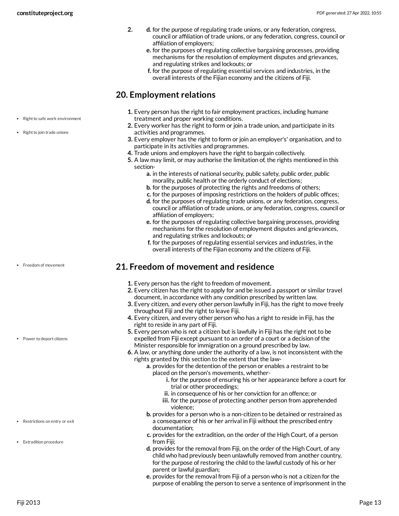- **2. d.** for the purpose of regulating trade unions, or any federation, congress, council or affiliation of trade unions, or any federation, congress, council or affiliation of employers;
	- **e.** for the purposes of regulating collective bargaining processes, providing mechanisms for the resolution of employment disputes and grievances, and regulating strikes and lockouts; or
	- **f.** for the purpose of regulating essential services and industries, in the overall interests of the Fijian economy and the citizens of Fiji.

### <span id="page-12-0"></span>**20. Employment relations**

- **1.** Every person has the right to fair employment practices, including humane treatment and proper working conditions.
- **2.** Every worker has the right to form or join a trade union, and participate in its activities and programmes.
- **3.** Every employer has the right to form or join an employer's' organisation, and to participate in its activities and programmes.
- **4.** Trade unions and employers have the right to bargain collectively.
- **5.** A law may limit, or may authorise the limitation of, the rights mentioned in this section
	- **a.** in the interests of national security, public safety, public order, public morality, public health or the orderly conduct of elections;
	- **b.** for the purposes of protecting the rights and freedoms of others;
	- **c.** for the purposes of imposing restrictions on the holders of public offices;
	- **d.** for the purposes of regulating trade unions, or any federation, congress, council or affiliation of trade unions, or any federation, congress, council or affiliation of employers;
	- **e.** for the purposes of regulating collective bargaining processes, providing mechanisms for the resolution of employment disputes and grievances, and regulating strikes and lockouts; or
	- **f.** for the purposes of regulating essential services and industries, in the overall interests of the Fijian economy and the citizens of Fiji.

### <span id="page-12-1"></span>**21. Freedom of movement and residence**

- **1.** Every person has the right to freedom of movement.
- **2.** Every citizen has the right to apply for and be issued a passport or similar travel document, in accordance with any condition prescribed by written law.
- **3.** Every citizen, and every other person lawfully in Fiji, has the right to move freely throughout Fiji and the right to leave Fiji.
- **4.** Every citizen, and every other person who has a right to reside in Fiji, has the right to reside in any part of Fiji.
- **5.** Every person who is not a citizen but is lawfully in Fiji has the right not to be expelled from Fiji except pursuant to an order of a court or a decision of the Minister responsible for immigration on a ground prescribed by law.
- **6.** A law, or anything done under the authority of a law, is not inconsistent with the rights granted by this section to the extent that the law
	- **a.** provides for the detention of the person or enables a restraint to be placed on the person's movements, whether
		- **i.** for the purpose of ensuring his or her appearance before a court for trial or other proceedings;
		- **ii.** in consequence of his or her conviction for an offence; or
		- **iii.** for the purpose of protecting another person from apprehended violence;
	- **b.** provides for a person who is a non-citizen to be detained or restrained as a consequence of his or her arrival in Fiji without the prescribed entry documentation;
	- **c.** provides for the extradition, on the order of the High Court, of a person from Fiji;
	- **d.** provides for the removal from Fiji, on the order of the High Court, of any child who had previously been unlawfully removed from another country, for the purpose of restoring the child to the lawful custody of his or her parent or lawful guardian;
	- **e.** provides for the removal from Fiji of a person who is not a citizen for the purpose of enabling the person to serve a sentence of imprisonment in the
- Right to safe work environment
- Right to join trade unions

• Freedom of movement

• Power to deport citizens

- Restrictions on entry or exit
- Extradition procedure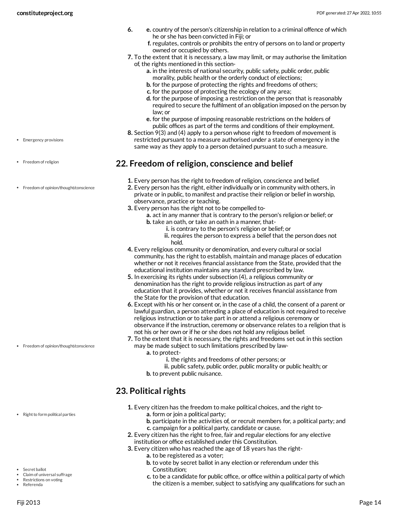- **6. e.** country of the person's citizenship in relation to a criminal offence of which he or she has been convicted in Fiji; or
	- **f.** regulates, controls or prohibits the entry of persons on to land or property owned or occupied by others.
- **7.** To the extent that it is necessary, a law may limit, or may authorise the limitation of, the rights mentioned in this section
	- **a.** in the interests of national security, public safety, public order, public morality, public health or the orderly conduct of elections;
	- **b.** for the purpose of protecting the rights and freedoms of others;
	- **c.** for the purpose of protecting the ecology of any area;
	- **d.** for the purpose of imposing a restriction on the person that is reasonably required to secure the fulfilment of an obligation imposed on the person by law; or
	- **e.** for the purpose of imposing reasonable restrictions on the holders of public offices as part of the terms and conditions of their employment.
- **8.** Section 9(3) and (4) apply to a person whose right to freedom of movement is restricted pursuant to a measure authorised under a state of emergency in the same way as they apply to a person detained pursuant to such a measure.

### <span id="page-13-0"></span>**22. Freedom of religion, conscience and belief**

- **1.** Every person has the right to freedom of religion, conscience and belief.
- **2.** Every person has the right, either individually or in community with others, in private or in public, to manifest and practise their religion or belief in worship, observance, practice or teaching.
- **3.** Every person has the right not to be compelled to
	- **a.** act in any manner that is contrary to the person's religion or belief; or **b.** take an oath, or take an oath in a manner, that
		- **i.** is contrary to the person's religion or belief; or
		- **ii.** requires the person to express a belief that the person does not hold.
- **4.** Every religious community or denomination, and every cultural or social community, has the right to establish, maintain and manage places of education whether or not it receives financial assistance from the State, provided that the educational institution maintains any standard prescribed by law.
- **5.** In exercising its rights under subsection (4), a religious community or denomination has the right to provide religious instruction as part of any education that it provides, whether or not it receives financial assistance from the State for the provision of that education.
- **6.** Except with his or her consent or, in the case of a child, the consent of a parent or lawful guardian, a person attending a place of education is not required to receive religious instruction or to take part in or attend a religious ceremony or observance if the instruction, ceremony or observance relates to a religion that is not his or her own or if he or she does not hold any religious belief.
- **7.** To the extent that it is necessary, the rights and freedoms set out in this section may be made subject to such limitations prescribed by law
	- **a.** to protect
		- **i.** the rights and freedoms of other persons; or
	- **ii.** public safety, public order, public morality or public health; or **b.** to prevent public nuisance.

### <span id="page-13-1"></span>**23. Political rights**

- **1.** Every citizen has the freedom to make political choices, and the right to
	- **a.** form or join a political party;
		- **b.** participate in the activities of, or recruit members for, a political party; and **c.** campaign for a political party, candidate or cause.
- **2.** Every citizen has the right to free, fair and regular elections for any elective institution or office established under this Constitution.
- **3.** Every citizen who has reached the age of 18 years has the right
	- **a.** to be registered as a voter;
	- **b.** to vote by secret ballot in any election or referendum under this Constitution;
	- **c.** to be a candidate for public office, or office within a political party of which the citizen is a member, subject to satisfying any qualifications for such an
- Emergency provisions
- Freedom of religion
- Freedom of opinion/thought/conscience

• Freedom of opinion/thought/conscience

- Secret ballot
- Claim of universal suffrage

 $\bullet$  Right to form political parties

- Restrictions on voting Referenda
-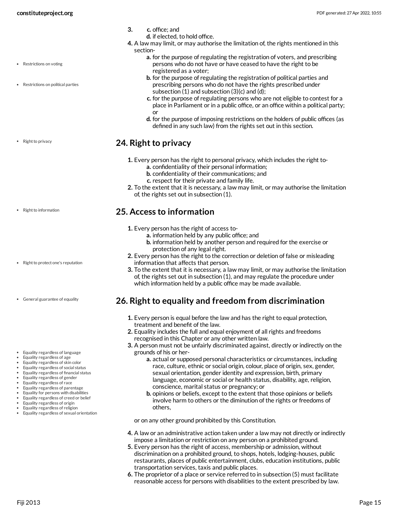- Restrictions on voting
- Restrictions on political parties
- **3. c.** office; and
	- **d.** if elected, to hold office.
- **4.** A law may limit, or may authorise the limitation of, the rights mentioned in this section
	- **a.** for the purpose of regulating the registration of voters, and prescribing persons who do not have or have ceased to have the right to be registered as a voter;
	- **b.** for the purpose of regulating the registration of political parties and prescribing persons who do not have the rights prescribed under subsection (1) and subsection (3)(c) and (d);
	- **c.** for the purpose of regulating persons who are not eligible to contest for a place in Parliament or in a public office, or an office within a political party; or
	- **d.** for the purpose of imposing restrictions on the holders of public offices (as defined in any such law) from the rights set out in this section.

### <span id="page-14-0"></span>**24. Right to privacy**

- **1.** Every person has the right to personal privacy, which includes the right to
	- **a.** confidentiality of their personal information;
	- **b.** confidentiality of their communications; and
	- **c.** respect for their private and family life.
- **2.** To the extent that it is necessary, a law may limit, or may authorise the limitation of, the rights set out in subsection (1).

### <span id="page-14-1"></span>**25. Access to information**

- **1.** Every person has the right of access to
	- **a.** information held by any public office; and
	- **b.** information held by another person and required for the exercise or protection of any legal right.
- **2.** Every person has the right to the correction or deletion of false or misleading information that affects that person.
- **3.** To the extent that it is necessary, a law may limit, or may authorise the limitation of, the rights set out in subsection (1), and may regulate the procedure under which information held by a public office may be made available.

### <span id="page-14-2"></span>**26. Right to equality and freedom from discrimination**

- **1.** Every person is equal before the law and has the right to equal protection, treatment and benefit of the law.
- **2.** Equality includes the full and equal enjoyment of all rights and freedoms recognised in this Chapter or any other written law.
- **3.** A person must not be unfairly discriminated against, directly or indirectly on the grounds of his or her
	- **a.** actual or supposed personal characteristics or circumstances, including race, culture, ethnic or social origin, colour, place of origin, sex, gender, sexual orientation, gender identity and expression, birth, primary language, economic or social or health status, disability, age, religion, conscience, marital status or pregnancy; or
	- **b.** opinions or beliefs, except to the extent that those opinions or beliefs involve harm to others or the diminution of the rights or freedoms of others,

or on any other ground prohibited by this Constitution.

- **4.** A law or an administrative action taken under a law may not directly or indirectly impose a limitation or restriction on any person on a prohibited ground.
- **5.** Every person has the right of access, membership or admission, without discrimination on a prohibited ground, to shops, hotels, lodging-houses, public restaurants, places of public entertainment, clubs, education institutions, public transportation services, taxis and public places.
- **6.** The proprietor of a place or service referred to in subsection (5) must facilitate reasonable access for persons with disabilities to the extent prescribed by law.

• Right to information

• Right to privacy

- Right to protect one's reputation
- General guarantee of equality
- Equality regardless of language
- Equality regardless of age
- Equality regardless of skin color
- Equality regardless of social status
- Equality regardless of financial status
- Equality regardless of gender
- Equality regardless of race
- Equality regardless of parentage
- Equality for persons with disabilities
- Equality regardless of creed or belief Equality regardless of origin
- Equality regardless of religion
- Equality regardless of sexual orientation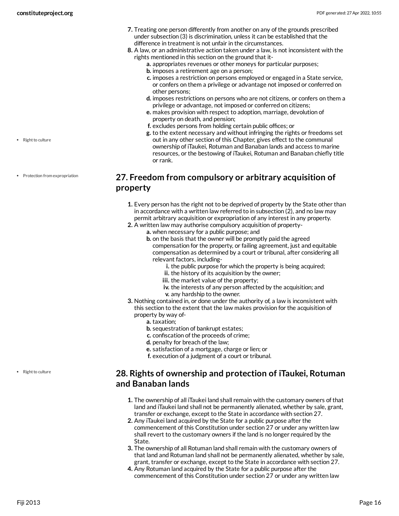- **7.** Treating one person differently from another on any of the grounds prescribed under subsection (3) is discrimination, unless it can be established that the difference in treatment is not unfair in the circumstances.
- **8.** A law, or an administrative action taken under a law, is not inconsistent with the rights mentioned in this section on the ground that it
	- **a.** appropriates revenues or other moneys for particular purposes;
	- **b.** imposes a retirement age on a person;
	- **c.** imposes a restriction on persons employed or engaged in a State service, or confers on them a privilege or advantage not imposed or conferred on other persons;
	- **d.** imposes restrictions on persons who are not citizens, or confers on them a privilege or advantage, not imposed or conferred on citizens;
	- **e.** makes provision with respect to adoption, marriage, devolution of property on death, and pension;
	- **f.** excludes persons from holding certain public offices; or
	- **g.** to the extent necessary and without infringing the rights or freedoms set out in any other section of this Chapter, gives effect to the communal ownership of iTaukei, Rotuman and Banaban lands and access to marine resources, or the bestowing of iTaukei, Rotuman and Banaban chiefly title or rank.

• Protection from expropriation

• Right to culture

### <span id="page-15-0"></span>**27. Freedom from compulsory or arbitrary acquisition of property**

- **1.** Every person has the right not to be deprived of property by the State other than in accordance with a written law referred to in subsection (2), and no law may permit arbitrary acquisition or expropriation of any interest in any property.
- **2.** A written law may authorise compulsory acquisition of property
	- **a.** when necessary for a public purpose; and
		- **b.** on the basis that the owner will be promptly paid the agreed compensation for the property, or failing agreement, just and equitable compensation as determined by a court or tribunal, after considering all relevant factors, including
			- **i.** the public purpose for which the property is being acquired;
			- **ii.** the history of its acquisition by the owner:
			- **iii.** the market value of the property;
			- **iv.** the interests of any person affected by the acquisition; and **v.** any hardship to the owner.
- **3.** Nothing contained in, or done under the authority of, a law is inconsistent with this section to the extent that the law makes provision for the acquisition of property by way of
	- **a.** taxation;
	- **b.** sequestration of bankrupt estates;
	- **c.** confiscation of the proceeds of crime;
	- **d.** penalty for breach of the law;
	- **e.** satisfaction of a mortgage, charge or lien; or
	- **f.** execution of a judgment of a court or tribunal.

### <span id="page-15-1"></span>**28. Rights of ownership and protection of iTaukei, Rotuman and Banaban lands**

- **1.** The ownership of all iTaukei land shall remain with the customary owners of that land and iTaukei land shall not be permanently alienated, whether by sale, grant, transfer or exchange, except to the State in accordance with section 27.
- **2.** Any iTaukei land acquired by the State for a public purpose after the commencement of this Constitution under section 27 or under any written law shall revert to the customary owners if the land is no longer required by the State.
- **3.** The ownership of all Rotuman land shall remain with the customary owners of that land and Rotuman land shall not be permanently alienated, whether by sale, grant, transfer or exchange, except to the State in accordance with section 27.
- **4.** Any Rotuman land acquired by the State for a public purpose after the commencement of this Constitution under section 27 or under any written law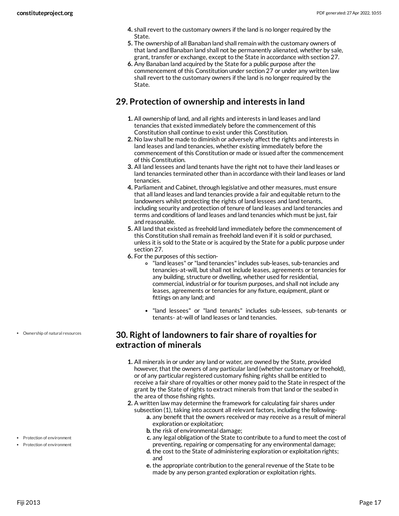- **4.** shall revert to the customary owners if the land is no longer required by the State.
- **5.** The ownership of all Banaban land shall remain with the customary owners of that land and Banaban land shall not be permanently alienated, whether by sale, grant, transfer or exchange, except to the State in accordance with section 27.
- **6.** Any Banaban land acquired by the State for a public purpose after the commencement of this Constitution under section 27 or under any written law shall revert to the customary owners if the land is no longer required by the State.

### <span id="page-16-0"></span>**29. Protection of ownership and interests in land**

- **1.** All ownership of land, and all rights and interests in land leases and land tenancies that existed immediately before the commencement of this Constitution shall continue to exist under this Constitution.
- **2.** No law shall be made to diminish or adversely affect the rights and interests in land leases and land tenancies, whether existing immediately before the commencement of this Constitution or made or issued after the commencement of this Constitution.
- **3.** All land lessees and land tenants have the right not to have their land leases or land tenancies terminated other than in accordance with their land leases or land tenancies.
- **4.** Parliament and Cabinet, through legislative and other measures, must ensure that all land leases and land tenancies provide a fair and equitable return to the landowners whilst protecting the rights of land lessees and land tenants, including security and protection of tenure of land leases and land tenancies and terms and conditions of land leases and land tenancies which must be just, fair and reasonable.
- **5.** All land that existed as freehold land immediately before the commencement of this Constitution shall remain as freehold land even if it is sold or purchased, unless it is sold to the State or is acquired by the State for a public purpose under section 27.
- **6.** For the purposes of this section-
	- "land leases" or "land tenancies" includes sub-leases, sub-tenancies and tenancies-at-will, but shall not include leases, agreements or tenancies for any building, structure or dwelling, whether used for residential, commercial, industrial or for tourism purposes, and shall not include any leases, agreements or tenancies for any fixture, equipment, plant or fittings on any land; and
	- "land lessees" or "land tenants" includes sub-lessees, sub-tenants or tenants- at-will of land leases or land tenancies.

### <span id="page-16-1"></span>**30. Right of landowners to fair share of royalties for extraction of minerals**

- **1.** All minerals in or under any land or water, are owned by the State, provided however, that the owners of any particular land (whether customary or freehold), or of any particular registered customary fishing rights shall be entitled to receive a fair share of royalties or other money paid to the State in respect of the grant by the State of rights to extract minerals from that land or the seabed in the area of those fishing rights.
- **2.** A written law may determine the framework for calculating fair shares under subsection (1), taking into account all relevant factors, including the following
	- **a.** any benefit that the owners received or may receive as a result of mineral exploration or exploitation;
	- **b.** the risk of environmental damage;
	- **c.** any legal obligation of the State to contribute to a fund to meet the cost of preventing, repairing or compensating for any environmental damage;
	- **d.** the cost to the State of administering exploration or exploitation rights; and
	- **e.** the appropriate contribution to the general revenue of the State to be made by any person granted exploration or exploitation rights.

Ownership of natural resources

- Protection of environment
- Protection of environment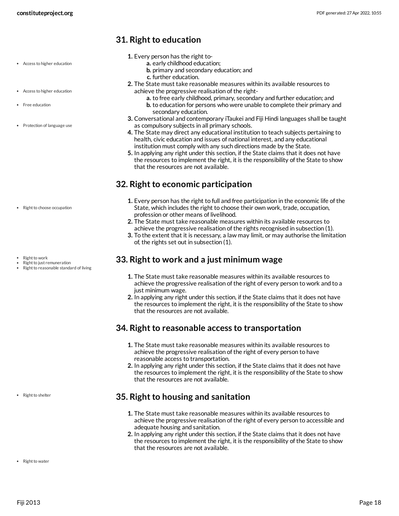Access to higher education

Access to higher education

• Protection of language use

Free education

### <span id="page-17-0"></span>**31. Right to education**

- **1.** Every person has the right to
	- **a.** early childhood education;
		- **b.** primary and secondary education; and
	- **c.** further education.
	- **2.** The State must take reasonable measures within its available resources to achieve the progressive realisation of the right
		- **a.** to free early childhood, primary, secondary and further education; and **b.** to education for persons who were unable to complete their primary and
		- secondary education.
	- **3.** Conversational and contemporary iTaukei and Fiji Hindi languages shall be taught as compulsory subjects in all primary schools.
	- **4.** The State may direct any educational institution to teach subjects pertaining to health, civic education and issues of national interest, and any educational institution must comply with any such directions made by the State.
	- **5.** In applying any right under this section, if the State claims that it does not have the resources to implement the right, it is the responsibility of the State to show that the resources are not available.

### <span id="page-17-1"></span>**32. Right to economic participation**

- **1.** Every person has the right to full and free participation in the economic life of the State, which includes the right to choose their own work, trade, occupation, profession or other means of livelihood.
- **2.** The State must take reasonable measures within its available resources to achieve the progressive realisation of the rights recognised in subsection (1).
- **3.** To the extent that it is necessary, a law may limit, or may authorise the limitation of, the rights set out in subsection (1).

### <span id="page-17-2"></span>**33. Right to work and a just minimum wage**

- **1.** The State must take reasonable measures within its available resources to achieve the progressive realisation of the right of every person to work and to a just minimum wage.
- **2.** In applying any right under this section, if the State claims that it does not have the resources to implement the right, it is the responsibility of the State to show that the resources are not available.

### <span id="page-17-3"></span>**34. Right to reasonable access to transportation**

- **1.** The State must take reasonable measures within its available resources to achieve the progressive realisation of the right of every person to have reasonable access to transportation.
- **2.** In applying any right under this section, if the State claims that it does not have the resources to implement the right, it is the responsibility of the State to show that the resources are not available.

### <span id="page-17-4"></span>**35. Right to housing and sanitation**

- **1.** The State must take reasonable measures within its available resources to achieve the progressive realisation of the right of every person to accessible and adequate housing and sanitation.
- **2.** In applying any right under this section, if the State claims that it does not have the resources to implement the right, it is the responsibility of the State to show that the resources are not available.

• Right to choose occupation

Right to work

- Right to just remuneration
- Right to reasonable standard of living

• Right to shelter

• Right to water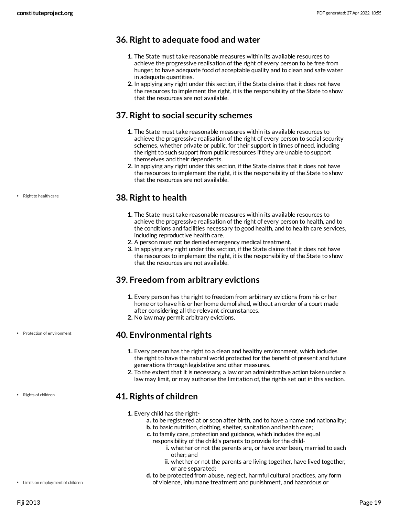<span id="page-18-0"></span>**36. Right to adequate food and water**

- **1.** The State must take reasonable measures within its available resources to achieve the progressive realisation of the right of every person to be free from hunger, to have adequate food of acceptable quality and to clean and safe water in adequate quantities.
- **2.** In applying any right under this section, if the State claims that it does not have the resources to implement the right, it is the responsibility of the State to show that the resources are not available.

### <span id="page-18-1"></span>**37. Right to social security schemes**

- **1.** The State must take reasonable measures within its available resources to achieve the progressive realisation of the right of every person to social security schemes, whether private or public, for their support in times of need, including the right to such support from public resources if they are unable to support themselves and their dependents.
- **2.** In applying any right under this section, if the State claims that it does not have the resources to implement the right, it is the responsibility of the State to show that the resources are not available.

### <span id="page-18-2"></span>**38. Right to health**

- **1.** The State must take reasonable measures within its available resources to achieve the progressive realisation of the right of every person to health, and to the conditions and facilities necessary to good health, and to health care services, including reproductive health care.
- **2.** A person must not be denied emergency medical treatment.
- **3.** In applying any right under this section, if the State claims that it does not have the resources to implement the right, it is the responsibility of the State to show that the resources are not available.

### <span id="page-18-3"></span>**39. Freedom from arbitrary evictions**

- **1.** Every person has the right to freedom from arbitrary evictions from his or her home or to have his or her home demolished, without an order of a court made after considering all the relevant circumstances.
- **2.** No law may permit arbitrary evictions.

### <span id="page-18-4"></span>**40. Environmental rights**

- **1.** Every person has the right to a clean and healthy environment, which includes the right to have the natural world protected for the benefit of present and future generations through legislative and other measures.
- **2.** To the extent that it is necessary, a law or an administrative action taken under a law may limit, or may authorise the limitation of, the rights set out in this section.

### <span id="page-18-5"></span>**41. Rights of children**

- **1.** Every child has the right
	- **a.** to be registered at or soon after birth, and to have a name and nationality; **b.** to basic nutrition, clothing, shelter, sanitation and health care;
	- **c.** to family care, protection and guidance, which includes the equal
		- responsibility of the child's parents to provide for the child
			- **i.** whether or not the parents are, or have ever been, married to each other; and
			- **ii.** whether or not the parents are living together, have lived together, or are separated;
	- **d.** to be protected from abuse, neglect, harmful cultural practices, any form of violence, inhumane treatment and punishment, and hazardous or

• Right to health care

• Protection of environment

• Rights of children

Limits on employment of children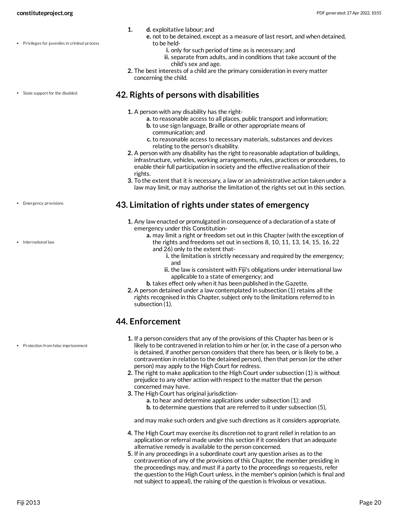Privileges for juveniles in criminal process

**1. d.** exploitative labour; and

- 
- **e.** not to be detained, except as a measure of last resort, and when detained, to be held
	- **i.** only for such period of time as is necessary; and
	- **ii.** separate from adults, and in conditions that take account of the child's sex and age.
- **2.** The best interests of a child are the primary consideration in every matter concerning the child.

### <span id="page-19-0"></span>**42. Rights of persons with disabilities**

- **1.** A person with any disability has the right
	- **a.** to reasonable access to all places, public transport and information;
	- **b.** to use sign language, Braille or other appropriate means of communication; and
	- **c.** to reasonable access to necessary materials, substances and devices relating to the person's disability.
- **2.** A person with any disability has the right to reasonable adaptation of buildings, infrastructure, vehicles, working arrangements, rules, practices or procedures, to enable their full participation in society and the effective realisation of their rights.
- **3.** To the extent that it is necessary, a law or an administrative action taken under a law may limit, or may authorise the limitation of, the rights set out in this section.

### <span id="page-19-1"></span>**43. Limitation of rights under states of emergency**

- **1.** Any law enacted or promulgated in consequence of a declaration of a state of emergency under this Constitution
	- **a.** may limit a right or freedom set out in this Chapter (with the exception of the rights and freedoms set out in sections 8, 10, 11, 13, 14, 15, 16, 22 and 26) only to the extent that
		- **i.** the limitation is strictly necessary and required by the emergency; and
		- **ii.** the law is consistent with Fiji's obligations under international law applicable to a state of emergency; and
	- **b.** takes effect only when it has been published in the Gazette.
- **2.** A person detained under a law contemplated in subsection (1) retains all the rights recognised in this Chapter, subject only to the limitations referred to in subsection (1).

### <span id="page-19-2"></span>**44. Enforcement**

- **1.** If a person considers that any of the provisions of this Chapter has been or is likely to be contravened in relation to him or her (or, in the case of a person who is detained, if another person considers that there has been, or is likely to be, a contravention in relation to the detained person), then that person (or the other person) may apply to the High Court for redress.
- **2.** The right to make application to the High Court under subsection (1) is without prejudice to any other action with respect to the matter that the person concerned may have.
- **3.** The High Court has original jurisdiction
	- **a.** to hear and determine applications under subsection (1); and **b.** to determine questions that are referred to it under subsection (5),

and may make such orders and give such directions as it considers appropriate.

- **4.** The High Court may exercise its discretion not to grant relief in relation to an application or referral made under this section if it considers that an adequate alternative remedy is available to the person concerned.
- **5.** If in any proceedings in a subordinate court any question arises as to the contravention of any of the provisions of this Chapter, the member presiding in the proceedings may, and must if a party to the proceedings so requests, refer the question to the High Court unless, in the member's opinion (which is final and not subject to appeal), the raising of the question is frivolous or vexatious.

• State support for the disabled

- Emergency provisions
- International law

• Protection from false imprisonment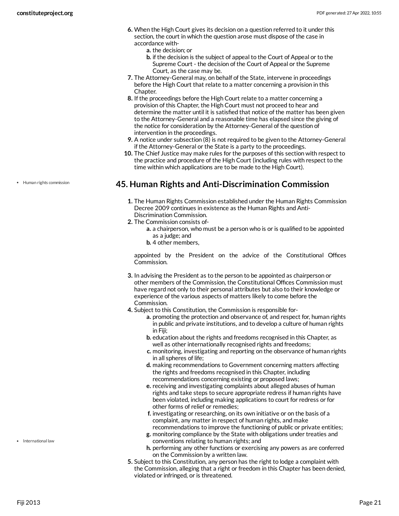- **6.** When the High Court gives its decision on a question referred to it under this section, the court in which the question arose must dispose of the case in accordance with
	- **a.** the decision; or
	- **b.** if the decision is the subject of appeal to the Court of Appeal or to the Supreme Court - the decision of the Court of Appeal or the Supreme Court, as the case may be.
- **7.** The Attorney-General may, on behalf of the State, intervene in proceedings before the High Court that relate to a matter concerning a provision in this Chapter.
- **8.** If the proceedings before the High Court relate to a matter concerning a provision of this Chapter, the High Court must not proceed to hear and determine the matter until it is satisfied that notice of the matter has been given to the Attorney-General and a reasonable time has elapsed since the giving of the notice for consideration by the Attorney-General of the question of intervention in the proceedings.
- **9.** A notice under subsection (8) is not required to be given to the Attorney-General if the Attorney-General or the State is a party to the proceedings.
- **10.** The Chief Justice may make rules for the purposes of this section with respect to the practice and procedure of the High Court (including rules with respect to the time within which applications are to be made to the High Court).

### <span id="page-20-0"></span>**45. Human Rights and Anti-Discrimination Commission**

- **1.** The Human Rights Commission established under the Human Rights Commission Decree 2009 continues in existence as the Human Rights and Anti-Discrimination Commission.
- **2.** The Commission consists of
	- **a.** a chairperson, who must be a person who is or is qualified to be appointed as a judge; and
	- **b.** 4 other members,

appointed by the President on the advice of the Constitutional Offices Commission.

- **3.** In advising the President as to the person to be appointed as chairperson or other members of the Commission, the Constitutional Offices Commission must have regard not only to their personal attributes but also to their knowledge or experience of the various aspects of matters likely to come before the Commission.
- **4.** Subject to this Constitution, the Commission is responsible for
	- **a.** promoting the protection and observance of, and respect for, human rights in public and private institutions, and to develop a culture of human rights in Fiji;
	- **b.** education about the rights and freedoms recognised in this Chapter, as well as other internationally recognised rights and freedoms;
	- **c.** monitoring, investigating and reporting on the observance of human rights in all spheres of life;
	- **d.** making recommendations to Government concerning matters affecting the rights and freedoms recognised in this Chapter, including recommendations concerning existing or proposed laws;
	- **e.** receiving and investigating complaints about alleged abuses of human rights and take steps to secure appropriate redress if human rights have been violated, including making applications to court for redress or for other forms of relief or remedies;
	- **f.** investigating or researching, on its own initiative or on the basis of a complaint, any matter in respect of human rights, and make recommendations to improve the functioning of public or private entities;
	- **g.** monitoring compliance by the State with obligations under treaties and conventions relating to human rights; and
	- **h.** performing any other functions or exercising any powers as are conferred on the Commission by a written law.
- **5.** Subject to this Constitution, any person has the right to lodge a complaint with the Commission, alleging that a right or freedom in this Chapter has been denied, violated or infringed, or is threatened.

Human rights commission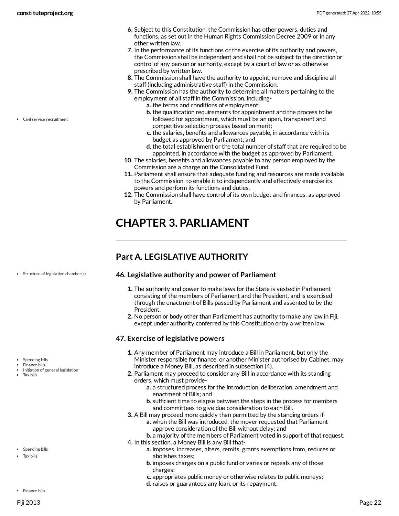- **6.** Subject to this Constitution, the Commission has other powers, duties and functions, as set out in the Human Rights Commission Decree 2009 or in any other written law.
- **7.** In the performance of its functions or the exercise of its authority and powers, the Commission shall be independent and shall not be subject to the direction or control of any person or authority, except by a court of law or as otherwise prescribed by written law.
- **8.** The Commission shall have the authority to appoint, remove and discipline all staff (including administrative staff) in the Commission.
- **9.** The Commission has the authority to determine all matters pertaining to the employment of all staff in the Commission, including
	- **a.** the terms and conditions of employment;
	- **b.** the qualification requirements for appointment and the process to be followed for appointment, which must be an open, transparent and competitive selection process based on merit;
	- **c.** the salaries, benefits and allowances payable, in accordance with its budget as approved by Parliament; and
	- **d.** the total establishment or the total number of staff that are required to be appointed, in accordance with the budget as approved by Parliament.
- **10.** The salaries, benefits and allowances payable to any person employed by the Commission are a charge on the Consolidated Fund.
- **11.** Parliament shall ensure that adequate funding and resources are made available to the Commission, to enable it to independently and effectively exercise its powers and perform its functions and duties.
- **12.** The Commission shall have control of its own budget and finances, as approved by Parliament.

# <span id="page-21-0"></span>**CHAPTER 3. PARLIAMENT**

### <span id="page-21-1"></span>**Part A. LEGISLATIVE AUTHORITY**

#### **46. Legislative authority and power of Parliament**

- **1.** The authority and power to make laws for the State is vested in Parliament consisting of the members of Parliament and the President, and is exercised through the enactment of Bills passed by Parliament and assented to by the President.
- **2.** No person or body other than Parliament has authority to make any law in Fiji, except under authority conferred by this Constitution or by a written law.

#### **47. Exercise of legislative powers**

- **1.** Any member of Parliament may introduce a Bill in Parliament, but only the Minister responsible for finance, or another Minister authorised by Cabinet, may introduce a Money Bill, as described in subsection (4).
- **2.** Parliament may proceed to consider any Bill in accordance with its standing orders, which must provide
	- **a.** a structured process for the introduction, deliberation, amendment and enactment of Bills; and
	- **b.** sufficient time to elapse between the steps in the process for members and committees to give due consideration to each Bill.
- **3.** A Bill may proceed more quickly than permitted by the standing orders if
	- **a.** when the Bill was introduced, the mover requested that Parliament approve consideration of the Bill without delay; and
	- **b.** a majority of the members of Parliament voted in support of that request.
- **4.** In this section, a Money Bill is any Bill that
	- **a.** imposes, increases, alters, remits, grants exemptions from, reduces or abolishes taxes;
	- **b.** imposes charges on a public fund or varies or repeals any of those charges;
	- **c.** appropriates public money or otherwise relates to public moneys;
	- **d.** raises or guarantees any loan, or its repayment;

Civil service recruitment

• Structure of legislative chamber(s)

- Spending bills Finance bills
- Initiation of general legislation
- Tax bills

• Spending bills • Tax bills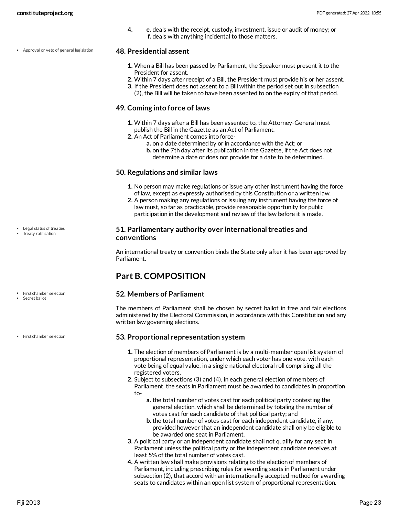Approval or veto of general legislation

**4. e.** deals with the receipt, custody, investment, issue or audit of money; or **f.** deals with anything incidental to those matters.

#### **48. Presidential assent**

- **1.** When a Bill has been passed by Parliament, the Speaker must present it to the President for assent.
- **2.** Within 7 days after receipt of a Bill, the President must provide his or her assent.
- **3.** If the President does not assent to a Bill within the period set out in subsection (2), the Bill will be taken to have been assented to on the expiry of that period.

#### **49. Coming into force of laws**

- **1.** Within 7 days after a Bill has been assented to, the Attorney-General must publish the Bill in the Gazette as an Act of Parliament.
- **2.** An Act of Parliament comes into force
	- **a.** on a date determined by or in accordance with the Act; or **b.** on the 7th day after its publication in the Gazette, if the Act does not determine a date or does not provide for a date to be determined.

#### **50. Regulations and similar laws**

- **1.** No person may make regulations or issue any other instrument having the force of law, except as expressly authorised by this Constitution or a written law.
- **2.** A person making any regulations or issuing any instrument having the force of law must, so far as practicable, provide reasonable opportunity for public participation in the development and review of the law before it is made.

#### **51. Parliamentary authority over internationaltreaties and conventions**

An international treaty or convention binds the State only after it has been approved by Parliament.

### <span id="page-22-0"></span>**Part B. COMPOSITION**

#### **52. Members of Parliament**

The members of Parliament shall be chosen by secret ballot in free and fair elections administered by the Electoral Commission, in accordance with this Constitution and any written law governing elections.

#### **53. Proportional representation system**

- **1.** The election of members of Parliament is by a multi-member open list system of proportional representation, under which each voter has one vote, with each vote being of equal value, in a single national electoral roll comprising all the registered voters.
- **2.** Subject to subsections (3) and (4), in each general election of members of Parliament, the seats in Parliament must be awarded to candidates in proportion to
	- **a.** the total number of votes cast for each political party contesting the general election, which shall be determined by totaling the number of votes cast for each candidate of that political party; and
	- **b.** the total number of votes cast for each independent candidate, if any, provided however that an independent candidate shall only be eligible to be awarded one seat in Parliament.
- **3.** A political party or an independent candidate shall not qualify for any seat in Parliament unless the political party or the independent candidate receives at least 5% of the total number of votes cast.
- **4.** A written law shall make provisions relating to the election of members of Parliament, including prescribing rules for awarding seats in Parliament under subsection (2), that accord with an internationally accepted method for awarding seats to candidates within an open list system of proportional representation.

Legal status of treaties Treaty ratification

First chamber selection

First chamber selection Secret ballot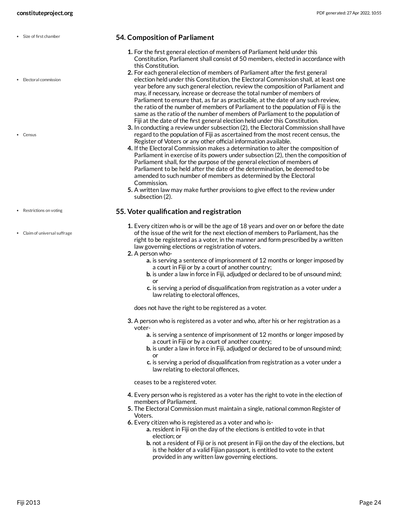- Electoral commission
- Census

- Restrictions on voting
- Claim of universal suffrage

#### **54. Composition of Parliament**

- **1.** For the first general election of members of Parliament held under this Constitution, Parliament shall consist of 50 members, elected in accordance with this Constitution.
- **2.** For each general election of members of Parliament after the first general election held under this Constitution, the Electoral Commission shall, at least one year before any such general election, review the composition of Parliament and may, if necessary, increase or decrease the total number of members of Parliament to ensure that, as far as practicable, at the date of any such review, the ratio of the number of members of Parliament to the population of Fiji is the same as the ratio of the number of members of Parliament to the population of Fiji at the date of the first general election held under this Constitution.
- **3.** In conducting a review under subsection (2), the Electoral Commission shall have regard to the population of Fiji as ascertained from the most recent census, the Register of Voters or any other official information available.
- **4.** If the Electoral Commission makes a determination to alter the composition of Parliament in exercise of its powers under subsection (2), then the composition of Parliament shall, for the purpose of the general election of members of Parliament to be held after the date of the determination, be deemed to be amended to such number of members as determined by the Electoral Commission.
- **5.** A written law may make further provisions to give effect to the review under subsection (2).

#### **55. Voter qualification and registration**

- **1.** Every citizen who is or will be the age of 18 years and over on or before the date of the issue of the writ for the next election of members to Parliament, has the right to be registered as a voter, in the manner and form prescribed by a written law governing elections or registration of voters.
- **2.** A person who
	- **a.** is serving a sentence of imprisonment of 12 months or longer imposed by a court in Fiji or by a court of another country;
	- **b.** is under a law in force in Fiji, adjudged or declared to be of unsound mind; or
	- **c.** is serving a period of disqualification from registration as a voter under a law relating to electoral offences,

does not have the right to be registered as a voter.

- **3.** A person who is registered as a voter and who, after his or her registration as a voter
	- **a.** is serving a sentence of imprisonment of 12 months or longer imposed by a court in Fiji or by a court of another country;
	- **b.** is under a law in force in Fiji, adjudged or declared to be of unsound mind; or
	- **c.** is serving a period of disqualification from registration as a voter under a law relating to electoral offences,

ceases to be a registered voter.

- **4.** Every person who is registered as a voter has the right to vote in the election of members of Parliament.
- **5.** The Electoral Commission must maintain a single, national common Register of Voters.
- **6.** Every citizen who is registered as a voter and who is
	- **a.** resident in Fiji on the day of the elections is entitled to vote in that election; or
	- **b.** not a resident of Fiji or is not present in Fiji on the day of the elections, but is the holder of a valid Fijian passport, is entitled to vote to the extent provided in any written law governing elections.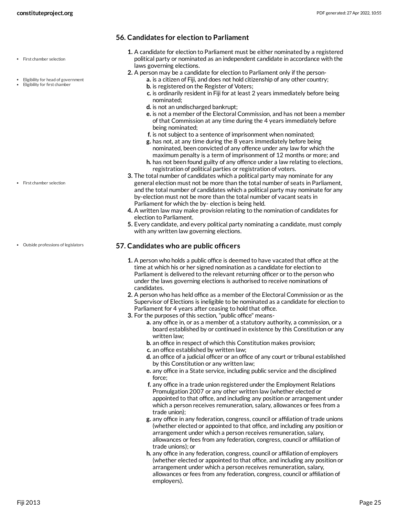- First chamber selection
- Eligibility for head of government
- Eligibility for first chamber

First chamber selection

Outside professions of legislators

#### **56. Candidates for election to Parliament**

- **1.** A candidate for election to Parliament must be either nominated by a registered political party or nominated as an independent candidate in accordance with the laws governing elections.
- **2.** A person may be a candidate for election to Parliament only if the person
	- **a.** is a citizen of Fiji, and does not hold citizenship of any other country; **b.** is registered on the Register of Voters;
		- **c.** is ordinarily resident in Fiji for at least 2 years immediately before being nominated;
		- **d.** is not an undischarged bankrupt;
		- **e.** is not a member of the Electoral Commission, and has not been a member of that Commission at any time during the 4 years immediately before being nominated;
		- **f.** is not subject to a sentence of imprisonment when nominated;
		- **g.** has not, at any time during the 8 years immediately before being nominated, been convicted of any offence under any law for which the maximum penalty is a term of imprisonment of 12 months or more; and
		- **h.** has not been found guilty of any offence under a law relating to elections, registration of political parties or registration of voters.
- **3.** The total number of candidates which a political party may nominate for any general election must not be more than the total number of seats in Parliament, and the total number of candidates which a political party may nominate for any by-election must not be more than the total number of vacant seats in Parliament for which the by- election is being held.
- **4.** A written law may make provision relating to the nomination of candidates for election to Parliament.
- **5.** Every candidate, and every political party nominating a candidate, must comply with any written law governing elections.

#### **57. Candidates who are public officers**

- **1.** A person who holds a public office is deemed to have vacated that office at the time at which his or her signed nomination as a candidate for election to Parliament is delivered to the relevant returning officer or to the person who under the laws governing elections is authorised to receive nominations of candidates.
- **2.** A person who has held office as a member of the Electoral Commission or as the Supervisor of Elections is ineligible to be nominated as a candidate for election to Parliament for 4 years after ceasing to hold that office.
- **3.** For the purposes of this section, "public office" means
	- **a.** any office in, or as a member of, a statutory authority, a commission, or a board established by or continued in existence by this Constitution or any written law;
	- **b.** an office in respect of which this Constitution makes provision;
	- **c.** an office established by written law;
	- **d.** an office of a judicial officer or an office of any court or tribunal established by this Constitution or any written law;
	- **e.** any office in a State service, including public service and the disciplined force;
	- **f.** any office in a trade union registered under the Employment Relations Promulgation 2007 or any other written law (whether elected or appointed to that office, and including any position or arrangement under which a person receives remuneration, salary, allowances or fees from a trade union);
	- **g.** any office in any federation, congress, council or affiliation of trade unions (whether elected or appointed to that office, and including any position or arrangement under which a person receives remuneration, salary, allowances or fees from any federation, congress, council or affiliation of trade unions); or
	- **h.** any office in any federation, congress, council or affiliation of employers (whether elected or appointed to that office, and including any position or arrangement under which a person receives remuneration, salary, allowances or fees from any federation, congress, council or affiliation of employers).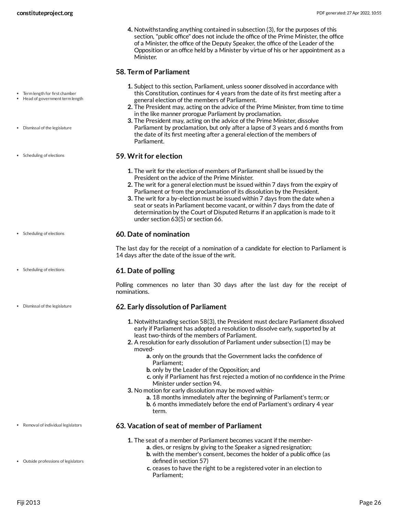- **constituteproject.org** PDF generated: 27 Apr 2022, 10:55
	- **4.** Notwithstanding anything contained in subsection (3), for the purposes of this section, "public office" does not include the office of the Prime Minister, the office of a Minister, the office of the Deputy Speaker, the office of the Leader of the Opposition or an office held by a Minister by virtue of his or her appointment as a Minister.

#### **58. Term of Parliament**

- **1.** Subject to this section, Parliament, unless sooner dissolved in accordance with this Constitution, continues for 4 years from the date of its first meeting after a general election of the members of Parliament.
- **2.** The President may, acting on the advice of the Prime Minister, from time to time in the like manner prorogue Parliament by proclamation.
- **3.** The President may, acting on the advice of the Prime Minister, dissolve Parliament by proclamation, but only after a lapse of 3 years and 6 months from the date of its first meeting after a general election of the members of Parliament.

#### **59. Writfor election**

- **1.** The writ for the election of members of Parliament shall be issued by the President on the advice of the Prime Minister.
- **2.** The writ for a general election must be issued within 7 days from the expiry of Parliament or from the proclamation of its dissolution by the President.
- **3.** The writ for a by-election must be issued within 7 days from the date when a seat or seats in Parliament become vacant, or within 7 days from the date of determination by the Court of Disputed Returns if an application is made to it under section 63(5) or section 66.

#### **60. Date of nomination**

The last day for the receipt of a nomination of a candidate for election to Parliament is 14 days after the date of the issue of the writ.

#### **61. Date of polling**

Polling commences no later than 30 days after the last day for the receipt of nominations.

#### **62. Early dissolution of Parliament**

- **1.** Notwithstanding section 58(3), the President must declare Parliament dissolved early if Parliament has adopted a resolution to dissolve early, supported by at least two-thirds of the members of Parliament.
- **2.** A resolution for early dissolution of Parliament under subsection (1) may be moved
	- **a.** only on the grounds that the Government lacks the confidence of Parliament;
	- **b.** only by the Leader of the Opposition; and
	- **c.** only if Parliament has first rejected a motion of no confidence in the Prime Minister under section 94.
- **3.** No motion for early dissolution may be moved within
	- **a.** 18 months immediately after the beginning of Parliament's term; or
	- **b.** 6 months immediately before the end of Parliament's ordinary 4 year term.

#### **63. Vacation of seat of member of Parliament**

- **1.** The seat of a member of Parliament becomes vacant if the member
	- **a.** dies, or resigns by giving to the Speaker a signed resignation; **b.** with the member's consent, becomes the holder of a public office (as
		- defined in section 57)
		- **c.** ceases to have the right to be a registered voter in an election to Parliament;
- Term length for first chamber Head of government term length
- Dismissal of the legislature
- Scheduling of elections

- Scheduling of elections
- Scheduling of elections
- Dismissal of the legislature

- Removal of individual legislators
- Outside professions of legislators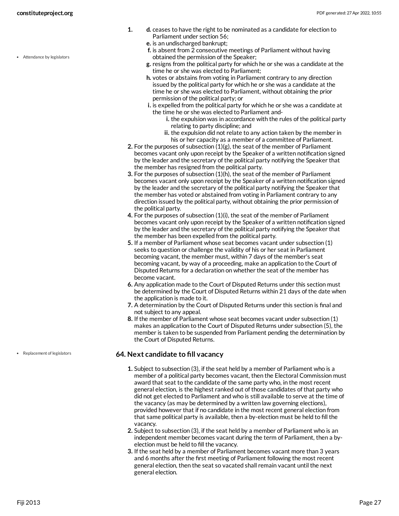• Attendance by legislators

- **1. d.** ceases to have the right to be nominated as a candidate for election to Parliament under section 56;
	- **e.** is an undischarged bankrupt;
	- **f.** is absent from 2 consecutive meetings of Parliament without having obtained the permission of the Speaker;
	- **g.** resigns from the political party for which he or she was a candidate at the time he or she was elected to Parliament;
	- **h.** votes or abstains from voting in Parliament contrary to any direction issued by the political party for which he or she was a candidate at the time he or she was elected to Parliament, without obtaining the prior permission of the political party; or
	- **i.** is expelled from the political party for which he or she was a candidate at the time he or she was elected to Parliament and
		- **i.** the expulsion was in accordance with the rules of the political party relating to party discipline; and
		- **ii.** the expulsion did not relate to any action taken by the member in his or her capacity as a member of a committee of Parliament.
- **2.** For the purposes of subsection (1)(g), the seat of the member of Parliament becomes vacant only upon receipt by the Speaker of a written notification signed by the leader and the secretary of the political party notifying the Speaker that the member has resigned from the political party.
- **3.** For the purposes of subsection (1)(h), the seat of the member of Parliament becomes vacant only upon receipt by the Speaker of a written notification signed by the leader and the secretary of the political party notifying the Speaker that the member has voted or abstained from voting in Parliament contrary to any direction issued by the political party, without obtaining the prior permission of the political party.
- **4.** For the purposes of subsection (1)(i), the seat of the member of Parliament becomes vacant only upon receipt by the Speaker of a written notification signed by the leader and the secretary of the political party notifying the Speaker that the member has been expelled from the political party.
- **5.** If a member of Parliament whose seat becomes vacant under subsection (1) seeks to question or challenge the validity of his or her seat in Parliament becoming vacant, the member must, within 7 days of the member's seat becoming vacant, by way of a proceeding, make an application to the Court of Disputed Returns for a declaration on whether the seat of the member has become vacant.
- **6.** Any application made to the Court of Disputed Returns under this section must be determined by the Court of Disputed Returns within 21 days of the date when the application is made to it.
- **7.** A determination by the Court of Disputed Returns under this section is final and not subject to any appeal.
- **8.** If the member of Parliament whose seat becomes vacant under subsection (1) makes an application to the Court of Disputed Returns under subsection (5), the member is taken to be suspended from Parliament pending the determination by the Court of Disputed Returns.

#### **64. Next candidate to fill vacancy**

- **1.** Subject to subsection (3), if the seat held by a member of Parliament who is a member of a political party becomes vacant, then the Electoral Commission must award that seat to the candidate of the same party who, in the most recent general election, is the highest ranked out of those candidates of that party who did not get elected to Parliament and who is still available to serve at the time of the vacancy (as may be determined by a written law governing elections), provided however that if no candidate in the most recent general election from that same political party is available, then a by-election must be held to fill the vacancy.
- **2.** Subject to subsection (3), if the seat held by a member of Parliament who is an independent member becomes vacant during the term of Parliament, then a byelection must be held to fill the vacancy.
- **3.** If the seat held by a member of Parliament becomes vacant more than 3 years and 6 months after the first meeting of Parliament following the most recent general election, then the seat so vacated shall remain vacant until the next general election.

• Replacement of legislators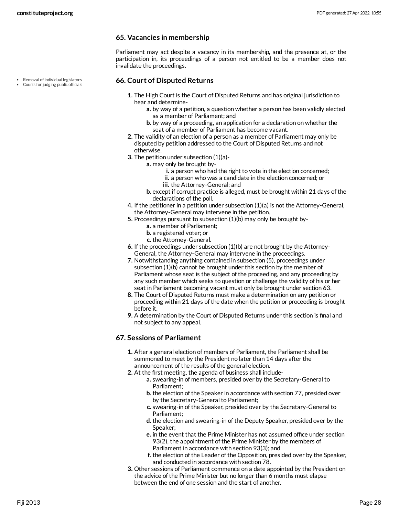#### **65. Vacancies in membership**

Parliament may act despite a vacancy in its membership, and the presence at, or the participation in, its proceedings of a person not entitled to be a member does not invalidate the proceedings.

#### **66. Court of Disputed Returns**

- **1.** The High Court is the Court of Disputed Returns and has original jurisdiction to hear and determine
	- **a.** by way of a petition, a question whether a person has been validly elected as a member of Parliament; and
	- **b.** by way of a proceeding, an application for a declaration on whether the seat of a member of Parliament has become vacant.
- **2.** The validity of an election of a person as a member of Parliament may only be disputed by petition addressed to the Court of Disputed Returns and not otherwise.
- **3.** The petition under subsection (1)(a)
	- **a.** may only be brought by
		- **i.** a person who had the right to vote in the election concerned;
		- **ii.** a person who was a candidate in the election concerned; or
		- **iii.** the Attorney-General; and
	- **b.** except if corrupt practice is alleged, must be brought within 21 days of the declarations of the poll.
- **4.** If the petitioner in a petition under subsection (1)(a) is not the Attorney-General, the Attorney-General may intervene in the petition.
- **5.** Proceedings pursuant to subsection (1)(b) may only be brought by
	- **a.** a member of Parliament;
	- **b.** a registered voter; or
	- **c.** the Attorney-General.
- **6.** If the proceedings under subsection (1)(b) are not brought by the Attorney-General, the Attorney-General may intervene in the proceedings.
- **7.** Notwithstanding anything contained in subsection (5), proceedings under subsection (1)(b) cannot be brought under this section by the member of Parliament whose seat is the subject of the proceeding, and any proceeding by any such member which seeks to question or challenge the validity of his or her seat in Parliament becoming vacant must only be brought under section 63.
- **8.** The Court of Disputed Returns must make a determination on any petition or proceeding within 21 days of the date when the petition or proceeding is brought before it.
- **9.** A determination by the Court of Disputed Returns under this section is final and not subject to any appeal.

#### **67. Sessions of Parliament**

- **1.** After a general election of members of Parliament, the Parliament shall be summoned to meet by the President no later than 14 days after the announcement of the results of the general election.
- **2.** At the first meeting, the agenda of business shall include
	- **a.** swearing-in of members, presided over by the Secretary-General to Parliament;
	- **b.** the election of the Speaker in accordance with section 77, presided over by the Secretary-General to Parliament;
	- **c.** swearing-in of the Speaker, presided over by the Secretary-General to Parliament;
	- **d.** the election and swearing-in of the Deputy Speaker, presided over by the Speaker;
	- **e.** in the event that the Prime Minister has not assumed office under section 93(2), the appointment of the Prime Minister by the members of Parliament in accordance with section 93(3); and
	- **f.** the election of the Leader of the Opposition, presided over by the Speaker, and conducted in accordance with section 78.
- **3.** Other sessions of Parliament commence on a date appointed by the President on the advice of the Prime Minister but no longer than 6 months must elapse between the end of one session and the start of another.

Removal of individual legislators Courts for judging public officials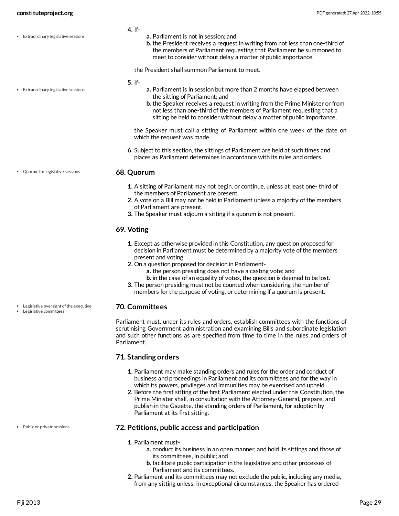Extraordinary legislative sessions

Extraordinary legislative sessions

Quorum for legislative sessions

- **4.** If
	- **a.** Parliament is not in session; and
		- **b.** the President receives a request in writing from not less than one-third of the members of Parliament requesting that Parliament be summoned to meet to consider without delay a matter of public importance,

the President shall summon Parliament to meet.

- **5.** If-
- **a.** Parliament is in session but more than 2 months have elapsed between the sitting of Parliament; and
- **b.** the Speaker receives a request in writing from the Prime Minister or from not less than one-third of the members of Parliament requesting that a sitting be held to consider without delay a matter of public importance,

the Speaker must call a sitting of Parliament within one week of the date on which the request was made.

- **6.** Subject to this section, the sittings of Parliament are held at such times and places as Parliament determines in accordance with its rules and orders.
- **68. Quorum**
	- **1.** A sitting of Parliament may not begin, or continue, unless at least one- third of the members of Parliament are present.
	- **2.** A vote on a Bill may not be held in Parliament unless a majority of the members of Parliament are present.
	- **3.** The Speaker must adjourn a sitting if a quorum is not present.

#### **69. Voting**

- **1.** Except as otherwise provided in this Constitution, any question proposed for decision in Parliament must be determined by a majority vote of the members present and voting.
- **2.** On a question proposed for decision in Parliament
	- **a.** the person presiding does not have a casting vote; and
	- **b.** in the case of an equality of votes, the question is deemed to be lost.
- **3.** The person presiding must not be counted when considering the number of members for the purpose of voting, or determining if a quorum is present.

#### **70. Committees**

Parliament must, under its rules and orders, establish committees with the functions of scrutinising Government administration and examining Bills and subordinate legislation and such other functions as are specified from time to time in the rules and orders of Parliament.

#### **71. Standing orders**

- **1.** Parliament may make standing orders and rules for the order and conduct of business and proceedings in Parliament and its committees and for the way in which its powers, privileges and immunities may be exercised and upheld.
- **2.** Before the first sitting of the first Parliament elected under this Constitution, the Prime Minister shall, in consultation with the Attorney-General, prepare, and publish in the Gazette, the standing orders of Parliament, for adoption by Parliament at its first sitting.

#### **72. Petitions, public access and participation**

**1.** Parliament must-

- **a.** conduct its business in an open manner, and hold its sittings and those of its committees, in public; and
- **b.** facilitate public participation in the legislative and other processes of Parliament and its committees.
- **2.** Parliament and its committees may not exclude the public, including any media, from any sitting unless, in exceptional circumstances, the Speaker has ordered

Legislative oversight of the executive Legislative committees

Public or private sessions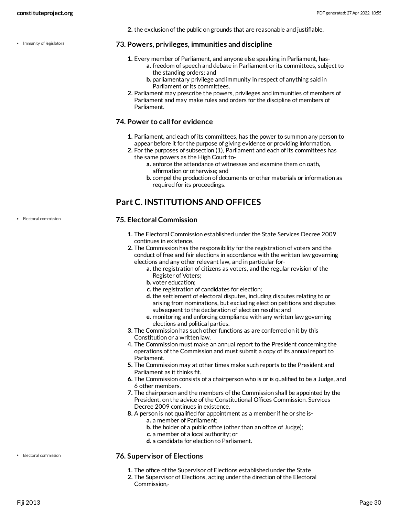**2.** the exclusion of the public on grounds that are reasonable and justifiable.

#### **73. Powers, privileges, immunities and discipline**

- **1.** Every member of Parliament, and anyone else speaking in Parliament, has
	- **a.** freedom of speech and debate in Parliament or its committees, subject to the standing orders; and
	- **b.** parliamentary privilege and immunity in respect of anything said in Parliament or its committees.
- **2.** Parliament may prescribe the powers, privileges and immunities of members of Parliament and may make rules and orders for the discipline of members of Parliament.

### **74. Power to call for evidence**

- **1.** Parliament, and each of its committees, has the power to summon any person to appear before it for the purpose of giving evidence or providing information.
- **2.** For the purposes of subsection (1), Parliament and each of its committees has the same powers as the High Court to
	- **a.** enforce the attendance of witnesses and examine them on oath, affirmation or otherwise; and
	- **b.** compel the production of documents or other materials or information as required for its proceedings.

### <span id="page-29-0"></span>**Part C. INSTITUTIONS AND OFFICES**

### **75. Electoral Commission**

- **1.** The Electoral Commission established under the State Services Decree 2009 continues in existence.
- **2.** The Commission has the responsibility for the registration of voters and the conduct of free and fair elections in accordance with the written law governing elections and any other relevant law, and in particular for
	- **a.** the registration of citizens as voters, and the regular revision of the Register of Voters;
	- **b.** voter education;
	- **c.** the registration of candidates for election;
	- **d.** the settlement of electoral disputes, including disputes relating to or arising from nominations, but excluding election petitions and disputes subsequent to the declaration of election results; and
	- **e.** monitoring and enforcing compliance with any written law governing elections and political parties.
- **3.** The Commission has such other functions as are conferred on it by this Constitution or a written law.
- **4.** The Commission must make an annual report to the President concerning the operations of the Commission and must submit a copy of its annual report to Parliament.
- **5.** The Commission may at other times make such reports to the President and Parliament as it thinks fit.
- **6.** The Commission consists of a chairperson who is or is qualified to be a Judge, and 6 other members.
- **7.** The chairperson and the members of the Commission shall be appointed by the President, on the advice of the Constitutional Offices Commission. Services Decree 2009 continues in existence.
- **8.** A person is not qualified for appointment as a member if he or she is
	- **a.** a member of Parliament;
	- **b.** the holder of a public office (other than an office of Judge);
	- **c.** a member of a local authority; or
	- **d.** a candidate for election to Parliament.

### **76. Supervisor of Elections**

- **1.** The office of the Supervisor of Elections established under the State
- **2.** The Supervisor of Elections, acting under the direction of the Electoral Commission,-

Electoral commission

Electoral commission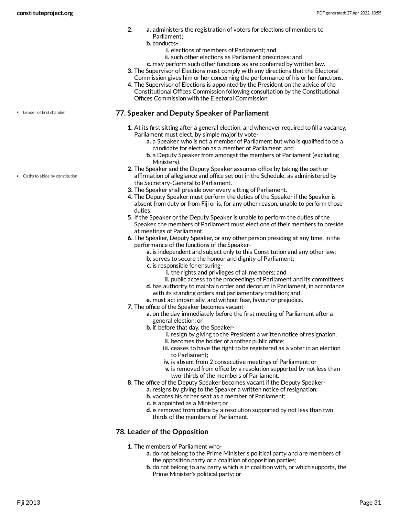- **2. a.** administers the registration of voters for elections of members to Parliament;
	- **b.** conducts
		- **i.** elections of members of Parliament; and
		- **ii.** such other elections as Parliament prescribes; and
	- **c.** may perform such other functions as are conferred by written law.
- **3.** The Supervisor of Elections must comply with any directions that the Electoral Commission gives him or her concerning the performance of his or her functions.
- **4.** The Supervisor of Elections is appointed by the President on the advice of the Constitutional Offices Commission following consultation by the Constitutional Offices Commission with the Electoral Commission.

#### **77. Speaker and Deputy Speaker of Parliament**

- **1.** At its first sitting after a general election, and whenever required to fill a vacancy, Parliament must elect, by simple majority vote
	- **a.** a Speaker, who is not a member of Parliament but who is qualified to be a candidate for election as a member of Parliament; and
	- **b.** a Deputy Speaker from amongst the members of Parliament (excluding Ministers).
- **2.** The Speaker and the Deputy Speaker assumes office by taking the oath or affirmation of allegiance and office set out in the Schedule, as administered by the Secretary-General to Parliament.
- **3.** The Speaker shall preside over every sitting of Parliament.
- **4.** The Deputy Speaker must perform the duties of the Speaker if the Speaker is absent from duty or from Fiji or is, for any other reason, unable to perform those duties.
- **5.** If the Speaker or the Deputy Speaker is unable to perform the duties of the Speaker, the members of Parliament must elect one of their members to preside at meetings of Parliament.
- **6.** The Speaker, Deputy Speaker, or any other person presiding at any time, in the performance of the functions of the Speaker
	- **a.** is independent and subject only to this Constitution and any other law;
	- **b.** serves to secure the honour and dignity of Parliament;
	- **c.** is responsible for ensuring
		- **i.** the rights and privileges of all members; and
		- **ii.** public access to the proceedings of Parliament and its committees;
	- **d.** has authority to maintain order and decorum in Parliament, in accordance with its standing orders and parliamentary tradition; and
	- **e.** must act impartially, and without fear, favour or prejudice.
- **7.** The office of the Speaker becomes vacant
	- **a.** on the day immediately before the first meeting of Parliament after a general election; or
		- **b.** if, before that day, the Speaker
			- **i.** resign by giving to the President a written notice of resignation; **ii.** becomes the holder of another public office;
			- **iii.** ceases to have the right to be registered as a voter in an election to Parliament;
			- **iv.** is absent from 2 consecutive meetings of Parliament; or
			- **v.** is removed from office by a resolution supported by not less than two-thirds of the members of Parliament.
- **8.** The office of the Deputy Speaker becomes vacant if the Deputy Speaker
	- **a.** resigns by giving to the Speaker a written notice of resignation;
		- **b.** vacates his or her seat as a member of Parliament;
		- **c.** is appointed as a Minister; or
		- **d.** is removed from office by a resolution supported by not less than two thirds of the members of Parliament.

#### **78. Leader of the Opposition**

**1.** The members of Parliament who-

- **a.** do not belong to the Prime Minister's political party and are members of the opposition party or a coalition of opposition parties;
- **b.** do not belong to any party which is in coalition with, or which supports, the Prime Minister's political party; or

Leader of first chamber

Oaths to abide by constitution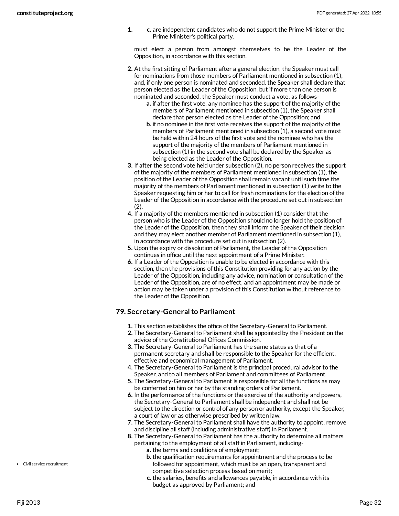**1. c.** are independent candidates who do not support the Prime Minister or the Prime Minister's political party,

must elect a person from amongst themselves to be the Leader of the Opposition, in accordance with this section.

- **2.** At the first sitting of Parliament after a general election, the Speaker must call for nominations from those members of Parliament mentioned in subsection (1), and, if only one person is nominated and seconded, the Speaker shall declare that person elected as the Leader of the Opposition, but if more than one person is nominated and seconded, the Speaker must conduct a vote, as follows
	- **a.** if after the first vote, any nominee has the support of the majority of the members of Parliament mentioned in subsection (1), the Speaker shall declare that person elected as the Leader of the Opposition; and
	- **b.** if no nominee in the first vote receives the support of the majority of the members of Parliament mentioned in subsection (1), a second vote must be held within 24 hours of the first vote and the nominee who has the support of the majority of the members of Parliament mentioned in subsection (1) in the second vote shall be declared by the Speaker as being elected as the Leader of the Opposition.
- **3.** If after the second vote held under subsection (2), no person receives the support of the majority of the members of Parliament mentioned in subsection (1), the position of the Leader of the Opposition shall remain vacant until such time the majority of the members of Parliament mentioned in subsection (1) write to the Speaker requesting him or her to call for fresh nominations for the election of the Leader of the Opposition in accordance with the procedure set out in subsection (2).
- **4.** If a majority of the members mentioned in subsection (1) consider that the person who is the Leader of the Opposition should no longer hold the position of the Leader of the Opposition, then they shall inform the Speaker of their decision and they may elect another member of Parliament mentioned in subsection (1), in accordance with the procedure set out in subsection (2).
- **5.** Upon the expiry or dissolution of Parliament, the Leader of the Opposition continues in office until the next appointment of a Prime Minister.
- **6.** If a Leader of the Opposition is unable to be elected in accordance with this section, then the provisions of this Constitution providing for any action by the Leader of the Opposition, including any advice, nomination or consultation of the Leader of the Opposition, are of no effect, and an appointment may be made or action may be taken under a provision of this Constitution without reference to the Leader of the Opposition.

#### **79. Secretary-Generalto Parliament**

- **1.** This section establishes the office of the Secretary-General to Parliament.
- **2.** The Secretary-General to Parliament shall be appointed by the President on the advice of the Constitutional Offices Commission.
- **3.** The Secretary-General to Parliament has the same status as that of a permanent secretary and shall be responsible to the Speaker for the efficient, effective and economical management of Parliament.
- **4.** The Secretary-General to Parliament is the principal procedural advisor to the Speaker, and to all members of Parliament and committees of Parliament.
- **5.** The Secretary-General to Parliament is responsible for all the functions as may be conferred on him or her by the standing orders of Parliament.
- **6.** In the performance of the functions or the exercise of the authority and powers, the Secretary-General to Parliament shall be independent and shall not be subject to the direction or control of any person or authority, except the Speaker, a court of law or as otherwise prescribed by written law.
- **7.** The Secretary-General to Parliament shall have the authority to appoint, remove and discipline all staff (including administrative staff) in Parliament.
- **8.** The Secretary-General to Parliament has the authority to determine all matters pertaining to the employment of all staff in Parliament, including
	- **a.** the terms and conditions of employment;
	- **b.** the qualification requirements for appointment and the process to be followed for appointment, which must be an open, transparent and competitive selection process based on merit;
	- **c.** the salaries, benefits and allowances payable, in accordance with its budget as approved by Parliament; and

Civil service recruitment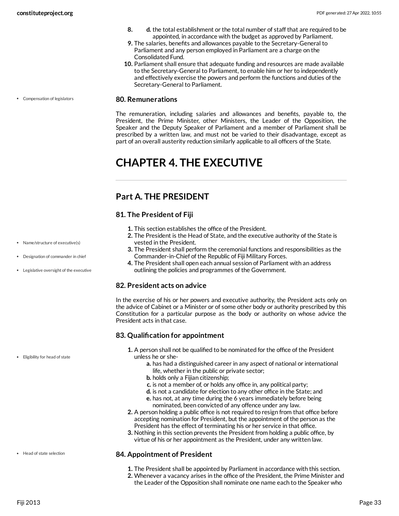- **8. d.** the total establishment or the total number of staff that are required to be appointed, in accordance with the budget as approved by Parliament.
- **9.** The salaries, benefits and allowances payable to the Secretary-General to Parliament and any person employed in Parliament are a charge on the Consolidated Fund.
- **10.** Parliament shall ensure that adequate funding and resources are made available to the Secretary-General to Parliament, to enable him or her to independently and effectively exercise the powers and perform the functions and duties of the Secretary-General to Parliament.

#### **80. Remunerations**

The remuneration, including salaries and allowances and benefits, payable to, the President, the Prime Minister, other Ministers, the Leader of the Opposition, the Speaker and the Deputy Speaker of Parliament and a member of Parliament shall be prescribed by a written law, and must not be varied to their disadvantage, except as part of an overall austerity reduction similarly applicable to all officers of the State.

## <span id="page-32-0"></span>**CHAPTER 4. THE EXECUTIVE**

### <span id="page-32-1"></span>**Part A. THE PRESIDENT**

#### **81. The President of Fiji**

- **1.** This section establishes the office of the President.
- **2.** The President is the Head of State, and the executive authority of the State is vested in the President.
- **3.** The President shall perform the ceremonial functions and responsibilities as the Commander-in-Chief of the Republic of Fiji Military Forces.
- **4.** The President shall open each annual session of Parliament with an address outlining the policies and programmes of the Government.

#### **82. President acts on advice**

In the exercise of his or her powers and executive authority, the President acts only on the advice of Cabinet or a Minister or of some other body or authority prescribed by this Constitution for a particular purpose as the body or authority on whose advice the President acts in that case.

#### **83. Qualification for appointment**

- **1.** A person shall not be qualified to be nominated for the office of the President unless he or she
	- **a.** has had a distinguished career in any aspect of national or international life, whether in the public or private sector;
	- **b.** holds only a Fijian citizenship;
	- **c.** is not a member of, or holds any office in, any political party;
	- **d.** is not a candidate for election to any other office in the State; and
	- **e.** has not, at any time during the 6 years immediately before being nominated, been convicted of any offence under any law.
- **2.** A person holding a public office is not required to resign from that office before accepting nomination for President, but the appointment of the person as the President has the effect of terminating his or her service in that office.
- **3.** Nothing in this section prevents the President from holding a public office, by virtue of his or her appointment as the President, under any written law.

#### **84. Appointment of President**

- **1.** The President shall be appointed by Parliament in accordance with this section.
- **2.** Whenever a vacancy arises in the office of the President, the Prime Minister and the Leader of the Opposition shall nominate one name each to the Speaker who

Compensation of legislators

- Name/structure of executive(s)
- Designation of commander in chief
- Legislative oversight of the executive

Eligibility for head of state

Head of state selection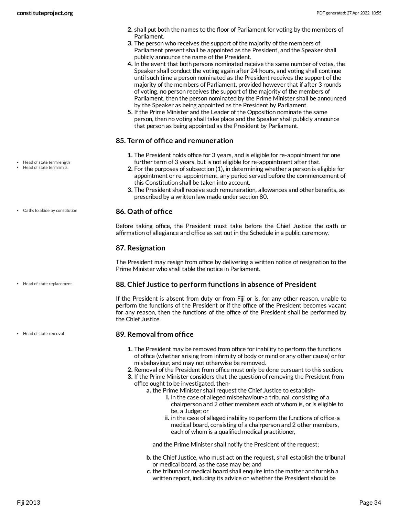- **2.** shall put both the names to the floor of Parliament for voting by the members of Parliament.
- **3.** The person who receives the support of the majority of the members of Parliament present shall be appointed as the President, and the Speaker shall publicly announce the name of the President.
- **4.** In the event that both persons nominated receive the same number of votes, the Speaker shall conduct the voting again after 24 hours, and voting shall continue until such time a person nominated as the President receives the support of the majority of the members of Parliament, provided however that if after 3 rounds of voting, no person receives the support of the majority of the members of Parliament, then the person nominated by the Prime Minister shall be announced by the Speaker as being appointed as the President by Parliament.
- **5.** If the Prime Minister and the Leader of the Opposition nominate the same person, then no voting shall take place and the Speaker shall publicly announce that person as being appointed as the President by Parliament.

#### **85. Term of office and remuneration**

- **1.** The President holds office for 3 years, and is eligible for re-appointment for one further term of 3 years, but is not eligible for re-appointment after that.
- **2.** For the purposes of subsection (1), in determining whether a person is eligible for appointment or re-appointment, any period served before the commencement of this Constitution shall be taken into account.
- **3.** The President shall receive such remuneration, allowances and other benefits, as prescribed by a written law made under section 80.

#### **86. Oath of office**

Before taking office, the President must take before the Chief Justice the oath or affirmation of allegiance and office as set out in the Schedule in a public ceremony.

#### **87. Resignation**

The President may resign from office by delivering a written notice of resignation to the Prime Minister who shall table the notice in Parliament.

#### **88. Chief Justice to perform functions in absence of President**

If the President is absent from duty or from Fiji or is, for any other reason, unable to perform the functions of the President or if the office of the President becomes vacant for any reason, then the functions of the office of the President shall be performed by the Chief Justice.

#### **89. Removal from office**

- **1.** The President may be removed from office for inability to perform the functions of office (whether arising from infirmity of body or mind or any other cause) or for misbehaviour, and may not otherwise be removed.
- **2.** Removal of the President from office must only be done pursuant to this section.
- **3.** If the Prime Minister considers that the question of removing the President from office ought to be investigated, then
	- **a.** the Prime Minister shall request the Chief Justice to establish
		- **i.** in the case of alleged misbehaviour-a tribunal, consisting of a chairperson and 2 other members each of whom is, or is eligible to be, a Judge; or
		- **ii.** in the case of alleged inability to perform the functions of office-a medical board, consisting of a chairperson and 2 other members, each of whom is a qualified medical practitioner,

and the Prime Minister shall notify the President of the request;

- **b.** the Chief Justice, who must act on the request, shall establish the tribunal or medical board, as the case may be; and
- **c.** the tribunal or medical board shall enquire into the matter and furnish a written report, including its advice on whether the President should be

Head of state term length Head of state term limits

Oaths to abide by constitution

• Head of state removal

• Head of state replacement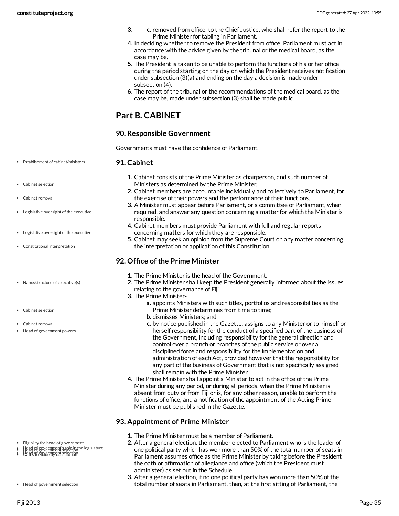- **3. c.** removed from office, to the Chief Justice, who shall refer the report to the Prime Minister for tabling in Parliament.
- **4.** In deciding whether to remove the President from office, Parliament must act in accordance with the advice given by the tribunal or the medical board, as the case may be.
- **5.** The President is taken to be unable to perform the functions of his or her office during the period starting on the day on which the President receives notification under subsection (3)(a) and ending on the day a decision is made under subsection (4).
- **6.** The report of the tribunal or the recommendations of the medical board, as the case may be, made under subsection (3) shall be made public.

### <span id="page-34-0"></span>**Part B. CABINET**

#### **90. Responsible Government**

Governments must have the confidence of Parliament.

- **91. Cabinet**
	- **1.** Cabinet consists of the Prime Minister as chairperson, and such number of Ministers as determined by the Prime Minister.
		- **2.** Cabinet members are accountable individually and collectively to Parliament, for the exercise of their powers and the performance of their functions.
		- **3.** A Minister must appear before Parliament, or a committee of Parliament, when required, and answer any question concerning a matter for which the Minister is responsible.
		- **4.** Cabinet members must provide Parliament with full and regular reports concerning matters for which they are responsible.
	- **5.** Cabinet may seek an opinion from the Supreme Court on any matter concerning the interpretation or application of this Constitution.

#### **92. Office of the Prime Minister**

- **1.** The Prime Minister is the head of the Government.
- **2.** The Prime Minister shall keep the President generally informed about the issues relating to the governance of Fiji.
- **3.** The Prime Minister
	- **a.** appoints Ministers with such titles, portfolios and responsibilities as the Prime Minister determines from time to time;
	- **b.** dismisses Ministers; and
	- **c.** by notice published in the Gazette, assigns to any Minister or to himself or herself responsibility for the conduct of a specified part of the business of the Government, including responsibility for the general direction and control over a branch or branches of the public service or over a disciplined force and responsibility for the implementation and administration of each Act, provided however that the responsibility for any part of the business of Government that is not specifically assigned shall remain with the Prime Minister.
- **4.** The Prime Minister shall appoint a Minister to act in the office of the Prime Minister during any period, or during all periods, when the Prime Minister is absent from duty or from Fiji or is, for any other reason, unable to perform the functions of office, and a notification of the appointment of the Acting Prime Minister must be published in the Gazette.

### **93. Appointment of Prime Minister**

- **1.** The Prime Minister must be a member of Parliament.
- **2.** After a general election, the member elected to Parliament who is the leader of one political party which has won more than 50% of the total number of seats in Parliament assumes office as the Prime Minister by taking before the President the oath or affirmation of allegiance and office (which the President must administer) as set out in the Schedule.
- **3.** After a general election, if no one political party has won more than 50% of the total number of seats in Parliament, then, at the first sitting of Parliament, the
- Establishment of cabinet/ministers
- Cabinet selection
- Cabinet removal
- Legislative oversight of the executive
- Legislative oversight of the executive
- Constitutional interpretation
- Name/structure of executive(s)
- Cabinet selection
- Cabinet removal
- Head of government powers

Eligibility for head of government

• Head of government selection

Head of government's role in the legislature Head of government selection Head of government selection Oaths to abide by constitution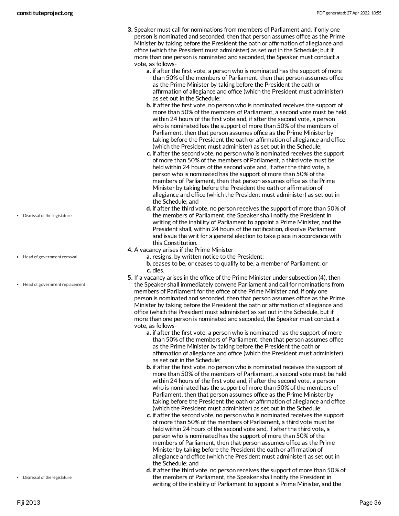- **3.** Speaker must call for nominations from members of Parliament and, if only one person is nominated and seconded, then that person assumes office as the Prime Minister by taking before the President the oath or affirmation of allegiance and office (which the President must administer) as set out in the Schedule; but if more than one person is nominated and seconded, the Speaker must conduct a vote, as follows
	- **a.** if after the first vote, a person who is nominated has the support of more than 50% of the members of Parliament, then that person assumes office as the Prime Minister by taking before the President the oath or affirmation of allegiance and office (which the President must administer) as set out in the Schedule;
	- **b.** if after the first vote, no person who is nominated receives the support of more than 50% of the members of Parliament, a second vote must be held within 24 hours of the first vote and, if after the second vote, a person who is nominated has the support of more than 50% of the members of Parliament, then that person assumes office as the Prime Minister by taking before the President the oath or affirmation of allegiance and office (which the President must administer) as set out in the Schedule;
	- **c.** if after the second vote, no person who is nominated receives the support of more than 50% of the members of Parliament, a third vote must be held within 24 hours of the second vote and, if after the third vote, a person who is nominated has the support of more than 50% of the members of Parliament, then that person assumes office as the Prime Minister by taking before the President the oath or affirmation of allegiance and office (which the President must administer) as set out in the Schedule; and
	- **d.** if after the third vote, no person receives the support of more than 50% of the members of Parliament, the Speaker shall notify the President in writing of the inability of Parliament to appoint a Prime Minister, and the President shall, within 24 hours of the notification, dissolve Parliament and issue the writ for a general election to take place in accordance with this Constitution.
- **4.** A vacancy arises if the Prime Minister-

**a.** resigns, by written notice to the President;

**b.** ceases to be, or ceases to qualify to be, a member of Parliament; or **c.** dies.

- **5.** If a vacancy arises in the office of the Prime Minister under subsection (4), then the Speaker shall immediately convene Parliament and call for nominations from members of Parliament for the office of the Prime Minister and, if only one person is nominated and seconded, then that person assumes office as the Prime Minister by taking before the President the oath or affirmation of allegiance and office (which the President must administer) as set out in the Schedule, but if more than one person is nominated and seconded, the Speaker must conduct a vote, as follows
	- **a.** if after the first vote, a person who is nominated has the support of more than 50% of the members of Parliament, then that person assumes office as the Prime Minister by taking before the President the oath or affirmation of allegiance and office (which the President must administer) as set out in the Schedule;
	- **b.** if after the first vote, no person who is nominated receives the support of more than 50% of the members of Parliament, a second vote must be held within 24 hours of the first vote and, if after the second vote, a person who is nominated has the support of more than 50% of the members of Parliament, then that person assumes office as the Prime Minister by taking before the President the oath or affirmation of allegiance and office (which the President must administer) as set out in the Schedule;
	- **c.** if after the second vote, no person who is nominated receives the support of more than 50% of the members of Parliament, a third vote must be held within 24 hours of the second vote and, if after the third vote, a person who is nominated has the support of more than 50% of the members of Parliament, then that person assumes office as the Prime Minister by taking before the President the oath or affirmation of allegiance and office (which the President must administer) as set out in the Schedule; and
	- **d.** if after the third vote, no person receives the support of more than 50% of the members of Parliament, the Speaker shall notify the President in writing of the inability of Parliament to appoint a Prime Minister, and the

Dismissal of the legislature

- Head of government removal
- Head of government replacement

Dismissal of the legislature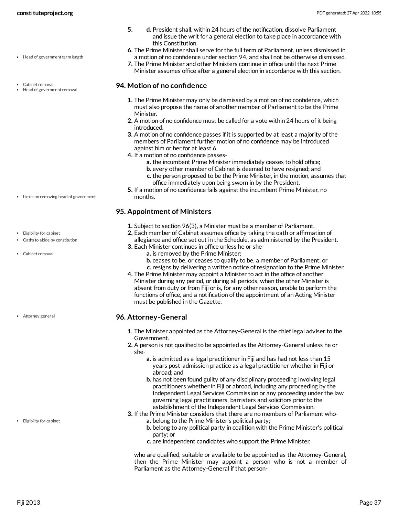• Head of government term length

Head of government removal

Cabinet removal

- **5. d.** President shall, within 24 hours of the notification, dissolve Parliament and issue the writ for a general election to take place in accordance with this Constitution.
	- **6.** The Prime Minister shall serve for the full term of Parliament, unless dismissed in a motion of no confidence under section 94, and shall not be otherwise dismissed.
	- **7.** The Prime Minister and other Ministers continue in office until the next Prime Minister assumes office after a general election in accordance with this section.

#### **94. Motion of no confidence**

- **1.** The Prime Minister may only be dismissed by a motion of no confidence, which must also propose the name of another member of Parliament to be the Prime Minister.
- **2.** A motion of no confidence must be called for a vote within 24 hours of it being introduced.
- **3.** A motion of no confidence passes if it is supported by at least a majority of the members of Parliament further motion of no confidence may be introduced against him or her for at least 6
- **4.** If a motion of no confidence passes
	- **a.** the incumbent Prime Minister immediately ceases to hold office;
	- **b.** every other member of Cabinet is deemed to have resigned; and
	- **c.** the person proposed to be the Prime Minister, in the motion, assumes that office immediately upon being sworn in by the President.
- **5.** If a motion of no confidence fails against the incumbent Prime Minister, no months.

#### **95. Appointment of Ministers**

- **1.** Subject to section 96(3), a Minister must be a member of Parliament.
- **2.** Each member of Cabinet assumes office by taking the oath or affirmation of allegiance and office set out in the Schedule, as administered by the President.
- **3.** Each Minister continues in office unless he or she
	- **a.** is removed by the Prime Minister;
		- **b.** ceases to be, or ceases to qualify to be, a member of Parliament; or **c.** resigns by delivering a written notice of resignation to the Prime Minister.
- **4.** The Prime Minister may appoint a Minister to act in the office of another Minister during any period, or during all periods, when the other Minister is absent from duty or from Fiji or is, for any other reason, unable to perform the functions of office, and a notification of the appointment of an Acting Minister must be published in the Gazette.

### **96. Attorney-General**

- **1.** The Minister appointed as the Attorney-General is the chief legal adviser to the Government.
- **2.** A person is not qualified to be appointed as the Attorney-General unless he or she
	- **a.** is admitted as a legal practitioner in Fiji and has had not less than 15 years post-admission practice as a legal practitioner whether in Fiji or abroad; and
	- **b.** has not been found guilty of any disciplinary proceeding involving legal practitioners whether in Fiji or abroad, including any proceeding by the Independent Legal Services Commission or any proceeding under the law governing legal practitioners, barristers and solicitors prior to the establishment of the Independent Legal Services Commission.
- **3.** If the Prime Minister considers that there are no members of Parliament who
	- **a.** belong to the Prime Minister's political party;
	- **b.** belong to any political party in coalition with the Prime Minister's political party; or
	- **c.** are independent candidates who support the Prime Minister,

who are qualified, suitable or available to be appointed as the Attorney-General, then the Prime Minister may appoint a person who is not a member of Parliament as the Attorney-General if that person-

Limits on removing head of government

Eligibility for cabinet

- Oaths to abide by constitution
- Cabinet removal

Attorney general

Eligibility for cabinet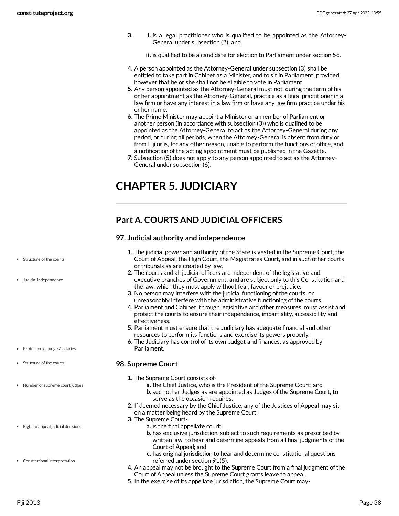- **3. i.** is a legal practitioner who is qualified to be appointed as the Attorney-General under subsection (2); and
	- **ii.** is qualified to be a candidate for election to Parliament under section 56.
- **4.** A person appointed as the Attorney-General under subsection (3) shall be entitled to take part in Cabinet as a Minister, and to sit in Parliament, provided however that he or she shall not be eligible to vote in Parliament.
- **5.** Any person appointed as the Attorney-General must not, during the term of his or her appointment as the Attorney-General, practice as a legal practitioner in a law firm or have any interest in a law firm or have any law firm practice under his or her name.
- **6.** The Prime Minister may appoint a Minister or a member of Parliament or another person (in accordance with subsection (3)) who is qualified to be appointed as the Attorney-General to act as the Attorney-General during any period, or during all periods, when the Attorney-General is absent from duty or from Fiji or is, for any other reason, unable to perform the functions of office, and a notification of the acting appointment must be published in the Gazette.
- **7.** Subsection (5) does not apply to any person appointed to act as the Attorney-General under subsection (6).

# **CHAPTER 5. JUDICIARY**

# **Part A. COURTS AND JUDICIAL OFFICERS**

### **97. Judicial authority and independence**

- **1.** The judicial power and authority of the State is vested in the Supreme Court, the Court of Appeal, the High Court, the Magistrates Court, and in such other courts or tribunals as are created by law.
- **2.** The courts and all judicial officers are independent of the legislative and executive branches of Government, and are subject only to this Constitution and the law, which they must apply without fear, favour or prejudice.
- **3.** No person may interfere with the judicial functioning of the courts, or unreasonably interfere with the administrative functioning of the courts.
- **4.** Parliament and Cabinet, through legislative and other measures, must assist and protect the courts to ensure their independence, impartiality, accessibility and effectiveness.
- **5.** Parliament must ensure that the Judiciary has adequate financial and other resources to perform its functions and exercise its powers properly.
- **6.** The Judiciary has control of its own budget and finances, as approved by Parliament.

### **98. Supreme Court**

- **1.** The Supreme Court consists of
	- **a.** the Chief Justice, who is the President of the Supreme Court; and **b.** such other Judges as are appointed as Judges of the Supreme Court, to serve as the occasion requires.
- **2.** If deemed necessary by the Chief Justice, any of the Justices of Appeal may sit on a matter being heard by the Supreme Court.
- **3.** The Supreme Court
	- **a.** is the final appellate court;
		- **b.** has exclusive jurisdiction, subject to such requirements as prescribed by written law, to hear and determine appeals from all final judgments of the Court of Appeal; and
		- **c.** has original jurisdiction to hear and determine constitutional questions referred under section 91(5).
- **4.** An appeal may not be brought to the Supreme Court from a final judgment of the Court of Appeal unless the Supreme Court grants leave to appeal.
- **5.** In the exercise of its appellate jurisdiction, the Supreme Court may-
- Structure of the courts
- Judicial independence

- Protection of judges' salaries
- Structure of the courts
- Number of supreme court judges
- Right to appeal judicial decisions
- Constitutional interpretation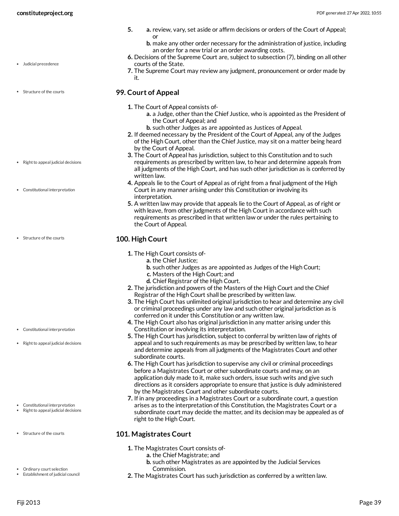- **5. a.** review, vary, set aside or affirm decisions or orders of the Court of Appeal; or
	- **b.** make any other order necessary for the administration of justice, including an order for a new trial or an order awarding costs.
- **6.** Decisions of the Supreme Court are, subject to subsection (7), binding on all other courts of the State.
- **7.** The Supreme Court may review any judgment, pronouncement or order made by it.

Structure of the courts

Judicial precedence

### **99. Court of Appeal**

- **1.** The Court of Appeal consists of
	- **a.** a Judge, other than the Chief Justice, who is appointed as the President of the Court of Appeal; and
		- **b.** such other Judges as are appointed as Justices of Appeal.
- **2.** If deemed necessary by the President of the Court of Appeal, any of the Judges of the High Court, other than the Chief Justice, may sit on a matter being heard by the Court of Appeal.
- **3.** The Court of Appeal has jurisdiction, subject to this Constitution and to such requirements as prescribed by written law, to hear and determine appeals from all judgments of the High Court, and has such other jurisdiction as is conferred by written law.
- **4.** Appeals lie to the Court of Appeal as of right from a final judgment of the High Court in any manner arising under this Constitution or involving its interpretation.
- **5.** A written law may provide that appeals lie to the Court of Appeal, as of right or with leave, from other judgments of the High Court in accordance with such requirements as prescribed in that written law or under the rules pertaining to the Court of Appeal.

### **100. High Court**

- **1.** The High Court consists of
	- **a.** the Chief Justice;
	- **b.** such other Judges as are appointed as Judges of the High Court;
	- **c.** Masters of the High Court; and
	- **d.** Chief Registrar of the High Court.
- **2.** The jurisdiction and powers of the Masters of the High Court and the Chief Registrar of the High Court shall be prescribed by written law.
- **3.** The High Court has unlimited original jurisdiction to hear and determine any civil or criminal proceedings under any law and such other original jurisdiction as is conferred on it under this Constitution or any written law.
- **4.** The High Court also has original jurisdiction in any matter arising under this Constitution or involving its interpretation.
- **5.** The High Court has jurisdiction, subject to conferral by written law of rights of appeal and to such requirements as may be prescribed by written law, to hear and determine appeals from all judgments of the Magistrates Court and other subordinate courts.
- **6.** The High Court has jurisdiction to supervise any civil or criminal proceedings before a Magistrates Court or other subordinate courts and may, on an application duly made to it, make such orders, issue such writs and give such directions as it considers appropriate to ensure that justice is duly administered by the Magistrates Court and other subordinate courts.
- **7.** If in any proceedings in a Magistrates Court or a subordinate court, a question arises as to the interpretation of this Constitution, the Magistrates Court or a subordinate court may decide the matter, and its decision may be appealed as of right to the High Court.

### **101. Magistrates Court**

- **1.** The Magistrates Court consists of
	- **a.** the Chief Magistrate; and
		- **b.** such other Magistrates as are appointed by the Judicial Services Commission.
- **2.** The Magistrates Court has such jurisdiction as conferred by a written law.
- Right to appeal judicial decisions
- Constitutional interpretation
- Structure of the courts

- Constitutional interpretation
- Right to appeal judicial decisions

- Constitutional interpretation Right to appeal judicial decisions
- Structure of the courts
- Ordinary court selection Establishment of judicial council
-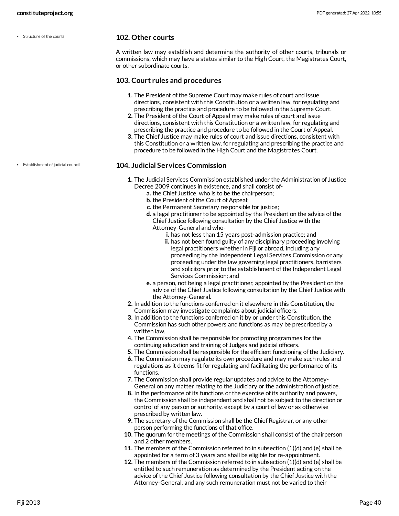Structure of the courts

#### **102. Other courts**

A written law may establish and determine the authority of other courts, tribunals or commissions, which may have a status similar to the High Court, the Magistrates Court, or other subordinate courts.

#### **103. Court rules and procedures**

- **1.** The President of the Supreme Court may make rules of court and issue directions, consistent with this Constitution or a written law, for regulating and prescribing the practice and procedure to be followed in the Supreme Court.
- **2.** The President of the Court of Appeal may make rules of court and issue directions, consistent with this Constitution or a written law, for regulating and prescribing the practice and procedure to be followed in the Court of Appeal.
- **3.** The Chief Justice may make rules of court and issue directions, consistent with this Constitution or a written law, for regulating and prescribing the practice and procedure to be followed in the High Court and the Magistrates Court.

#### **104. Judicial Services Commission**

- **1.** The Judicial Services Commission established under the Administration of Justice Decree 2009 continues in existence, and shall consist of
	- **a.** the Chief Justice, who is to be the chairperson;
	- **b.** the President of the Court of Appeal;
	- **c.** the Permanent Secretary responsible for justice;
	- **d.** a legal practitioner to be appointed by the President on the advice of the Chief Justice following consultation by the Chief Justice with the Attorney-General and who
		- **i.** has not less than 15 years post-admission practice; and
		- **ii.** has not been found guilty of any disciplinary proceeding involving legal practitioners whether in Fiji or abroad, including any proceeding by the Independent Legal Services Commission or any proceeding under the law governing legal practitioners, barristers and solicitors prior to the establishment of the Independent Legal Services Commission; and
	- **e.** a person, not being a legal practitioner, appointed by the President on the advice of the Chief Justice following consultation by the Chief Justice with the Attorney-General.
- **2.** In addition to the functions conferred on it elsewhere in this Constitution, the Commission may investigate complaints about judicial officers.
- **3.** In addition to the functions conferred on it by or under this Constitution, the Commission has such other powers and functions as may be prescribed by a written law.
- **4.** The Commission shall be responsible for promoting programmes for the continuing education and training of Judges and judicial officers.
- **5.** The Commission shall be responsible for the efficient functioning of the Judiciary.
- **6.** The Commission may regulate its own procedure and may make such rules and regulations as it deems fit for regulating and facilitating the performance of its functions.
- **7.** The Commission shall provide regular updates and advice to the Attorney-General on any matter relating to the Judiciary or the administration of justice.
- **8.** In the performance of its functions or the exercise of its authority and powers, the Commission shall be independent and shall not be subject to the direction or control of any person or authority, except by a court of law or as otherwise prescribed by written law.
- **9.** The secretary of the Commission shall be the Chief Registrar, or any other person performing the functions of that office.
- **10.** The quorum for the meetings of the Commission shall consist of the chairperson and 2 other members.
- **11.** The members of the Commission referred to in subsection (1)(d) and (e) shall be appointed for a term of 3 years and shall be eligible for re-appointment.
- **12.** The members of the Commission referred to in subsection (1)(d) and (e) shall be entitled to such remuneration as determined by the President acting on the advice of the Chief Justice following consultation by the Chief Justice with the Attorney-General, and any such remuneration must not be varied to their

Establishment of judicial council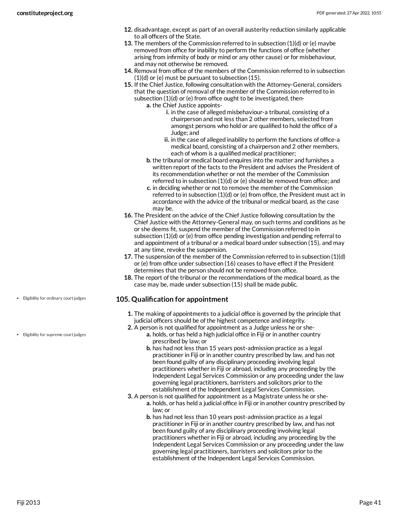- **12.** disadvantage, except as part of an overall austerity reduction similarly applicable to all officers of the State.
- **13.** The members of the Commission referred to in subsection (1)(d) or (e) maybe removed from office for inability to perform the functions of office (whether arising from infirmity of body or mind or any other cause) or for misbehaviour, and may not otherwise be removed.
- **14.** Removal from office of the members of the Commission referred to in subsection (1)(d) or (e) must be pursuant to subsection (15).
- **15.** If the Chief Justice, following consultation with the Attorney-General, considers that the question of removal of the member of the Commission referred to in subsection (1)(d) or (e) from office ought to be investigated, then**a.** the Chief Justice appoints
	- **i.** in the case of alleged misbehaviour-a tribunal, consisting of a chairperson and not less than 2 other members, selected from amongst persons who hold or are qualified to hold the office of a
		- Judge; and **ii.** in the case of alleged inability to perform the functions of office-a medical board, consisting of a chairperson and 2 other members, each of whom is a qualified medical practitioner;
	- **b.** the tribunal or medical board enquires into the matter and furnishes a written report of the facts to the President and advises the President of its recommendation whether or not the member of the Commission referred to in subsection (1)(d) or (e) should be removed from office; and
	- **c.** in deciding whether or not to remove the member of the Commission referred to in subsection (1)(d) or (e) from office, the President must act in accordance with the advice of the tribunal or medical board, as the case may be.
- **16.** The President on the advice of the Chief Justice following consultation by the Chief Justice with the Attorney-General may, on such terms and conditions as he or she deems fit, suspend the member of the Commission referred to in subsection (1)(d) or (e) from office pending investigation and pending referral to and appointment of a tribunal or a medical board under subsection (15), and may at any time, revoke the suspension.
- **17.** The suspension of the member of the Commission referred to in subsection (1)(d) or (e) from office under subsection (16) ceases to have effect if the President determines that the person should not be removed from office.
- **18.** The report of the tribunal or the recommendations of the medical board, as the case may be, made under subsection (15) shall be made public.

### **105. Qualification for appointment**

- **1.** The making of appointments to a judicial office is governed by the principle that judicial officers should be of the highest competence and integrity.
- **2.** A person is not qualified for appointment as a Judge unless he or she**a.** holds, or has held a high judicial office in Fiji or in another country prescribed by law; or
	- **b.** has had not less than 15 years post-admission practice as a legal practitioner in Fiji or in another country prescribed by law, and has not been found guilty of any disciplinary proceeding involving legal practitioners whether in Fiji or abroad, including any proceeding by the Independent Legal Services Commission or any proceeding under the law governing legal practitioners, barristers and solicitors prior to the establishment of the Independent Legal Services Commission.
- **3.** A person is not qualified for appointment as a Magistrate unless he or she
	- **a.** holds, or has held a judicial office in Fiji or in another country prescribed by law; or
		- **b.** has had not less than 10 years post-admission practice as a legal practitioner in Fiji or in another country prescribed by law, and has not been found guilty of any disciplinary proceeding involving legal practitioners whether in Fiji or abroad, including any proceeding by the Independent Legal Services Commission or any proceeding under the law governing legal practitioners, barristers and solicitors prior to the establishment of the Independent Legal Services Commission.

• Eligibility for ordinary court judges

• Eligibility for supreme court judges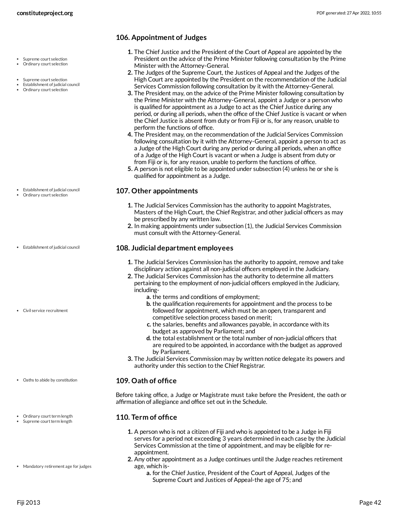- Supreme court selection
- Ordinary court selection
- Supreme court selection
- Establishment of judicial council
- Ordinary court selection

- Establishment of judicial council
- Ordinary court selection
- Establishment of judicial council

Civil service recruitment

Oaths to abide by constitution

Ordinary court term length Supreme court term length

• Mandatory retirement age for judges

**109. Oath of office**

Before taking office, a Judge or Magistrate must take before the President, the oath or affirmation of allegiance and office set out in the Schedule.

### **110. Term of office**

- **1.** A person who is not a citizen of Fiji and who is appointed to be a Judge in Fiji serves for a period not exceeding 3 years determined in each case by the Judicial Services Commission at the time of appointment, and may be eligible for reappointment.
- **2.** Any other appointment as a Judge continues until the Judge reaches retirement age, which is
	- **a.** for the Chief Justice, President of the Court of Appeal, Judges of the Supreme Court and Justices of Appeal-the age of 75; and
- **1.** The Chief Justice and the President of the Court of Appeal are appointed by the President on the advice of the Prime Minister following consultation by the Prime Minister with the Attorney-General.
- **2.** The Judges of the Supreme Court, the Justices of Appeal and the Judges of the High Court are appointed by the President on the recommendation of the Judicial Services Commission following consultation by it with the Attorney-General.
- **3.** The President may, on the advice of the Prime Minister following consultation by the Prime Minister with the Attorney-General, appoint a Judge or a person who is qualified for appointment as a Judge to act as the Chief Justice during any period, or during all periods, when the office of the Chief Justice is vacant or when the Chief Justice is absent from duty or from Fiji or is, for any reason, unable to perform the functions of office.
- **4.** The President may, on the recommendation of the Judicial Services Commission following consultation by it with the Attorney-General, appoint a person to act as a Judge of the High Court during any period or during all periods, when an office of a Judge of the High Court is vacant or when a Judge is absent from duty or from Fiji or is, for any reason, unable to perform the functions of office.
- **5.** A person is not eligible to be appointed under subsection (4) unless he or she is qualified for appointment as a Judge.

#### **107. Other appointments**

- **1.** The Judicial Services Commission has the authority to appoint Magistrates, Masters of the High Court, the Chief Registrar, and other judicial officers as may be prescribed by any written law.
- **2.** In making appointments under subsection (1), the Judicial Services Commission must consult with the Attorney-General.

#### **108. Judicial department employees**

- **1.** The Judicial Services Commission has the authority to appoint, remove and take disciplinary action against all non-judicial officers employed in the Judiciary.
- **2.** The Judicial Services Commission has the authority to determine all matters pertaining to the employment of non-judicial officers employed in the Judiciary, including
	- **a.** the terms and conditions of employment;
	- **b.** the qualification requirements for appointment and the process to be followed for appointment, which must be an open, transparent and competitive selection process based on merit;
	- **c.** the salaries, benefits and allowances payable, in accordance with its budget as approved by Parliament; and
	- **d.** the total establishment or the total number of non-judicial officers that are required to be appointed, in accordance with the budget as approved by Parliament.
- **3.** The Judicial Services Commission may by written notice delegate its powers and authority under this section to the Chief Registrar.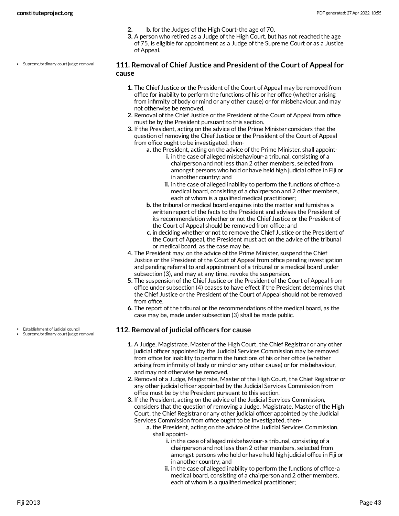- **2. b.** for the Judges of the High Court-the age of 70.
- **3.** A person who retired as a Judge of the High Court, but has not reached the age of 75, is eligible for appointment as a Judge of the Supreme Court or as a Justice of Appeal.
- **111. Removal of Chief Justice and President of the Court of Appeal for cause**
	- **1.** The Chief Justice or the President of the Court of Appeal may be removed from office for inability to perform the functions of his or her office (whether arising from infirmity of body or mind or any other cause) or for misbehaviour, and may not otherwise be removed.
	- **2.** Removal of the Chief Justice or the President of the Court of Appeal from office must be by the President pursuant to this section.
	- **3.** If the President, acting on the advice of the Prime Minister considers that the question of removing the Chief Justice or the President of the Court of Appeal from office ought to be investigated, then
		- **a.** the President, acting on the advice of the Prime Minister, shall appoint**i.** in the case of alleged misbehaviour-a tribunal, consisting of a chairperson and not less than 2 other members, selected from amongst persons who hold or have held high judicial office in Fiji or in another country; and
			- **ii.** in the case of alleged inability to perform the functions of office-a medical board, consisting of a chairperson and 2 other members, each of whom is a qualified medical practitioner;
		- **b.** the tribunal or medical board enquires into the matter and furnishes a written report of the facts to the President and advises the President of its recommendation whether or not the Chief Justice or the President of the Court of Appeal should be removed from office; and
		- **c.** in deciding whether or not to remove the Chief Justice or the President of the Court of Appeal, the President must act on the advice of the tribunal or medical board, as the case may be.
	- **4.** The President may, on the advice of the Prime Minister, suspend the Chief Justice or the President of the Court of Appeal from office pending investigation and pending referral to and appointment of a tribunal or a medical board under subsection (3), and may at any time, revoke the suspension.
	- **5.** The suspension of the Chief Justice or the President of the Court of Appeal from office under subsection (4) ceases to have effect if the President determines that the Chief Justice or the President of the Court of Appeal should not be removed from office.
	- **6.** The report of the tribunal or the recommendations of the medical board, as the case may be, made under subsection (3) shall be made public.

### **112. Removal of judicial officers for cause**

- **1.** A Judge, Magistrate, Master of the High Court, the Chief Registrar or any other judicial officer appointed by the Judicial Services Commission may be removed from office for inability to perform the functions of his or her office (whether arising from infirmity of body or mind or any other cause) or for misbehaviour, and may not otherwise be removed.
- **2.** Removal of a Judge, Magistrate, Master of the High Court, the Chief Registrar or any other judicial officer appointed by the Judicial Services Commission from office must be by the President pursuant to this section.
- **3.** If the President, acting on the advice of the Judicial Services Commission, considers that the question of removing a Judge, Magistrate, Master of the High Court, the Chief Registrar or any other judicial officer appointed by the Judicial Services Commission from office ought to be investigated, then
	- **a.** the President, acting on the advice of the Judicial Services Commission, shall appoint
		- **i.** in the case of alleged misbehaviour-a tribunal, consisting of a chairperson and not less than 2 other members, selected from amongst persons who hold or have held high judicial office in Fiji or in another country; and
		- **ii.** in the case of alleged inability to perform the functions of office-a medical board, consisting of a chairperson and 2 other members, each of whom is a qualified medical practitioner;

• Supreme/ordinary court judge removal

- Establishment of judicial council
- Supreme/ordinary court judge removal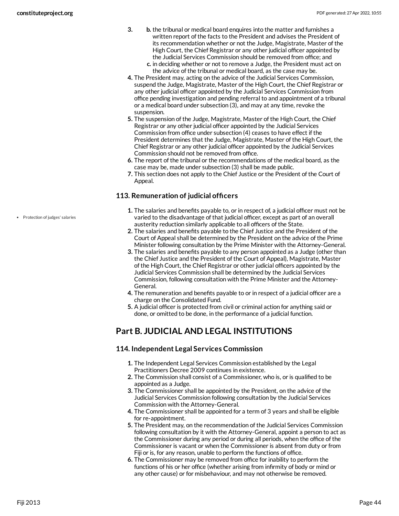- **3. b.** the tribunal or medical board enquires into the matter and furnishes a written report of the facts to the President and advises the President of its recommendation whether or not the Judge, Magistrate, Master of the High Court, the Chief Registrar or any other judicial officer appointed by the Judicial Services Commission should be removed from office; and
	- **c.** in deciding whether or not to remove a Judge, the President must act on the advice of the tribunal or medical board, as the case may be.
- **4.** The President may, acting on the advice of the Judicial Services Commission, suspend the Judge, Magistrate, Master of the High Court, the Chief Registrar or any other judicial officer appointed by the Judicial Services Commission from office pending investigation and pending referral to and appointment of a tribunal or a medical board under subsection (3), and may at any time, revoke the suspension.
- **5.** The suspension of the Judge, Magistrate, Master of the High Court, the Chief Registrar or any other judicial officer appointed by the Judicial Services Commission from office under subsection (4) ceases to have effect if the President determines that the Judge, Magistrate, Master of the High Court, the Chief Registrar or any other judicial officer appointed by the Judicial Services Commission should not be removed from office.
- **6.** The report of the tribunal or the recommendations of the medical board, as the case may be, made under subsection (3) shall be made public.
- **7.** This section does not apply to the Chief Justice or the President of the Court of Appeal.

### **113. Remuneration of judicial officers**

- **1.** The salaries and benefits payable to, or in respect of, a judicial officer must not be varied to the disadvantage of that judicial officer, except as part of an overall austerity reduction similarly applicable to all officers of the State.
- **2.** The salaries and benefits payable to the Chief Justice and the President of the Court of Appeal shall be determined by the President on the advice of the Prime Minister following consultation by the Prime Minister with the Attorney-General.
- **3.** The salaries and benefits payable to any person appointed as a Judge (other than the Chief Justice and the President of the Court of Appeal), Magistrate, Master of the High Court, the Chief Registrar or other judicial officers appointed by the Judicial Services Commission shall be determined by the Judicial Services Commission, following consultation with the Prime Minister and the Attorney-General.
- **4.** The remuneration and benefits payable to or in respect of a judicial officer are a charge on the Consolidated Fund.
- **5.** A judicial officer is protected from civil or criminal action for anything said or done, or omitted to be done, in the performance of a judicial function.

## **Part B. JUDICIAL AND LEGAL INSTITUTIONS**

### **114. Independent Legal Services Commission**

- **1.** The Independent Legal Services Commission established by the Legal Practitioners Decree 2009 continues in existence.
- **2.** The Commission shall consist of a Commissioner, who is, or is qualified to be appointed as a Judge.
- **3.** The Commissioner shall be appointed by the President, on the advice of the Judicial Services Commission following consultation by the Judicial Services Commission with the Attorney-General.
- **4.** The Commissioner shall be appointed for a term of 3 years and shall be eligible for re-appointment.
- **5.** The President may, on the recommendation of the Judicial Services Commission following consultation by it with the Attorney-General, appoint a person to act as the Commissioner during any period or during all periods, when the office of the Commissioner is vacant or when the Commissioner is absent from duty or from Fiji or is, for any reason, unable to perform the functions of office.
- **6.** The Commissioner may be removed from office for inability to perform the functions of his or her office (whether arising from infirmity of body or mind or any other cause) or for misbehaviour, and may not otherwise be removed.

Protection of judges' salaries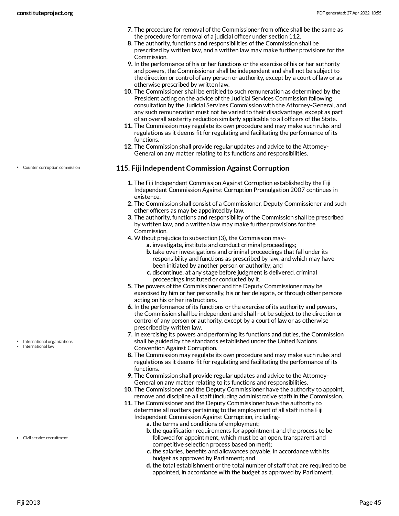- **7.** The procedure for removal of the Commissioner from office shall be the same as the procedure for removal of a judicial officer under section 112.
- **8.** The authority, functions and responsibilities of the Commission shall be prescribed by written law, and a written law may make further provisions for the Commission.
- **9.** In the performance of his or her functions or the exercise of his or her authority and powers, the Commissioner shall be independent and shall not be subject to the direction or control of any person or authority, except by a court of law or as otherwise prescribed by written law.
- **10.** The Commissioner shall be entitled to such remuneration as determined by the President acting on the advice of the Judicial Services Commission following consultation by the Judicial Services Commission with the Attorney-General, and any such remuneration must not be varied to their disadvantage, except as part of an overall austerity reduction similarly applicable to all officers of the State.
- **11.** The Commission may regulate its own procedure and may make such rules and regulations as it deems fit for regulating and facilitating the performance of its functions.
- **12.** The Commission shall provide regular updates and advice to the Attorney-General on any matter relating to its functions and responsibilities.

### **115. Fiji Independent Commission Against Corruption**

- **1.** The Fiji Independent Commission Against Corruption established by the Fiji Independent Commission Against Corruption Promulgation 2007 continues in existence.
- **2.** The Commission shall consist of a Commissioner, Deputy Commissioner and such other officers as may be appointed by law.
- **3.** The authority, functions and responsibility of the Commission shall be prescribed by written law, and a written law may make further provisions for the Commission.
- **4.** Without prejudice to subsection (3), the Commission may
	- **a.** investigate, institute and conduct criminal proceedings;
	- **b.** take over investigations and criminal proceedings that fall under its responsibility and functions as prescribed by law, and which may have been initiated by another person or authority; and
	- **c.** discontinue, at any stage before judgment is delivered, criminal proceedings instituted or conducted by it.
- **5.** The powers of the Commissioner and the Deputy Commissioner may be exercised by him or her personally, his or her delegate, or through other persons acting on his or her instructions.
- **6.** In the performance of its functions or the exercise of its authority and powers, the Commission shall be independent and shall not be subject to the direction or control of any person or authority, except by a court of law or as otherwise prescribed by written law.
- **7.** In exercising its powers and performing its functions and duties, the Commission shall be guided by the standards established under the United Nations Convention Against Corruption.
- **8.** The Commission may regulate its own procedure and may make such rules and regulations as it deems fit for regulating and facilitating the performance of its functions.
- **9.** The Commission shall provide regular updates and advice to the Attorney-General on any matter relating to its functions and responsibilities.
- **10.** The Commissioner and the Deputy Commissioner have the authority to appoint, remove and discipline all staff (including administrative staff) in the Commission.
- **11.** The Commissioner and the Deputy Commissioner have the authority to determine all matters pertaining to the employment of all staff in the Fiji Independent Commission Against Corruption, including
	- **a.** the terms and conditions of employment;
	- **b.** the qualification requirements for appointment and the process to be followed for appointment, which must be an open, transparent and competitive selection process based on merit;
	- **c.** the salaries, benefits and allowances payable, in accordance with its budget as approved by Parliament; and
	- **d.** the total establishment or the total number of staff that are required to be appointed, in accordance with the budget as approved by Parliament.

Counter corruption commission

- International organizations
- International law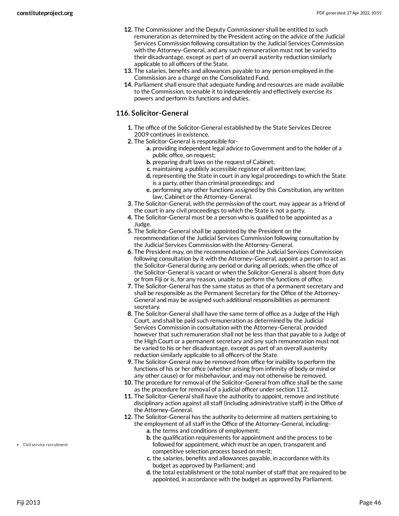- **12.** The Commissioner and the Deputy Commissioner shall be entitled to such remuneration as determined by the President acting on the advice of the Judicial Services Commission following consultation by the Judicial Services Commission with the Attorney-General, and any such remuneration must not be varied to their disadvantage, except as part of an overall austerity reduction similarly applicable to all officers of the State.
- **13.** The salaries, benefits and allowances payable to any person employed in the Commission are a charge on the Consolidated Fund.
- **14.** Parliament shall ensure that adequate funding and resources are made available to the Commission, to enable it to independently and effectively exercise its powers and perform its functions and duties.

### **116. Solicitor-General**

- **1.** The office of the Solicitor-General established by the State Services Decree 2009 continues in existence.
- **2.** The Solicitor-General is responsible for
	- **a.** providing independent legal advice to Government and to the holder of a public office, on request;
	- **b.** preparing draft laws on the request of Cabinet;
	- **c.** maintaining a publicly accessible register of all written law; **d.** representing the State in court in any legal proceedings to which the State
	- is a party, other than criminal proceedings; and
	- **e.** performing any other functions assigned by this Constitution, any written law, Cabinet or the Attorney-General.
- **3.** The Solicitor-General, with the permission of the court, may appear as a friend of the court in any civil proceedings to which the State is not a party.
- **4.** The Solicitor-General must be a person who is qualified to be appointed as a Judge.
- **5.** The Solicitor-General shall be appointed by the President on the recommendation of the Judicial Services Commission following consultation by the Judicial Services Commission with the Attorney-General.
- **6.** The President may, on the recommendation of the Judicial Services Commission following consultation by it with the Attorney-General, appoint a person to act as the Solicitor-General during any period or during all periods, when the office of the Solicitor-General is vacant or when the Solicitor-General is absent from duty or from Fiji or is, for any reason, unable to perform the functions of office.
- **7.** The Solicitor-General has the same status as that of a permanent secretary and shall be responsible as the Permanent Secretary for the Office of the Attorney-General and may be assigned such additional responsibilities as permanent secretary.
- **8.** The Solicitor-General shall have the same term of office as a Judge of the High Court, and shall be paid such remuneration as determined by the Judicial Services Commission in consultation with the Attorney-General, provided however that such remuneration shall not be less than that payable to a Judge of the High Court or a permanent secretary and any such remuneration must not be varied to his or her disadvantage, except as part of an overall austerity reduction similarly applicable to all officers of the State.
- **9.** The Solicitor-General may be removed from office for inability to perform the functions of his or her office (whether arising from infirmity of body or mind or any other cause) or for misbehaviour, and may not otherwise be removed.
- **10.** The procedure for removal of the Solicitor-General from office shall be the same as the procedure for removal of a judicial officer under section 112.
- **11.** The Solicitor-General shall have the authority to appoint, remove and institute disciplinary action against all staff (including administrative staff) in the Office of the Attorney-General.
- **12.** The Solicitor-General has the authority to determine all matters pertaining to the employment of all staff in the Office of the Attorney-General, including
	- **a.** the terms and conditions of employment;
	- **b.** the qualification requirements for appointment and the process to be followed for appointment, which must be an open, transparent and competitive selection process based on merit;
	- **c.** the salaries, benefits and allowances payable, in accordance with its budget as approved by Parliament; and
	- **d.** the total establishment or the total number of staff that are required to be appointed, in accordance with the budget as approved by Parliament.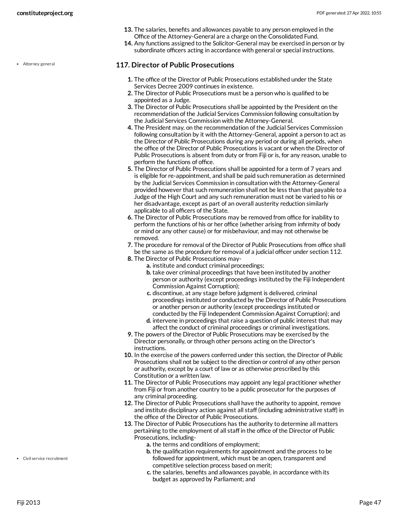- **13.** The salaries, benefits and allowances payable to any person employed in the Office of the Attorney-General are a charge on the Consolidated Fund.
- **14.** Any functions assigned to the Solicitor-General may be exercised in person or by subordinate officers acting in accordance with general or special instructions.

#### **117. Director of Public Prosecutions**

- **1.** The office of the Director of Public Prosecutions established under the State Services Decree 2009 continues in existence.
- **2.** The Director of Public Prosecutions must be a person who is qualified to be appointed as a Judge.
- **3.** The Director of Public Prosecutions shall be appointed by the President on the recommendation of the Judicial Services Commission following consultation by the Judicial Services Commission with the Attorney-General.
- **4.** The President may, on the recommendation of the Judicial Services Commission following consultation by it with the Attorney-General, appoint a person to act as the Director of Public Prosecutions during any period or during all periods, when the office of the Director of Public Prosecutions is vacant or when the Director of Public Prosecutions is absent from duty or from Fiji or is, for any reason, unable to perform the functions of office.
- **5.** The Director of Public Prosecutions shall be appointed for a term of 7 years and is eligible for re-appointment, and shall be paid such remuneration as determined by the Judicial Services Commission in consultation with the Attorney-General provided however that such remuneration shall not be less than that payable to a Judge of the High Court and any such remuneration must not be varied to his or her disadvantage, except as part of an overall austerity reduction similarly applicable to all officers of the State.
- **6.** The Director of Public Prosecutions may be removed from office for inability to perform the functions of his or her office (whether arising from infirmity of body or mind or any other cause) or for misbehaviour, and may not otherwise be removed.
- **7.** The procedure for removal of the Director of Public Prosecutions from office shall be the same as the procedure for removal of a judicial officer under section 112.
- **8.** The Director of Public Prosecutions may
	- **a.** institute and conduct criminal proceedings;
	- **b.** take over criminal proceedings that have been instituted by another person or authority (except proceedings instituted by the Fiji Independent Commission Against Corruption);
	- **c.** discontinue, at any stage before judgment is delivered, criminal proceedings instituted or conducted by the Director of Public Prosecutions or another person or authority (except proceedings instituted or conducted by the Fiji Independent Commission Against Corruption); and
	- **d.** intervene in proceedings that raise a question of public interest that may affect the conduct of criminal proceedings or criminal investigations.
- **9.** The powers of the Director of Public Prosecutions may be exercised by the Director personally, or through other persons acting on the Director's instructions.
- **10.** In the exercise of the powers conferred under this section, the Director of Public Prosecutions shall not be subject to the direction or control of any other person or authority, except by a court of law or as otherwise prescribed by this Constitution or a written law.
- **11.** The Director of Public Prosecutions may appoint any legal practitioner whether from Fiji or from another country to be a public prosecutor for the purposes of any criminal proceeding.
- **12.** The Director of Public Prosecutions shall have the authority to appoint, remove and institute disciplinary action against all staff (including administrative staff) in the office of the Director of Public Prosecutions.
- **13.** The Director of Public Prosecutions has the authority to determine all matters pertaining to the employment of all staff in the office of the Director of Public Prosecutions, including
	- **a.** the terms and conditions of employment;
	- **b.** the qualification requirements for appointment and the process to be followed for appointment, which must be an open, transparent and competitive selection process based on merit;
	- **c.** the salaries, benefits and allowances payable, in accordance with its budget as approved by Parliament; and

Attorney general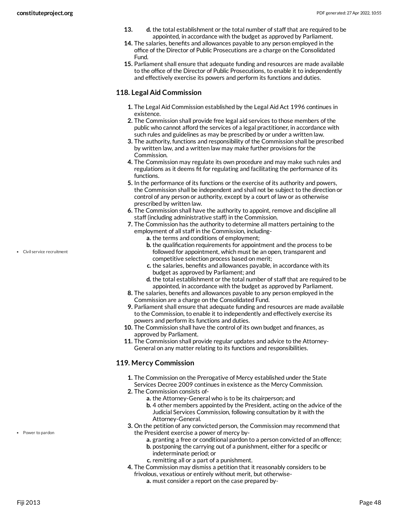- **13. d.** the total establishment or the total number of staff that are required to be appointed, in accordance with the budget as approved by Parliament.
- **14.** The salaries, benefits and allowances payable to any person employed in the office of the Director of Public Prosecutions are a charge on the Consolidated Fund.
- **15.** Parliament shall ensure that adequate funding and resources are made available to the office of the Director of Public Prosecutions, to enable it to independently and effectively exercise its powers and perform its functions and duties.

### **118. Legal Aid Commission**

- **1.** The Legal Aid Commission established by the Legal Aid Act 1996 continues in existence.
- **2.** The Commission shall provide free legal aid services to those members of the public who cannot afford the services of a legal practitioner, in accordance with such rules and guidelines as may be prescribed by or under a written law.
- **3.** The authority, functions and responsibility of the Commission shall be prescribed by written law, and a written law may make further provisions for the Commission.
- **4.** The Commission may regulate its own procedure and may make such rules and regulations as it deems fit for regulating and facilitating the performance of its functions.
- **5.** In the performance of its functions or the exercise of its authority and powers, the Commission shall be independent and shall not be subject to the direction or control of any person or authority, except by a court of law or as otherwise prescribed by written law.
- **6.** The Commission shall have the authority to appoint, remove and discipline all staff (including administrative staff) in the Commission.
- **7.** The Commission has the authority to determine all matters pertaining to the employment of all staff in the Commission, including
	- **a.** the terms and conditions of employment;
	- **b.** the qualification requirements for appointment and the process to be followed for appointment, which must be an open, transparent and competitive selection process based on merit;
	- **c.** the salaries, benefits and allowances payable, in accordance with its budget as approved by Parliament; and
	- **d.** the total establishment or the total number of staff that are required to be appointed, in accordance with the budget as approved by Parliament.
- **8.** The salaries, benefits and allowances payable to any person employed in the Commission are a charge on the Consolidated Fund.
- **9.** Parliament shall ensure that adequate funding and resources are made available to the Commission, to enable it to independently and effectively exercise its powers and perform its functions and duties.
- **10.** The Commission shall have the control of its own budget and finances, as approved by Parliament.
- **11.** The Commission shall provide regular updates and advice to the Attorney-General on any matter relating to its functions and responsibilities.

### **119. Mercy Commission**

- **1.** The Commission on the Prerogative of Mercy established under the State Services Decree 2009 continues in existence as the Mercy Commission.
- **2.** The Commission consists of
	- **a.** the Attorney-General who is to be its chairperson; and
	- **b.** 4 other members appointed by the President, acting on the advice of the Judicial Services Commission, following consultation by it with the Attorney-General.
- **3.** On the petition of any convicted person, the Commission may recommend that the President exercise a power of mercy by
	- **a.** granting a free or conditional pardon to a person convicted of an offence;
	- **b.** postponing the carrying out of a punishment, either for a specific or
	- indeterminate period; or
	- **c.** remitting all or a part of a punishment.
- **4.** The Commission may dismiss a petition that it reasonably considers to be frivolous, vexatious or entirely without merit, but otherwise**a.** must consider a report on the case prepared by-

Power to pardon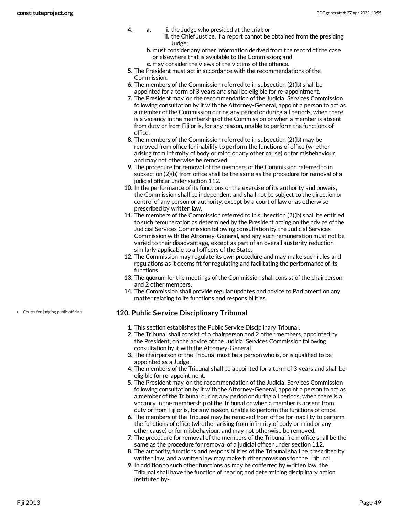**4. a. i.** the Judge who presided at the trial; or

**ii.** the Chief Justice, if a report cannot be obtained from the presiding Judge;

- **b.** must consider any other information derived from the record of the case or elsewhere that is available to the Commission; and **c.** may consider the views of the victims of the offence.
- **5.** The President must act in accordance with the recommendations of the Commission.
- **6.** The members of the Commission referred to in subsection (2)(b) shall be appointed for a term of 3 years and shall be eligible for re-appointment.
- **7.** The President may, on the recommendation of the Judicial Services Commission following consultation by it with the Attorney-General, appoint a person to act as a member of the Commission during any period or during all periods, when there is a vacancy in the membership of the Commission or when a member is absent from duty or from Fiji or is, for any reason, unable to perform the functions of office.
- **8.** The members of the Commission referred to in subsection (2)(b) may be removed from office for inability to perform the functions of office (whether arising from infirmity of body or mind or any other cause) or for misbehaviour, and may not otherwise be removed.
- **9.** The procedure for removal of the members of the Commission referred to in subsection (2)(b) from office shall be the same as the procedure for removal of a judicial officer under section 112.
- **10.** In the performance of its functions or the exercise of its authority and powers, the Commission shall be independent and shall not be subject to the direction or control of any person or authority, except by a court of law or as otherwise prescribed by written law.
- **11.** The members of the Commission referred to in subsection (2)(b) shall be entitled to such remuneration as determined by the President acting on the advice of the Judicial Services Commission following consultation by the Judicial Services Commission with the Attorney-General, and any such remuneration must not be varied to their disadvantage, except as part of an overall austerity reduction similarly applicable to all officers of the State.
- **12.** The Commission may regulate its own procedure and may make such rules and regulations as it deems fit for regulating and facilitating the performance of its functions.
- **13.** The quorum for the meetings of the Commission shall consist of the chairperson and 2 other members.
- **14.** The Commission shall provide regular updates and advice to Parliament on any matter relating to its functions and responsibilities.

#### **120. Public Service Disciplinary Tribunal**

- **1.** This section establishes the Public Service Disciplinary Tribunal.
- **2.** The Tribunal shall consist of a chairperson and 2 other members, appointed by the President, on the advice of the Judicial Services Commission following consultation by it with the Attorney-General.
- **3.** The chairperson of the Tribunal must be a person who is, or is qualified to be appointed as a Judge.
- **4.** The members of the Tribunal shall be appointed for a term of 3 years and shall be eligible for re-appointment.
- **5.** The President may, on the recommendation of the Judicial Services Commission following consultation by it with the Attorney-General, appoint a person to act as a member of the Tribunal during any period or during all periods, when there is a vacancy in the membership of the Tribunal or when a member is absent from duty or from Fiji or is, for any reason, unable to perform the functions of office.
- **6.** The members of the Tribunal may be removed from office for inability to perform the functions of office (whether arising from infirmity of body or mind or any other cause) or for misbehaviour, and may not otherwise be removed.
- **7.** The procedure for removal of the members of the Tribunal from office shall be the same as the procedure for removal of a judicial officer under section 112.
- **8.** The authority, functions and responsibilities of the Tribunal shall be prescribed by written law, and a written law may make further provisions for the Tribunal.
- **9.** In addition to such other functions as may be conferred by written law, the Tribunal shall have the function of hearing and determining disciplinary action instituted by-

Courts for judging public officials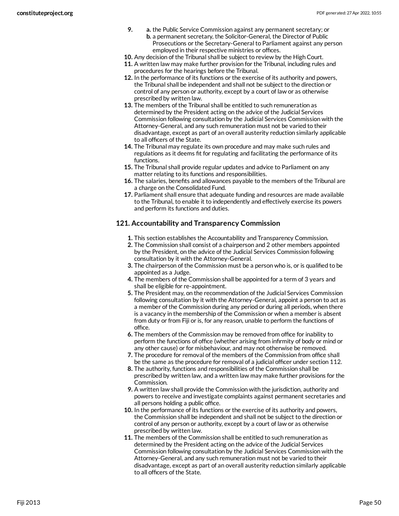- **9. a.** the Public Service Commission against any permanent secretary; or
	- **b.** a permanent secretary, the Solicitor-General, the Director of Public Prosecutions or the Secretary-General to Parliament against any person employed in their respective ministries or offices.
- **10.** Any decision of the Tribunal shall be subject to review by the High Court.
- **11.** A written law may make further provision for the Tribunal, including rules and procedures for the hearings before the Tribunal.
- **12.** In the performance of its functions or the exercise of its authority and powers, the Tribunal shall be independent and shall not be subject to the direction or control of any person or authority, except by a court of law or as otherwise prescribed by written law.
- **13.** The members of the Tribunal shall be entitled to such remuneration as determined by the President acting on the advice of the Judicial Services Commission following consultation by the Judicial Services Commission with the Attorney-General, and any such remuneration must not be varied to their disadvantage, except as part of an overall austerity reduction similarly applicable to all officers of the State.
- **14.** The Tribunal may regulate its own procedure and may make such rules and regulations as it deems fit for regulating and facilitating the performance of its functions.
- **15.** The Tribunal shall provide regular updates and advice to Parliament on any matter relating to its functions and responsibilities.
- **16.** The salaries, benefits and allowances payable to the members of the Tribunal are a charge on the Consolidated Fund.
- **17.** Parliament shall ensure that adequate funding and resources are made available to the Tribunal, to enable it to independently and effectively exercise its powers and perform its functions and duties.

### **121. Accountability and Transparency Commission**

- **1.** This section establishes the Accountability and Transparency Commission.
- **2.** The Commission shall consist of a chairperson and 2 other members appointed by the President, on the advice of the Judicial Services Commission following consultation by it with the Attorney-General.
- **3.** The chairperson of the Commission must be a person who is, or is qualified to be appointed as a Judge.
- **4.** The members of the Commission shall be appointed for a term of 3 years and shall be eligible for re-appointment.
- **5.** The President may, on the recommendation of the Judicial Services Commission following consultation by it with the Attorney-General, appoint a person to act as a member of the Commission during any period or during all periods, when there is a vacancy in the membership of the Commission or when a member is absent from duty or from Fiji or is, for any reason, unable to perform the functions of office.
- **6.** The members of the Commission may be removed from office for inability to perform the functions of office (whether arising from infirmity of body or mind or any other cause) or for misbehaviour, and may not otherwise be removed.
- **7.** The procedure for removal of the members of the Commission from office shall be the same as the procedure for removal of a judicial officer under section 112.
- **8.** The authority, functions and responsibilities of the Commission shall be prescribed by written law, and a written law may make further provisions for the Commission.
- **9.** A written law shall provide the Commission with the jurisdiction, authority and powers to receive and investigate complaints against permanent secretaries and all persons holding a public office.
- **10.** In the performance of its functions or the exercise of its authority and powers, the Commission shall be independent and shall not be subject to the direction or control of any person or authority, except by a court of law or as otherwise prescribed by written law.
- **11.** The members of the Commission shall be entitled to such remuneration as determined by the President acting on the advice of the Judicial Services Commission following consultation by the Judicial Services Commission with the Attorney-General, and any such remuneration must not be varied to their disadvantage, except as part of an overall austerity reduction similarly applicable to all officers of the State.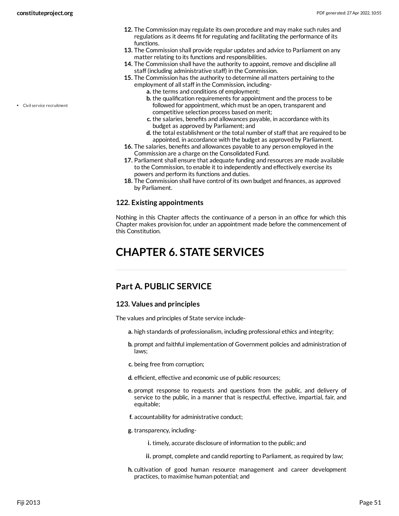- **12.** The Commission may regulate its own procedure and may make such rules and regulations as it deems fit for regulating and facilitating the performance of its functions.
- **13.** The Commission shall provide regular updates and advice to Parliament on any matter relating to its functions and responsibilities.
- **14.** The Commission shall have the authority to appoint, remove and discipline all staff (including administrative staff) in the Commission.
- **15.** The Commission has the authority to determine all matters pertaining to the employment of all staff in the Commission, including
	- **a.** the terms and conditions of employment;
	- **b.** the qualification requirements for appointment and the process to be followed for appointment, which must be an open, transparent and competitive selection process based on merit;
	- **c.** the salaries, benefits and allowances payable, in accordance with its budget as approved by Parliament; and
	- **d.** the total establishment or the total number of staff that are required to be appointed, in accordance with the budget as approved by Parliament.
- **16.** The salaries, benefits and allowances payable to any person employed in the Commission are a charge on the Consolidated Fund.
- **17.** Parliament shall ensure that adequate funding and resources are made available to the Commission, to enable it to independently and effectively exercise its powers and perform its functions and duties.
- **18.** The Commission shall have control of its own budget and finances, as approved by Parliament.

### **122. Existing appointments**

Nothing in this Chapter affects the continuance of a person in an office for which this Chapter makes provision for, under an appointment made before the commencement of this Constitution.

# **CHAPTER 6. STATE SERVICES**

## **Part A. PUBLIC SERVICE**

### **123. Values and principles**

The values and principles of State service include-

- **a.** high standards of professionalism, including professional ethics and integrity;
- **b.** prompt and faithful implementation of Government policies and administration of laws;
- **c.** being free from corruption;
- **d.** efficient, effective and economic use of public resources;
- **e.** prompt response to requests and questions from the public, and delivery of service to the public, in a manner that is respectful, effective, impartial, fair, and equitable;
- **f.** accountability for administrative conduct;
- **g.** transparency, including
	- **i.** timely, accurate disclosure of information to the public; and
	- **ii.** prompt, complete and candid reporting to Parliament, as required by law;
- **h.** cultivation of good human resource management and career development practices, to maximise human potential; and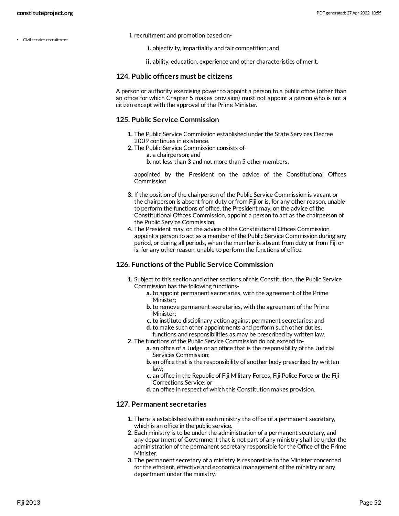Civil service recruitment

**i.** recruitment and promotion based on-

- **i.** objectivity, impartiality and fair competition; and
- **ii.** ability, education, experience and other characteristics of merit.

#### **124. Public officers must be citizens**

A person or authority exercising power to appoint a person to a public office (other than an office for which Chapter 5 makes provision) must not appoint a person who is not a citizen except with the approval of the Prime Minister.

#### **125. Public Service Commission**

- **1.** The Public Service Commission established under the State Services Decree 2009 continues in existence.
- **2.** The Public Service Commission consists of
	- **a.** a chairperson; and
	- **b.** not less than 3 and not more than 5 other members,

appointed by the President on the advice of the Constitutional Offices Commission.

- **3.** If the position of the chairperson of the Public Service Commission is vacant or the chairperson is absent from duty or from Fiji or is, for any other reason, unable to perform the functions of office, the President may, on the advice of the Constitutional Offices Commission, appoint a person to act as the chairperson of the Public Service Commission.
- **4.** The President may, on the advice of the Constitutional Offices Commission, appoint a person to act as a member of the Public Service Commission during any period, or during all periods, when the member is absent from duty or from Fiji or is, for any other reason, unable to perform the functions of office.

#### **126. Functions of the Public Service Commission**

- **1.** Subject to this section and other sections of this Constitution, the Public Service Commission has the following functions
	- **a.** to appoint permanent secretaries, with the agreement of the Prime Minister;
	- **b.** to remove permanent secretaries, with the agreement of the Prime Minister;
	- **c.** to institute disciplinary action against permanent secretaries; and
	- **d.** to make such other appointments and perform such other duties,
- functions and responsibilities as may be prescribed by written law. **2.** The functions of the Public Service Commission do not extend to
	- **a.** an office of a Judge or an office that is the responsibility of the Judicial Services Commission;
		- **b.** an office that is the responsibility of another body prescribed by written law;
		- **c.** an office in the Republic of Fiji Military Forces, Fiji Police Force or the Fiji Corrections Service; or
		- **d.** an office in respect of which this Constitution makes provision.

### **127. Permanent secretaries**

- **1.** There is established within each ministry the office of a permanent secretary, which is an office in the public service.
- **2.** Each ministry is to be under the administration of a permanent secretary, and any department of Government that is not part of any ministry shall be under the administration of the permanent secretary responsible for the Office of the Prime Minister.
- **3.** The permanent secretary of a ministry is responsible to the Minister concerned for the efficient, effective and economical management of the ministry or any department under the ministry.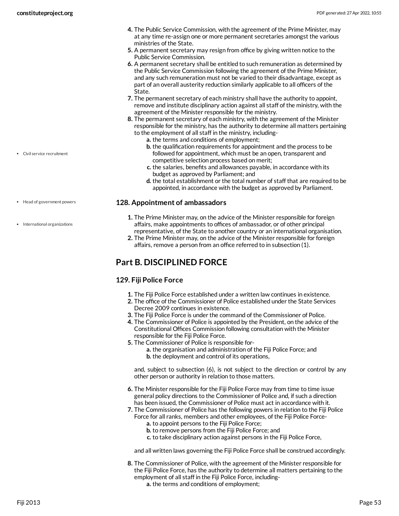- **4.** The Public Service Commission, with the agreement of the Prime Minister, may at any time re-assign one or more permanent secretaries amongst the various ministries of the State.
- **5.** A permanent secretary may resign from office by giving written notice to the Public Service Commission.
- **6.** A permanent secretary shall be entitled to such remuneration as determined by the Public Service Commission following the agreement of the Prime Minister, and any such remuneration must not be varied to their disadvantage, except as part of an overall austerity reduction similarly applicable to all officers of the State.
- **7.** The permanent secretary of each ministry shall have the authority to appoint, remove and institute disciplinary action against all staff of the ministry, with the agreement of the Minister responsible for the ministry.
- **8.** The permanent secretary of each ministry, with the agreement of the Minister responsible for the ministry, has the authority to determine all matters pertaining to the employment of all staff in the ministry, including
	- **a.** the terms and conditions of employment;
	- **b.** the qualification requirements for appointment and the process to be followed for appointment, which must be an open, transparent and competitive selection process based on merit;
	- **c.** the salaries, benefits and allowances payable, in accordance with its budget as approved by Parliament; and
	- **d.** the total establishment or the total number of staff that are required to be appointed, in accordance with the budget as approved by Parliament.

### **128. Appointment of ambassadors**

- **1.** The Prime Minister may, on the advice of the Minister responsible for foreign affairs, make appointments to offices of ambassador, or of other principal representative, of the State to another country or an international organisation.
- **2.** The Prime Minister may, on the advice of the Minister responsible for foreign affairs, remove a person from an office referred to in subsection (1).

# **Part B. DISCIPLINED FORCE**

### **129. Fiji Police Force**

- **1.** The Fiji Police Force established under a written law continues in existence.
- **2.** The office of the Commissioner of Police established under the State Services Decree 2009 continues in existence.
- **3.** The Fiji Police Force is under the command of the Commissioner of Police.
- **4.** The Commissioner of Police is appointed by the President, on the advice of the Constitutional Offices Commission following consultation with the Minister responsible for the Fiji Police Force.
- **5.** The Commissioner of Police is responsible for
	- **a.** the organisation and administration of the Fiji Police Force; and **b.** the deployment and control of its operations,

and, subject to subsection (6), is not subject to the direction or control by any other person or authority in relation to those matters.

- **6.** The Minister responsible for the Fiji Police Force may from time to time issue general policy directions to the Commissioner of Police and, if such a direction has been issued, the Commissioner of Police must act in accordance with it.
- **7.** The Commissioner of Police has the following powers in relation to the Fiji Police Force for all ranks, members and other employees, of the Fiji Police Force
	- **a.** to appoint persons to the Fiji Police Force;
	- **b.** to remove persons from the Fiji Police Force; and
	- **c.** to take disciplinary action against persons in the Fiji Police Force,

and all written laws governing the Fiji Police Force shall be construed accordingly.

- **8.** The Commissioner of Police, with the agreement of the Minister responsible for the Fiji Police Force, has the authority to determine all matters pertaining to the employment of all staff in the Fiji Police Force, including
	- **a.** the terms and conditions of employment;
- Civil service recruitment
- Head of government powers
- International organizations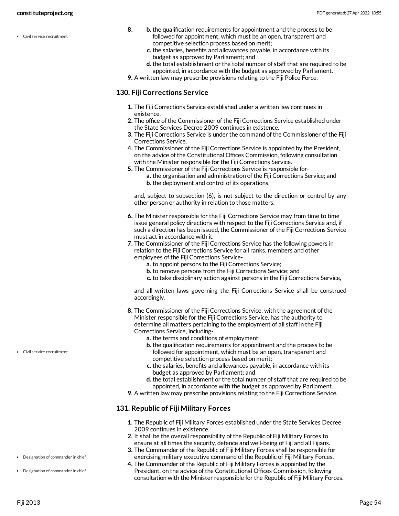- **8. b.** the qualification requirements for appointment and the process to be followed for appointment, which must be an open, transparent and competitive selection process based on merit;
	- **c.** the salaries, benefits and allowances payable, in accordance with its budget as approved by Parliament; and
	- **d.** the total establishment or the total number of staff that are required to be appointed, in accordance with the budget as approved by Parliament.
- **9.** A written law may prescribe provisions relating to the Fiji Police Force.

### **130. Fiji Corrections Service**

- **1.** The Fiji Corrections Service established under a written law continues in existence.
- **2.** The office of the Commissioner of the Fiji Corrections Service established under the State Services Decree 2009 continues in existence.
- **3.** The Fiji Corrections Service is under the command of the Commissioner of the Fiji Corrections Service.
- **4.** The Commissioner of the Fiji Corrections Service is appointed by the President, on the advice of the Constitutional Offices Commission, following consultation with the Minister responsible for the Fiji Corrections Service.
- **5.** The Commissioner of the Fiji Corrections Service is responsible for**a.** the organisation and administration of the Fiji Corrections Service; and **b.** the deployment and control of its operations,

and, subject to subsection (6), is not subject to the direction or control by any other person or authority in relation to those matters.

- **6.** The Minister responsible for the Fiji Corrections Service may from time to time issue general policy directions with respect to the Fiji Corrections Service and, if such a direction has been issued, the Commissioner of the Fiji Corrections Service must act in accordance with it.
- **7.** The Commissioner of the Fiji Corrections Service has the following powers in relation to the Fiji Corrections Service for all ranks, members and other employees of the Fiji Corrections Service
	- **a.** to appoint persons to the Fiji Corrections Service;
	- **b.** to remove persons from the Fiji Corrections Service; and
	- **c.** to take disciplinary action against persons in the Fiji Corrections Service,

and all written laws governing the Fiji Corrections Service shall be construed accordingly.

- **8.** The Commissioner of the Fiji Corrections Service, with the agreement of the Minister responsible for the Fiji Corrections Service, has the authority to determine all matters pertaining to the employment of all staff in the Fiji Corrections Service, including
	- **a.** the terms and conditions of employment;
	- **b.** the qualification requirements for appointment and the process to be followed for appointment, which must be an open, transparent and competitive selection process based on merit;
	- **c.** the salaries, benefits and allowances payable, in accordance with its budget as approved by Parliament; and
	- **d.** the total establishment or the total number of staff that are required to be appointed, in accordance with the budget as approved by Parliament.
- **9.** A written law may prescribe provisions relating to the Fiji Corrections Service.

#### **131. Republic of Fiji Military Forces**

- **1.** The Republic of Fiji Military Forces established under the State Services Decree 2009 continues in existence.
- **2.** It shall be the overall responsibility of the Republic of Fiji Military Forces to ensure at all times the security, defence and well-being of Fiji and all Fijians.
- **3.** The Commander of the Republic of Fiji Military Forces shall be responsible for exercising military executive command of the Republic of Fiji Military Forces.
- **4.** The Commander of the Republic of Fiji Military Forces is appointed by the President, on the advice of the Constitutional Offices Commission, following consultation with the Minister responsible for the Republic of Fiji Military Forces.

Civil service recruitment

Designation of commander in chief

Designation of commander in chief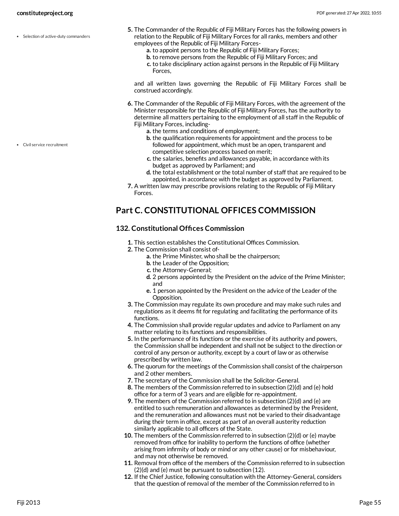- **5.** The Commander of the Republic of Fiji Military Forces has the following powers in relation to the Republic of Fiji Military Forces for all ranks, members and other employees of the Republic of Fiji Military Forces
	- **a.** to appoint persons to the Republic of Fiji Military Forces;
	- **b.** to remove persons from the Republic of Fiji Military Forces; and
	- **c.** to take disciplinary action against persons in the Republic of Fiji Military Forces,

and all written laws governing the Republic of Fiji Military Forces shall be construed accordingly.

- **6.** The Commander of the Republic of Fiji Military Forces, with the agreement of the Minister responsible for the Republic of Fiji Military Forces, has the authority to determine all matters pertaining to the employment of all staff in the Republic of Fiji Military Forces, including
	- **a.** the terms and conditions of employment;
	- **b.** the qualification requirements for appointment and the process to be followed for appointment, which must be an open, transparent and competitive selection process based on merit;
	- **c.** the salaries, benefits and allowances payable, in accordance with its budget as approved by Parliament; and
	- **d.** the total establishment or the total number of staff that are required to be appointed, in accordance with the budget as approved by Parliament.
- **7.** A written law may prescribe provisions relating to the Republic of Fiji Military Forces.

# **Part C. CONSTITUTIONAL OFFICES COMMISSION**

#### **132. Constitutional Offices Commission**

- **1.** This section establishes the Constitutional Offices Commission.
- **2.** The Commission shall consist of
	- **a.** the Prime Minister, who shall be the chairperson;
	- **b.** the Leader of the Opposition;
	- **c.** the Attorney-General;
	- **d.** 2 persons appointed by the President on the advice of the Prime Minister; and
	- **e.** 1 person appointed by the President on the advice of the Leader of the Opposition.
- **3.** The Commission may regulate its own procedure and may make such rules and regulations as it deems fit for regulating and facilitating the performance of its functions.
- **4.** The Commission shall provide regular updates and advice to Parliament on any matter relating to its functions and responsibilities.
- **5.** In the performance of its functions or the exercise of its authority and powers, the Commission shall be independent and shall not be subject to the direction or control of any person or authority, except by a court of law or as otherwise prescribed by written law.
- **6.** The quorum for the meetings of the Commission shall consist of the chairperson and 2 other members.
- **7.** The secretary of the Commission shall be the Solicitor-General.
- **8.** The members of the Commission referred to in subsection (2)(d) and (e) hold office for a term of 3 years and are eligible for re-appointment.
- **9.** The members of the Commission referred to in subsection (2)(d) and (e) are entitled to such remuneration and allowances as determined by the President, and the remuneration and allowances must not be varied to their disadvantage during their term in office, except as part of an overall austerity reduction similarly applicable to all officers of the State.
- **10.** The members of the Commission referred to in subsection (2)(d) or (e) maybe removed from office for inability to perform the functions of office (whether arising from infirmity of body or mind or any other cause) or for misbehaviour, and may not otherwise be removed.
- **11.** Removal from office of the members of the Commission referred to in subsection (2)(d) and (e) must be pursuant to subsection (12).
- **12.** If the Chief Justice, following consultation with the Attorney-General, considers that the question of removal of the member of the Commission referred to in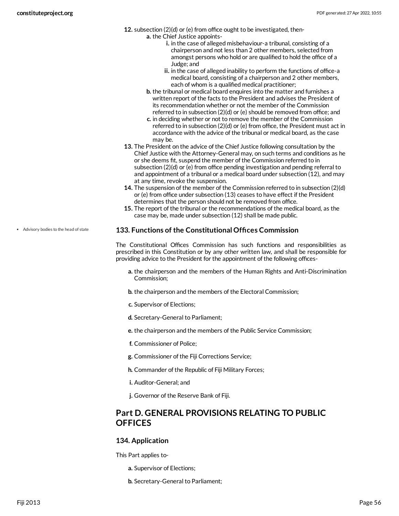Advisory bodies to the head of state

- **12.** subsection (2)(d) or (e) from office ought to be investigated, then**a.** the Chief Justice appoints
	- **i.** in the case of alleged misbehaviour-a tribunal, consisting of a chairperson and not less than 2 other members, selected from amongst persons who hold or are qualified to hold the office of a Judge; and
	- **ii.** in the case of alleged inability to perform the functions of office-a medical board, consisting of a chairperson and 2 other members, each of whom is a qualified medical practitioner;
	- **b.** the tribunal or medical board enquires into the matter and furnishes a written report of the facts to the President and advises the President of its recommendation whether or not the member of the Commission referred to in subsection (2)(d) or (e) should be removed from office; and
	- **c.** in deciding whether or not to remove the member of the Commission referred to in subsection (2)(d) or (e) from office, the President must act in accordance with the advice of the tribunal or medical board, as the case may be.
- **13.** The President on the advice of the Chief Justice following consultation by the Chief Justice with the Attorney-General may, on such terms and conditions as he or she deems fit, suspend the member of the Commission referred to in subsection (2)(d) or (e) from office pending investigation and pending referral to and appointment of a tribunal or a medical board under subsection (12), and may at any time, revoke the suspension.
- **14.** The suspension of the member of the Commission referred to in subsection (2)(d) or (e) from office under subsection (13) ceases to have effect if the President determines that the person should not be removed from office.
- **15.** The report of the tribunal or the recommendations of the medical board, as the case may be, made under subsection (12) shall be made public.

#### **133. Functions of the Constitutional Offices Commission**

The Constitutional Offices Commission has such functions and responsibilities as prescribed in this Constitution or by any other written law, and shall be responsible for providing advice to the President for the appointment of the following offices-

- **a.** the chairperson and the members of the Human Rights and Anti-Discrimination Commission;
- **b.** the chairperson and the members of the Electoral Commission;
- **c.** Supervisor of Elections;
- **d.** Secretary-General to Parliament;
- **e.** the chairperson and the members of the Public Service Commission;
- **f.** Commissioner of Police;
- **g.** Commissioner of the Fiji Corrections Service;
- **h.** Commander of the Republic of Fiji Military Forces;
- **i.** Auditor-General; and
- **j.** Governor of the Reserve Bank of Fiji.

### **Part D. GENERAL PROVISIONS RELATING TO PUBLIC OFFICES**

### **134. Application**

This Part applies to-

- **a.** Supervisor of Elections;
- **b.** Secretary-General to Parliament;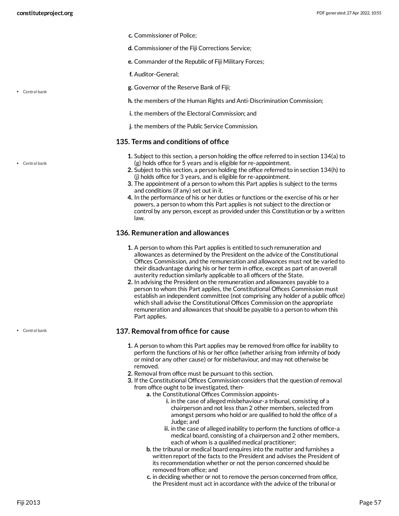- **c.** Commissioner of Police;
- **d.** Commissioner of the Fiji Corrections Service;
- **e.** Commander of the Republic of Fiji Military Forces;
- **f.** Auditor-General;
- **g.** Governor of the Reserve Bank of Fiji;
- **h.** the members of the Human Rights and Anti-Discrimination Commission;
- **i.** the members of the Electoral Commission; and
- **j.** the members of the Public Service Commission.

### **135. Terms and conditions of office**

- **1.** Subject to this section, a person holding the office referred to in section 134(a) to (g) holds office for 5 years and is eligible for re-appointment.
- **2.** Subject to this section, a person holding the office referred to in section 134(h) to (j) holds office for 3 years, and is eligible for re-appointment.
- **3.** The appointment of a person to whom this Part applies is subject to the terms and conditions (if any) set out in it.
- **4.** In the performance of his or her duties or functions or the exercise of his or her powers, a person to whom this Part applies is not subject to the direction or control by any person, except as provided under this Constitution or by a written law.

### **136. Remuneration and allowances**

- **1.** A person to whom this Part applies is entitled to such remuneration and allowances as determined by the President on the advice of the Constitutional Offices Commission, and the remuneration and allowances must not be varied to their disadvantage during his or her term in office, except as part of an overall austerity reduction similarly applicable to all officers of the State.
- **2.** In advising the President on the remuneration and allowances payable to a person to whom this Part applies, the Constitutional Offices Commission must establish an independent committee (not comprising any holder of a public office) which shall advise the Constitutional Offices Commission on the appropriate remuneration and allowances that should be payable to a person to whom this Part applies.

#### **137. Removal from office for cause**

- **1.** A person to whom this Part applies may be removed from office for inability to perform the functions of his or her office (whether arising from infirmity of body or mind or any other cause) or for misbehaviour, and may not otherwise be removed.
- **2.** Removal from office must be pursuant to this section.
- **3.** If the Constitutional Offices Commission considers that the question of removal from office ought to be investigated, then
	- **a.** the Constitutional Offices Commission appoints
		- **i.** in the case of alleged misbehaviour-a tribunal, consisting of a chairperson and not less than 2 other members, selected from amongst persons who hold or are qualified to hold the office of a Judge; and
		- **ii.** in the case of alleged inability to perform the functions of office-a medical board, consisting of a chairperson and 2 other members, each of whom is a qualified medical practitioner;
	- **b.** the tribunal or medical board enquires into the matter and furnishes a written report of the facts to the President and advises the President of its recommendation whether or not the person concerned should be removed from office; and
	- **c.** in deciding whether or not to remove the person concerned from office, the President must act in accordance with the advice of the tribunal or

Central bank

• Central bank

Central bank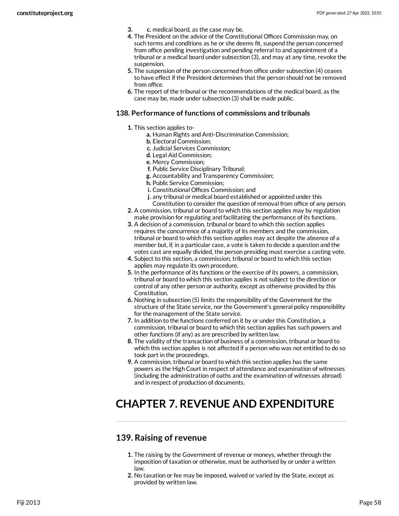- **3. c.** medical board, as the case may be.
- **4.** The President on the advice of the Constitutional Offices Commission may, on such terms and conditions as he or she deems fit, suspend the person concerned from office pending investigation and pending referral to and appointment of a tribunal or a medical board under subsection (3), and may at any time, revoke the suspension.
- **5.** The suspension of the person concerned from office under subsection (4) ceases to have effect if the President determines that the person should not be removed from office.
- **6.** The report of the tribunal or the recommendations of the medical board, as the case may be, made under subsection (3) shall be made public.

#### **138. Performance of functions of commissions and tribunals**

- **1.** This section applies to
	- **a.** Human Rights and Anti-Discrimination Commission;
		- **b.** Electoral Commission;
		- **c.** Judicial Services Commission;
		- **d.** Legal Aid Commission;
		- **e.** Mercy Commission;
		- **f.** Public Service Disciplinary Tribunal;
		- **g.** Accountability and Transparency Commission;
		- **h.** Public Service Commission;
		- **i.** Constitutional Offices Commission; and
		- **j.** any tribunal or medical board established or appointed under this
		- Constitution to consider the question of removal from office of any person.
- **2.** A commission, tribunal or board to which this section applies may by regulation make provision for regulating and facilitating the performance of its functions.
- **3.** A decision of a commission, tribunal or board to which this section applies requires the concurrence of a majority of its members and the commission, tribunal or board to which this section applies may act despite the absence of a member but, if, in a particular case, a vote is taken to decide a question and the votes cast are equally divided, the person presiding must exercise a casting vote.
- **4.** Subject to this section, a commission, tribunal or board to which this section applies may regulate its own procedure.
- **5.** In the performance of its functions or the exercise of its powers, a commission, tribunal or board to which this section applies is not subject to the direction or control of any other person or authority, except as otherwise provided by this Constitution.
- **6.** Nothing in subsection (5) limits the responsibility of the Government for the structure of the State service, nor the Government's general policy responsibility for the management of the State service.
- **7.** In addition to the functions conferred on it by or under this Constitution, a commission, tribunal or board to which this section applies has such powers and other functions (if any) as are prescribed by written law.
- **8.** The validity of the transaction of business of a commission, tribunal or board to which this section applies is not affected if a person who was not entitled to do so took part in the proceedings.
- **9.** A commission, tribunal or board to which this section applies has the same powers as the High Court in respect of attendance and examination of witnesses (including the administration of oaths and the examination of witnesses abroad) and in respect of production of documents.

# **CHAPTER 7. REVENUE AND EXPENDITURE**

### **139. Raising of revenue**

- **1.** The raising by the Government of revenue or moneys, whether through the imposition of taxation or otherwise, must be authorised by or under a written law.
- **2.** No taxation or fee may be imposed, waived or varied by the State, except as provided by written law.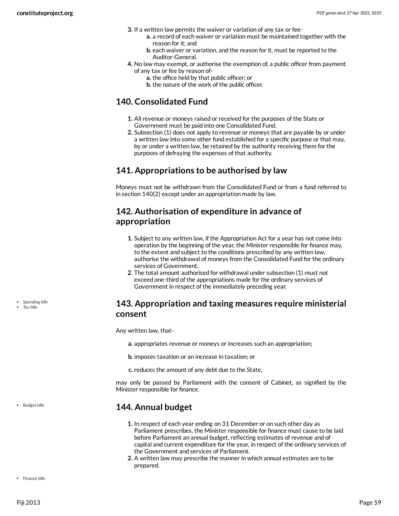- **3.** If a written law permits the waiver or variation of any tax or fee
	- **a.** a record of each waiver or variation must be maintained together with the reason for it; and
	- **b.** each waiver or variation, and the reason for it, must be reported to the Auditor-General.
- **4.** No law may exempt, or authorise the exemption of, a public officer from payment of any tax or fee by reason of
	- **a.** the office held by that public officer; or
	- **b.** the nature of the work of the public officer.

# **140. Consolidated Fund**

- **1.** All revenue or moneys raised or received for the purposes of the State or Government must be paid into one Consolidated Fund.
- **2.** Subsection (1) does not apply to revenue or moneys that are payable by or under a written law into some other fund established for a specific purpose or that may, by or under a written law, be retained by the authority receiving them for the purposes of defraying the expenses of that authority.

## **141. Appropriations to be authorised by law**

Moneys must not be withdrawn from the Consolidated Fund or from a fund referred to in section 140(2) except under an appropriation made by law.

## **142. Authorisation of expenditure in advance of appropriation**

- **1.** Subject to any written law, if the Appropriation Act for a year has not come into operation by the beginning of the year, the Minister responsible for finance may, to the extent and subject to the conditions prescribed by any written law, authorise the withdrawal of moneys from the Consolidated Fund for the ordinary services of Government.
- **2.** The total amount authorised for withdrawal under subsection (1) must not exceed one-third of the appropriations made for the ordinary services of Government in respect of the immediately preceding year.

### **143. Appropriation and taxing measures require ministerial consent**

Any written law, that-

**a.** appropriates revenue or moneys or increases such an appropriation;

**b.** imposes taxation or an increase in taxation; or

**c.** reduces the amount of any debt due to the State,

may only be passed by Parliament with the consent of Cabinet, as signified by the Minister responsible for finance.

## **144. Annual budget**

- **1.** In respect of each year ending on 31 December or on such other day as Parliament prescribes, the Minister responsible for finance must cause to be laid before Parliament an annual budget, reflecting estimates of revenue and of capital and current expenditure for the year, in respect of the ordinary services of the Government and services of Parliament.
- **2.** A written law may prescribe the manner in which annual estimates are to be prepared.

• Spending bills Tax bills

• Budget bills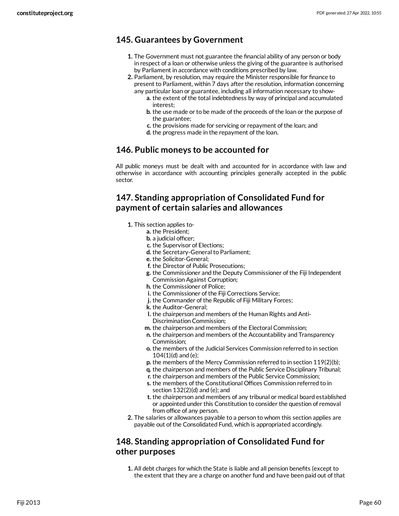## **145. Guarantees by Government**

- **1.** The Government must not guarantee the financial ability of any person or body in respect of a loan or otherwise unless the giving of the guarantee is authorised by Parliament in accordance with conditions prescribed by law.
- **2.** Parliament, by resolution, may require the Minister responsible for finance to present to Parliament, within 7 days after the resolution, information concerning any particular loan or guarantee, including all information necessary to show
	- **a.** the extent of the total indebtedness by way of principal and accumulated interest;
	- **b.** the use made or to be made of the proceeds of the loan or the purpose of the guarantee;
	- **c.** the provisions made for servicing or repayment of the loan; and
	- **d.** the progress made in the repayment of the loan.

### **146. Public moneys to be accounted for**

All public moneys must be dealt with and accounted for in accordance with law and otherwise in accordance with accounting principles generally accepted in the public sector.

### **147. Standing appropriation of Consolidated Fund for payment of certain salaries and allowances**

- **1.** This section applies to
	- **a.** the President;
	- **b.** a judicial officer;
	- **c.** the Supervisor of Elections;
	- **d.** the Secretary-General to Parliament;
	- **e.** the Solicitor-General;
	- **f.** the Director of Public Prosecutions;
	- **g.** the Commissioner and the Deputy Commissioner of the Fiji Independent Commission Against Corruption;
	- **h.** the Commissioner of Police;
	- **i.** the Commissioner of the Fiji Corrections Service;
	- **j.** the Commander of the Republic of Fiji Military Forces;
	- **k.** the Auditor-General;
	- **l.** the chairperson and members of the Human Rights and Anti-Discrimination Commission;
	- **m.** the chairperson and members of the Electoral Commission;
	- **n.** the chairperson and members of the Accountability and Transparency Commission;
	- **o.** the members of the Judicial Services Commission referred to in section 104(1)(d) and (e);
	- **p.** the members of the Mercy Commission referred to in section 119(2)(b);
	- **q.** the chairperson and members of the Public Service Disciplinary Tribunal;
	- **r.** the chairperson and members of the Public Service Commission;
	- **s.** the members of the Constitutional Offices Commission referred to in section 132(2)(d) and (e); and
	- **t.** the chairperson and members of any tribunal or medical board established or appointed under this Constitution to consider the question of removal from office of any person.
- **2.** The salaries or allowances payable to a person to whom this section applies are payable out of the Consolidated Fund, which is appropriated accordingly.

### **148. Standing appropriation of Consolidated Fund for other purposes**

**1.** All debt charges for which the State is liable and all pension benefits (except to the extent that they are a charge on another fund and have been paid out of that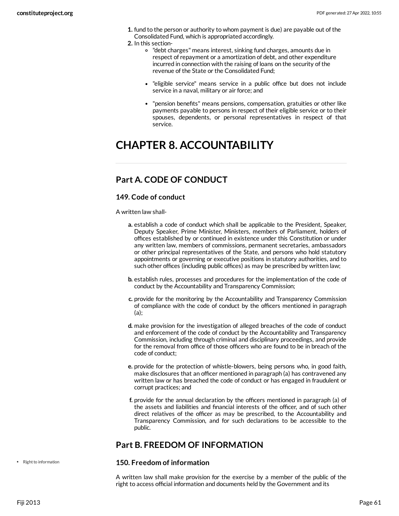- **1.** fund to the person or authority to whom payment is due) are payable out of the Consolidated Fund, which is appropriated accordingly.
- **2.** In this section-
	- "debt charges" means interest, sinking fund charges, amounts due in respect of repayment or a amortization of debt, and other expenditure incurred in connection with the raising of loans on the security of the revenue of the State or the Consolidated Fund;
	- "eligible service" means service in a public office but does not include service in a naval, military or air force; and
	- "pension benefits" means pensions, compensation, gratuities or other like payments payable to persons in respect of their eligible service or to their spouses, dependents, or personal representatives in respect of that service.

# **CHAPTER 8. ACCOUNTABILITY**

# **Part A. CODE OF CONDUCT**

### **149. Code of conduct**

A written law shall-

- **a.** establish a code of conduct which shall be applicable to the President, Speaker, Deputy Speaker, Prime Minister, Ministers, members of Parliament, holders of offices established by or continued in existence under this Constitution or under any written law, members of commissions, permanent secretaries, ambassadors or other principal representatives of the State, and persons who hold statutory appointments or governing or executive positions in statutory authorities, and to such other offices (including public offices) as may be prescribed by written law;
- **b.** establish rules, processes and procedures for the implementation of the code of conduct by the Accountability and Transparency Commission;
- **c.** provide for the monitoring by the Accountability and Transparency Commission of compliance with the code of conduct by the officers mentioned in paragraph (a);
- **d.** make provision for the investigation of alleged breaches of the code of conduct and enforcement of the code of conduct by the Accountability and Transparency Commission, including through criminal and disciplinary proceedings, and provide for the removal from office of those officers who are found to be in breach of the code of conduct;
- **e.** provide for the protection of whistle-blowers, being persons who, in good faith, make disclosures that an officer mentioned in paragraph (a) has contravened any written law or has breached the code of conduct or has engaged in fraudulent or corrupt practices; and
- **f.** provide for the annual declaration by the officers mentioned in paragraph (a) of the assets and liabilities and financial interests of the officer, and of such other direct relatives of the officer as may be prescribed, to the Accountability and Transparency Commission, and for such declarations to be accessible to the public.

## **Part B. FREEDOM OF INFORMATION**

• Right to information

#### **150. Freedom of information**

A written law shall make provision for the exercise by a member of the public of the right to access official information and documents held by the Government and its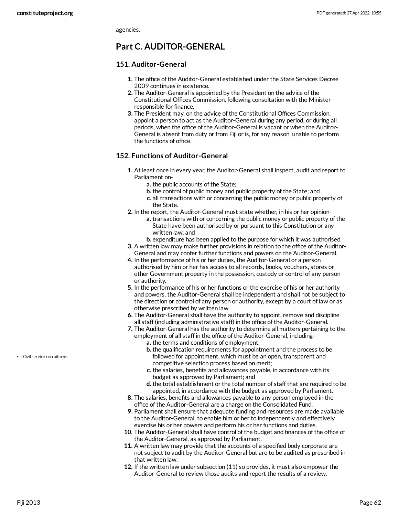agencies.

# **Part C. AUDITOR-GENERAL**

### **151. Auditor-General**

- **1.** The office of the Auditor-General established under the State Services Decree 2009 continues in existence.
- **2.** The Auditor-General is appointed by the President on the advice of the Constitutional Offices Commission, following consultation with the Minister responsible for finance.
- **3.** The President may, on the advice of the Constitutional Offices Commission, appoint a person to act as the Auditor-General during any period, or during all periods, when the office of the Auditor-General is vacant or when the Auditor-General is absent from duty or from Fiji or is, for any reason, unable to perform the functions of office.

### **152. Functions of Auditor-General**

- **1.** At least once in every year, the Auditor-General shall inspect, audit and report to Parliament on
	- **a.** the public accounts of the State;
	- **b.** the control of public money and public property of the State; and
	- **c.** all transactions with or concerning the public money or public property of the State.
- **2.** In the report, the Auditor-General must state whether, in his or her opinion
	- **a.** transactions with or concerning the public money or public property of the State have been authorised by or pursuant to this Constitution or any written law; and
	- **b.** expenditure has been applied to the purpose for which it was authorised.
- **3.** A written law may make further provisions in relation to the office of the Auditor-General and may confer further functions and powers on the Auditor-General.
- **4.** In the performance of his or her duties, the Auditor-General or a person authorised by him or her has access to all records, books, vouchers, stores or other Government property in the possession, custody or control of any person or authority.
- **5.** In the performance of his or her functions or the exercise of his or her authority and powers, the Auditor-General shall be independent and shall not be subject to the direction or control of any person or authority, except by a court of law or as otherwise prescribed by written law.
- **6.** The Auditor-General shall have the authority to appoint, remove and discipline all staff (including administrative staff) in the office of the Auditor-General.
- **7.** The Auditor-General has the authority to determine all matters pertaining to the employment of all staff in the office of the Auditor-General, including
	- **a.** the terms and conditions of employment;
	- **b.** the qualification requirements for appointment and the process to be followed for appointment, which must be an open, transparent and competitive selection process based on merit;
	- **c.** the salaries, benefits and allowances payable, in accordance with its budget as approved by Parliament; and
	- **d.** the total establishment or the total number of staff that are required to be appointed, in accordance with the budget as approved by Parliament.
- **8.** The salaries, benefits and allowances payable to any person employed in the office of the Auditor-General are a charge on the Consolidated Fund.
- **9.** Parliament shall ensure that adequate funding and resources are made available to the Auditor-General, to enable him or her to independently and effectively exercise his or her powers and perform his or her functions and duties.
- **10.** The Auditor-General shall have control of the budget and finances of the office of the Auditor-General, as approved by Parliament.
- **11.** A written law may provide that the accounts of a specified body corporate are not subject to audit by the Auditor-General but are to be audited as prescribed in that written law.
- **12.** If the written law under subsection (11) so provides, it must also empower the Auditor-General to review those audits and report the results of a review.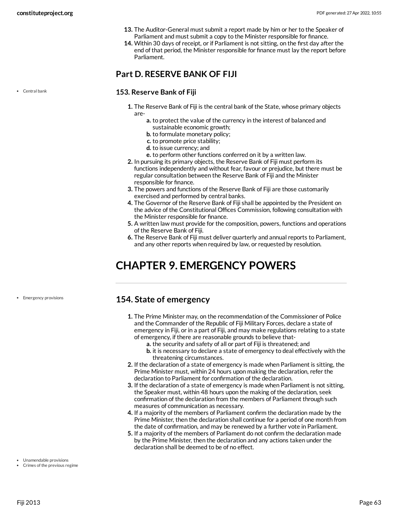• Central bank

- **13.** The Auditor-General must submit a report made by him or her to the Speaker of Parliament and must submit a copy to the Minister responsible for finance.
- **14.** Within 30 days of receipt, or if Parliament is not sitting, on the first day after the end of that period, the Minister responsible for finance must lay the report before Parliament.

# **Part D. RESERVE BANK OF FIJI**

#### **153. Reserve Bank of Fiji**

- **1.** The Reserve Bank of Fiji is the central bank of the State, whose primary objects are
	- **a.** to protect the value of the currency in the interest of balanced and sustainable economic growth;
	- **b.** to formulate monetary policy;
	- **c.** to promote price stability;
	- **d.** to issue currency; and
	- **e.** to perform other functions conferred on it by a written law.
- **2.** In pursuing its primary objects, the Reserve Bank of Fiji must perform its functions independently and without fear, favour or prejudice, but there must be regular consultation between the Reserve Bank of Fiji and the Minister responsible for finance.
- **3.** The powers and functions of the Reserve Bank of Fiji are those customarily exercised and performed by central banks.
- **4.** The Governor of the Reserve Bank of Fiji shall be appointed by the President on the advice of the Constitutional Offices Commission, following consultation with the Minister responsible for finance.
- **5.** A written law must provide for the composition, powers, functions and operations of the Reserve Bank of Fiji.
- **6.** The Reserve Bank of Fiji must deliver quarterly and annual reports to Parliament, and any other reports when required by law, or requested by resolution.

# **CHAPTER 9. EMERGENCY POWERS**

• Emergency provisions

### **154. State of emergency**

- **1.** The Prime Minister may, on the recommendation of the Commissioner of Police and the Commander of the Republic of Fiji Military Forces, declare a state of emergency in Fiji, or in a part of Fiji, and may make regulations relating to a state of emergency, if there are reasonable grounds to believe that
	- **a.** the security and safety of all or part of Fiji is threatened; and
	- **b.** it is necessary to declare a state of emergency to deal effectively with the threatening circumstances.
- **2.** If the declaration of a state of emergency is made when Parliament is sitting, the Prime Minister must, within 24 hours upon making the declaration, refer the declaration to Parliament for confirmation of the declaration.
- **3.** If the declaration of a state of emergency is made when Parliament is not sitting, the Speaker must, within 48 hours upon the making of the declaration, seek confirmation of the declaration from the members of Parliament through such measures of communication as necessary.
- **4.** If a majority of the members of Parliament confirm the declaration made by the Prime Minister, then the declaration shall continue for a period of one month from the date of confirmation, and may be renewed by a further vote in Parliament.
- **5.** If a majority of the members of Parliament do not confirm the declaration made by the Prime Minister, then the declaration and any actions taken under the declaration shall be deemed to be of no effect.

Unamendable provisions

Crimes of the previous regime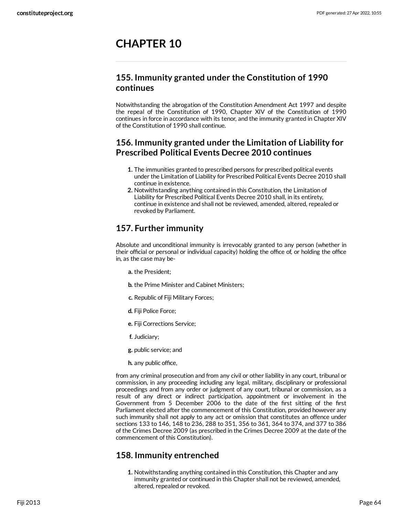# **CHAPTER 10**

## **155. Immunity granted under the Constitution of 1990 continues**

Notwithstanding the abrogation of the Constitution Amendment Act 1997 and despite the repeal of the Constitution of 1990, Chapter XIV of the Constitution of 1990 continues in force in accordance with its tenor, and the immunity granted in Chapter XIV of the Constitution of 1990 shall continue.

# **156. Immunity granted under the Limitation of Liability for Prescribed Political Events Decree 2010 continues**

- **1.** The immunities granted to prescribed persons for prescribed political events under the Limitation of Liability for Prescribed Political Events Decree 2010 shall continue in existence.
- **2.** Notwithstanding anything contained in this Constitution, the Limitation of Liability for Prescribed Political Events Decree 2010 shall, in its entirety, continue in existence and shall not be reviewed, amended, altered, repealed or revoked by Parliament.

# **157. Further immunity**

Absolute and unconditional immunity is irrevocably granted to any person (whether in their official or personal or individual capacity) holding the office of, or holding the office in, as the case may be-

- **a.** the President;
- **b.** the Prime Minister and Cabinet Ministers;
- **c.** Republic of Fiji Military Forces;
- **d.** Fiji Police Force;
- **e.** Fiji Corrections Service;
- **f.** Judiciary;
- **g.** public service; and
- **h.** any public office,

from any criminal prosecution and from any civil or other liability in any court, tribunal or commission, in any proceeding including any legal, military, disciplinary or professional proceedings and from any order or judgment of any court, tribunal or commission, as a result of any direct or indirect participation, appointment or involvement in the Government from 5 December 2006 to the date of the first sitting of the first Parliament elected after the commencement of this Constitution, provided however any such immunity shall not apply to any act or omission that constitutes an offence under sections 133 to 146, 148 to 236, 288 to 351, 356 to 361, 364 to 374, and 377 to 386 of the Crimes Decree 2009 (as prescribed in the Crimes Decree 2009 at the date of the commencement of this Constitution).

### **158. Immunity entrenched**

**1.** Notwithstanding anything contained in this Constitution, this Chapter and any immunity granted or continued in this Chapter shall not be reviewed, amended, altered, repealed or revoked.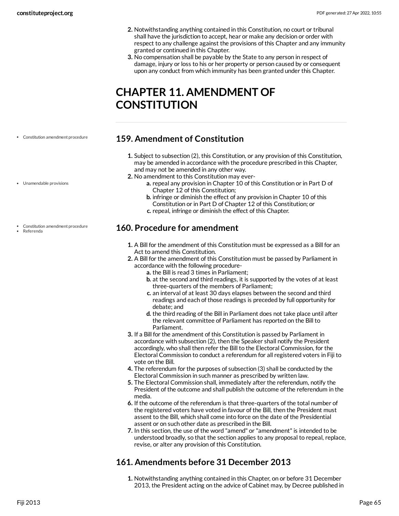- **2.** Notwithstanding anything contained in this Constitution, no court or tribunal shall have the jurisdiction to accept, hear or make any decision or order with respect to any challenge against the provisions of this Chapter and any immunity granted or continued in this Chapter.
- **3.** No compensation shall be payable by the State to any person in respect of damage, injury or loss to his or her property or person caused by or consequent upon any conduct from which immunity has been granted under this Chapter.

# **CHAPTER 11. AMENDMENT OF CONSTITUTION**

## **159. Amendment of Constitution**

- **1.** Subject to subsection (2), this Constitution, or any provision of this Constitution, may be amended in accordance with the procedure prescribed in this Chapter, and may not be amended in any other way.
- **2.** No amendment to this Constitution may ever
	- **a.** repeal any provision in Chapter 10 of this Constitution or in Part D of Chapter 12 of this Constitution;
	- **b.** infringe or diminish the effect of any provision in Chapter 10 of this Constitution or in Part D of Chapter 12 of this Constitution; or
	- **c.** repeal, infringe or diminish the effect of this Chapter.

## **160. Procedure for amendment**

- **1.** A Bill for the amendment of this Constitution must be expressed as a Bill for an Act to amend this Constitution.
- **2.** A Bill for the amendment of this Constitution must be passed by Parliament in accordance with the following procedure
	- **a.** the Bill is read 3 times in Parliament;
	- **b.** at the second and third readings, it is supported by the votes of at least three-quarters of the members of Parliament;
	- **c.** an interval of at least 30 days elapses between the second and third readings and each of those readings is preceded by full opportunity for debate; and
	- **d.** the third reading of the Bill in Parliament does not take place until after the relevant committee of Parliament has reported on the Bill to Parliament.
- **3.** If a Bill for the amendment of this Constitution is passed by Parliament in accordance with subsection (2), then the Speaker shall notify the President accordingly, who shall then refer the Bill to the Electoral Commission, for the Electoral Commission to conduct a referendum for all registered voters in Fiji to vote on the Bill.
- **4.** The referendum for the purposes of subsection (3) shall be conducted by the Electoral Commission in such manner as prescribed by written law.
- **5.** The Electoral Commission shall, immediately after the referendum, notify the President of the outcome and shall publish the outcome of the referendum in the media.
- **6.** If the outcome of the referendum is that three-quarters of the total number of the registered voters have voted in favour of the Bill, then the President must assent to the Bill, which shall come into force on the date of the Presidential assent or on such other date as prescribed in the Bill.
- **7.** In this section, the use of the word "amend" or "amendment" is intended to be understood broadly, so that the section applies to any proposal to repeal, replace, revise, or alter any provision of this Constitution.

# **161. Amendments before 31 December 2013**

**1.** Notwithstanding anything contained in this Chapter, on or before 31 December 2013, the President acting on the advice of Cabinet may, by Decree published in

Constitution amendment procedure

- Unamendable provisions
- Constitution amendment procedure
- Referenda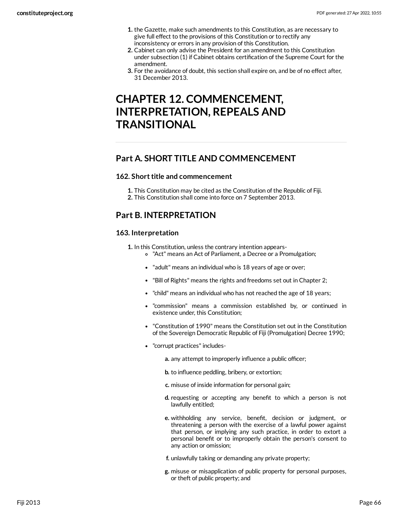- **1.** the Gazette, make such amendments to this Constitution, as are necessary to give full effect to the provisions of this Constitution or to rectify any inconsistency or errors in any provision of this Constitution.
- **2.** Cabinet can only advise the President for an amendment to this Constitution under subsection (1) if Cabinet obtains certification of the Supreme Court for the amendment.
- **3.** For the avoidance of doubt, this section shall expire on, and be of no effect after, 31 December 2013.

# **CHAPTER 12. COMMENCEMENT, INTERPRETATION, REPEALS AND TRANSITIONAL**

# **Part A. SHORT TITLE AND COMMENCEMENT**

### **162. Short title and commencement**

- **1.** This Constitution may be cited as the Constitution of the Republic of Fiji.
- **2.** This Constitution shall come into force on 7 September 2013.

# **Part B. INTERPRETATION**

### **163. Interpretation**

- **1.** In this Constitution, unless the contrary intention appears-
	- "Act" means an Act of Parliament, a Decree or a Promulgation;
		- "adult" means an individual who is 18 years of age or over;
		- "Bill of Rights" means the rights and freedoms set out in Chapter 2;
		- "child" means an individual who has not reached the age of 18 years;
		- "commission" means a commission established by, or continued in existence under, this Constitution;
		- "Constitution of 1990" means the Constitution set out in the Constitution of the Sovereign Democratic Republic of Fiji (Promulgation) Decree 1990;
		- "corrupt practices" includes-

**a.** any attempt to improperly influence a public officer;

- **b.** to influence peddling, bribery, or extortion;
- **c.** misuse of inside information for personal gain;
- **d.** requesting or accepting any benefit to which a person is not lawfully entitled;
- **e.** withholding any service, benefit, decision or judgment, or threatening a person with the exercise of a lawful power against that person, or implying any such practice, in order to extort a personal benefit or to improperly obtain the person's consent to any action or omission;
- **f.** unlawfully taking or demanding any private property;
- **g.** misuse or misapplication of public property for personal purposes, or theft of public property; and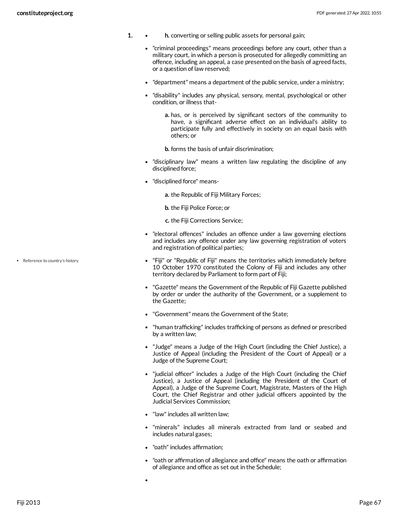- **1. h.** converting or selling public assets for personal gain;
	- "criminal proceedings" means proceedings before any court, other than a military court, in which a person is prosecuted for allegedly committing an offence, including an appeal, a case presented on the basis of agreed facts, or a question of law reserved;
	- "department" means a department of the public service, under a ministry;
	- "disability" includes any physical, sensory, mental, psychological or other condition, or illness that
		- **a.** has, or is perceived by significant sectors of the community to have, a significant adverse effect on an individual's ability to participate fully and effectively in society on an equal basis with others; or

**b.** forms the basis of unfair discrimination;

- "disciplinary law" means a written law regulating the discipline of any disciplined force;
- "disciplined force" means-

**a.** the Republic of Fiji Military Forces;

**b.** the Fiji Police Force; or

**c.** the Fiji Corrections Service;

- "electoral offences" includes an offence under a law governing elections and includes any offence under any law governing registration of voters and registration of political parties;
- "Fiji" or "Republic of Fiji" means the territories which immediately before 10 October 1970 constituted the Colony of Fiji and includes any other territory declared by Parliament to form part of Fiji;
- "Gazette" means the Government of the Republic of Fiji Gazette published by order or under the authority of the Government, or a supplement to the Gazette;
- "Government" means the Government of the State;
- "human trafficking" includes trafficking of persons as defined or prescribed by a written law;
- "Judge" means a Judge of the High Court (including the Chief Justice), a Justice of Appeal (including the President of the Court of Appeal) or a Judge of the Supreme Court;
- "judicial officer" includes a Judge of the High Court (including the Chief Justice), a Justice of Appeal (including the President of the Court of Appeal), a Judge of the Supreme Court, Magistrate, Masters of the High Court, the Chief Registrar and other judicial officers appointed by the Judicial Services Commission;
- "law" includes all written law;
- "minerals" includes all minerals extracted from land or seabed and includes natural gases;
- "oath" includes affirmation;

 $\bullet$ 

"oath or affirmation of allegiance and office" means the oath or affirmation of allegiance and office as set out in the Schedule;

• Reference to country's history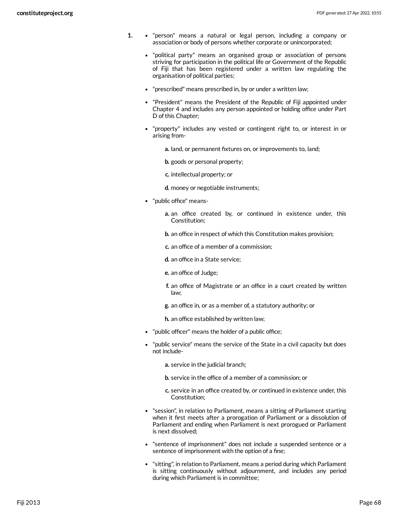- **1.** "person" means a natural or legal person, including a company or association or body of persons whether corporate or unincorporated;
	- "political party" means an organised group or association of persons striving for participation in the political life or Government of the Republic of Fiji that has been registered under a written law regulating the organisation of political parties;
	- "prescribed" means prescribed in, by or under a written law;
	- "President" means the President of the Republic of Fiji appointed under Chapter 4 and includes any person appointed or holding office under Part D of this Chapter;
	- "property" includes any vested or contingent right to, or interest in or arising from
		- **a.** land, or permanent fixtures on, or improvements to, land;
		- **b.** goods or personal property;
		- **c.** intellectual property; or
		- **d.** money or negotiable instruments;
	- "public office" means
		- **a.** an office created by, or continued in existence under, this Constitution;
		- **b.** an office in respect of which this Constitution makes provision;
		- **c.** an office of a member of a commission;
		- **d.** an office in a State service;
		- **e.** an office of Judge;
		- **f.** an office of Magistrate or an office in a court created by written law;
		- **g.** an office in, or as a member of, a statutory authority; or
		- **h.** an office established by written law;
	- "public officer" means the holder of a public office;
	- "public service" means the service of the State in a civil capacity but does not include
		- **a.** service in the judicial branch;
		- **b.** service in the office of a member of a commission; or
		- **c.** service in an office created by, or continued in existence under, this Constitution;
	- "session", in relation to Parliament, means a sitting of Parliament starting when it first meets after a prorogation of Parliament or a dissolution of Parliament and ending when Parliament is next prorogued or Parliament is next dissolved;
	- "sentence of imprisonment" does not include a suspended sentence or a sentence of imprisonment with the option of a fine;
	- "sitting", in relation to Parliament, means a period during which Parliament is sitting continuously without adjournment, and includes any period during which Parliament is in committee;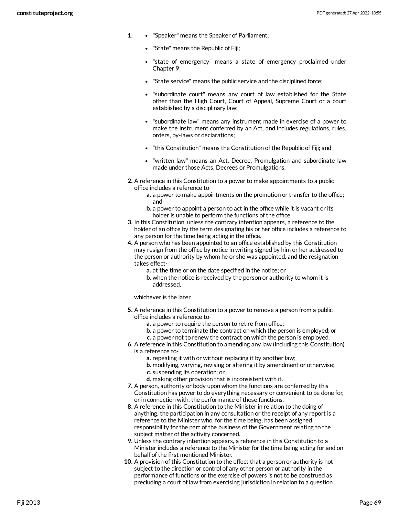- **1.** "Speaker" means the Speaker of Parliament;
	- "State" means the Republic of Fiji;
	- "state of emergency" means a state of emergency proclaimed under Chapter 9;
	- "State service" means the public service and the disciplined force;
	- "subordinate court" means any court of law established for the State other than the High Court, Court of Appeal, Supreme Court or a court established by a disciplinary law;
	- "subordinate law" means any instrument made in exercise of a power to make the instrument conferred by an Act, and includes regulations, rules, orders, by-laws or declarations;
	- "this Constitution" means the Constitution of the Republic of Fiji; and
	- "written law" means an Act, Decree, Promulgation and subordinate law made under those Acts, Decrees or Promulgations.
- **2.** A reference in this Constitution to a power to make appointments to a public office includes a reference to
	- **a.** a power to make appointments on the promotion or transfer to the office; and
	- **b.** a power to appoint a person to act in the office while it is vacant or its holder is unable to perform the functions of the office.
- **3.** In this Constitution, unless the contrary intention appears, a reference to the holder of an office by the term designating his or her office includes a reference to any person for the time being acting in the office.
- **4.** A person who has been appointed to an office established by this Constitution may resign from the office by notice in writing signed by him or her addressed to the person or authority by whom he or she was appointed, and the resignation takes effect
	- **a.** at the time or on the date specified in the notice; or
	- **b.** when the notice is received by the person or authority to whom it is addressed,

whichever is the later.

- **5.** A reference in this Constitution to a power to remove a person from a public office includes a reference to
	- **a.** a power to require the person to retire from office;
	- **b.** a power to terminate the contract on which the person is employed; or
	- **c.** a power not to renew the contract on which the person is employed.
- **6.** A reference in this Constitution to amending any law (including this Constitution) is a reference to
	- **a.** repealing it with or without replacing it by another law;
	- **b.** modifying, varying, revising or altering it by amendment or otherwise;
	- **c.** suspending its operation; or
	- **d.** making other provision that is inconsistent with it.
- **7.** A person, authority or body upon whom the functions are conferred by this Constitution has power to do everything necessary or convenient to be done for, or in connection with, the performance of those functions.
- **8.** A reference in this Constitution to the Minister in relation to the doing of anything, the participation in any consultation or the receipt of any report is a reference to the Minister who, for the time being, has been assigned responsibility for the part of the business of the Government relating to the subject matter of the activity concerned.
- **9.** Unless the contrary intention appears, a reference in this Constitution to a Minister includes a reference to the Minister for the time being acting for and on behalf of the first mentioned Minister.
- **10.** A provision of this Constitution to the effect that a person or authority is not subject to the direction or control of any other person or authority in the performance of functions or the exercise of powers is not to be construed as precluding a court of law from exercising jurisdiction in relation to a question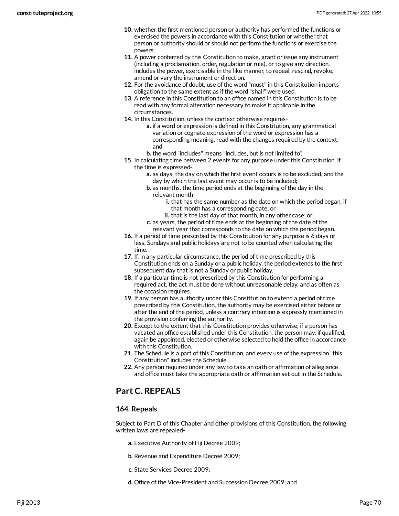- **10.** whether the first mentioned person or authority has performed the functions or exercised the powers in accordance with this Constitution or whether that person or authority should or should not perform the functions or exercise the powers.
- **11.** A power conferred by this Constitution to make, grant or issue any instrument (including a proclamation, order, regulation or rule), or to give any direction, includes the power, exercisable in the like manner, to repeal, rescind, revoke, amend or vary the instrument or direction.
- **12.** For the avoidance of doubt, use of the word "must" in this Constitution imports obligation to the same extent as if the word "shall" were used.
- **13.** A reference in this Constitution to an office named in this Constitution is to be read with any formal alteration necessary to make it applicable in the circumstances.
- **14.** In this Constitution, unless the context otherwise requires
	- **a.** if a word or expression is defined in this Constitution, any grammatical variation or cognate expression of the word or expression has a corresponding meaning, read with the changes required by the context; and
	- **b.** the word "includes" means "includes, but is not limited to".
- **15.** In calculating time between 2 events for any purpose under this Constitution, if the time is expressed
	- **a.** as days, the day on which the first event occurs is to be excluded, and the day by which the last event may occur is to be included;
	- **b.** as months, the time period ends at the beginning of the day in the relevant month
		- **i.** that has the same number as the date on which the period began, if that month has a corresponding date; or
		- **ii.** that is the last day of that month, in any other case; or
	- **c.** as years, the period of time ends at the beginning of the date of the relevant year that corresponds to the date on which the period began.
- **16.** If a period of time prescribed by this Constitution for any purpose is 6 days or less, Sundays and public holidays are not to be counted when calculating the time.
- **17.** If, in any particular circumstance, the period of time prescribed by this Constitution ends on a Sunday or a public holiday, the period extends to the first subsequent day that is not a Sunday or public holiday.
- **18.** If a particular time is not prescribed by this Constitution for performing a required act, the act must be done without unreasonable delay, and as often as the occasion requires.
- **19.** If any person has authority under this Constitution to extend a period of time prescribed by this Constitution, the authority may be exercised either before or after the end of the period, unless a contrary intention is expressly mentioned in the provision conferring the authority.
- **20.** Except to the extent that this Constitution provides otherwise, if a person has vacated an office established under this Constitution, the person may, if qualified, again be appointed, elected or otherwise selected to hold the office in accordance with this Constitution.
- **21.** The Schedule is a part of this Constitution, and every use of the expression "this Constitution" includes the Schedule.
- **22.** Any person required under any law to take an oath or affirmation of allegiance and office must take the appropriate oath or affirmation set out in the Schedule.

# **Part C. REPEALS**

### **164. Repeals**

Subject to Part D of this Chapter and other provisions of this Constitution, the following written laws are repealed-

- **a.** Executive Authority of Fiji Decree 2009;
- **b.** Revenue and Expenditure Decree 2009;
- **c.** State Services Decree 2009;
- **d.** Office of the Vice-President and Succession Decree 2009; and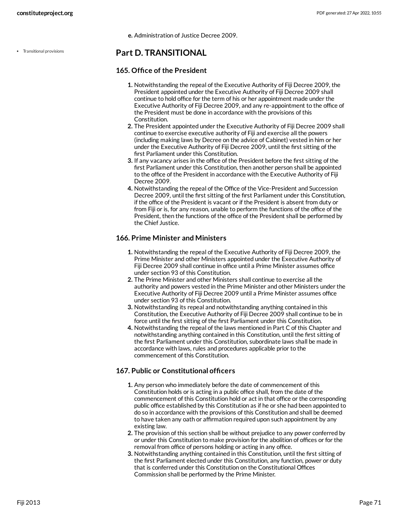**e.** Administration of Justice Decree 2009.

#### Transitional provisions

### **Part D. TRANSITIONAL**

#### **165. Office of the President**

- **1.** Notwithstanding the repeal of the Executive Authority of Fiji Decree 2009, the President appointed under the Executive Authority of Fiji Decree 2009 shall continue to hold office for the term of his or her appointment made under the Executive Authority of Fiji Decree 2009, and any re-appointment to the office of the President must be done in accordance with the provisions of this Constitution.
- **2.** The President appointed under the Executive Authority of Fiji Decree 2009 shall continue to exercise executive authority of Fiji and exercise all the powers (including making laws by Decree on the advice of Cabinet) vested in him or her under the Executive Authority of Fiji Decree 2009, until the first sitting of the first Parliament under this Constitution.
- **3.** If any vacancy arises in the office of the President before the first sitting of the first Parliament under this Constitution, then another person shall be appointed to the office of the President in accordance with the Executive Authority of Fiji Decree 2009.
- **4.** Notwithstanding the repeal of the Office of the Vice-President and Succession Decree 2009, until the first sitting of the first Parliament under this Constitution, if the office of the President is vacant or if the President is absent from duty or from Fiji or is, for any reason, unable to perform the functions of the office of the President, then the functions of the office of the President shall be performed by the Chief Justice.

#### **166. Prime Minister and Ministers**

- **1.** Notwithstanding the repeal of the Executive Authority of Fiji Decree 2009, the Prime Minister and other Ministers appointed under the Executive Authority of Fiji Decree 2009 shall continue in office until a Prime Minister assumes office under section 93 of this Constitution.
- **2.** The Prime Minister and other Ministers shall continue to exercise all the authority and powers vested in the Prime Minister and other Ministers under the Executive Authority of Fiji Decree 2009 until a Prime Minister assumes office under section 93 of this Constitution.
- **3.** Notwithstanding its repeal and notwithstanding anything contained in this Constitution, the Executive Authority of Fiji Decree 2009 shall continue to be in force until the first sitting of the first Parliament under this Constitution.
- **4.** Notwithstanding the repeal of the laws mentioned in Part C of this Chapter and notwithstanding anything contained in this Constitution, until the first sitting of the first Parliament under this Constitution, subordinate laws shall be made in accordance with laws, rules and procedures applicable prior to the commencement of this Constitution.

### **167. Public or Constitutional officers**

- **1.** Any person who immediately before the date of commencement of this Constitution holds or is acting in a public office shall, from the date of the commencement of this Constitution hold or act in that office or the corresponding public office established by this Constitution as if he or she had been appointed to do so in accordance with the provisions of this Constitution and shall be deemed to have taken any oath or affirmation required upon such appointment by any existing law.
- **2.** The provision of this section shall be without prejudice to any power conferred by or under this Constitution to make provision for the abolition of offices or for the removal from office of persons holding or acting in any office.
- **3.** Notwithstanding anything contained in this Constitution, until the first sitting of the first Parliament elected under this Constitution, any function, power or duty that is conferred under this Constitution on the Constitutional Offices Commission shall be performed by the Prime Minister.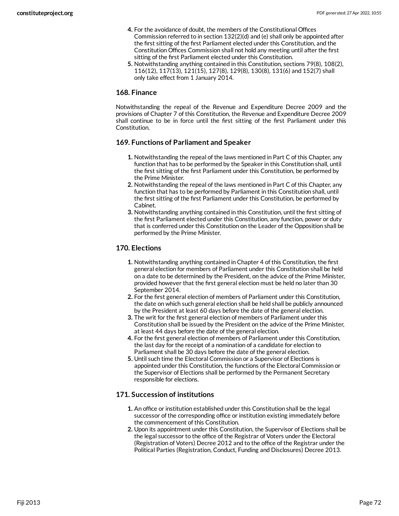- **4.** For the avoidance of doubt, the members of the Constitutional Offices Commission referred to in section 132(2)(d) and (e) shall only be appointed after the first sitting of the first Parliament elected under this Constitution, and the Constitution Offices Commission shall not hold any meeting until after the first sitting of the first Parliament elected under this Constitution.
- **5.** Notwithstanding anything contained in this Constitution, sections 79(8), 108(2), 116(12), 117(13), 121(15), 127(8), 129(8), 130(8), 131(6) and 152(7) shall only take effect from 1 January 2014.

### **168. Finance**

Notwithstanding the repeal of the Revenue and Expenditure Decree 2009 and the provisions of Chapter 7 of this Constitution, the Revenue and Expenditure Decree 2009 shall continue to be in force until the first sitting of the first Parliament under this Constitution.

### **169. Functions of Parliament and Speaker**

- **1.** Notwithstanding the repeal of the laws mentioned in Part C of this Chapter, any function that has to be performed by the Speaker in this Constitution shall, until the first sitting of the first Parliament under this Constitution, be performed by the Prime Minister.
- **2.** Notwithstanding the repeal of the laws mentioned in Part C of this Chapter, any function that has to be performed by Parliament in this Constitution shall, until the first sitting of the first Parliament under this Constitution, be performed by Cabinet.
- **3.** Notwithstanding anything contained in this Constitution, until the first sitting of the first Parliament elected under this Constitution, any function, power or duty that is conferred under this Constitution on the Leader of the Opposition shall be performed by the Prime Minister.

### **170. Elections**

- **1.** Notwithstanding anything contained in Chapter 4 of this Constitution, the first general election for members of Parliament under this Constitution shall be held on a date to be determined by the President, on the advice of the Prime Minister, provided however that the first general election must be held no later than 30 September 2014.
- **2.** For the first general election of members of Parliament under this Constitution, the date on which such general election shall be held shall be publicly announced by the President at least 60 days before the date of the general election.
- **3.** The writ for the first general election of members of Parliament under this Constitution shall be issued by the President on the advice of the Prime Minister, at least 44 days before the date of the general election.
- **4.** For the first general election of members of Parliament under this Constitution, the last day for the receipt of a nomination of a candidate for election to Parliament shall be 30 days before the date of the general election.
- **5.** Until such time the Electoral Commission or a Supervisor of Elections is appointed under this Constitution, the functions of the Electoral Commission or the Supervisor of Elections shall be performed by the Permanent Secretary responsible for elections.

### **171. Succession of institutions**

- **1.** An office or institution established under this Constitution shall be the legal successor of the corresponding office or institution existing immediately before the commencement of this Constitution.
- **2.** Upon its appointment under this Constitution, the Supervisor of Elections shall be the legal successor to the office of the Registrar of Voters under the Electoral (Registration of Voters) Decree 2012 and to the office of the Registrar under the Political Parties (Registration, Conduct, Funding and Disclosures) Decree 2013.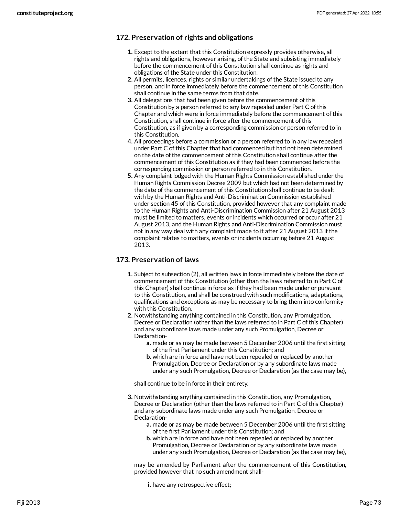### **172. Preservation of rights and obligations**

- **1.** Except to the extent that this Constitution expressly provides otherwise, all rights and obligations, however arising, of the State and subsisting immediately before the commencement of this Constitution shall continue as rights and obligations of the State under this Constitution.
- **2.** All permits, licences, rights or similar undertakings of the State issued to any person, and in force immediately before the commencement of this Constitution shall continue in the same terms from that date.
- **3.** All delegations that had been given before the commencement of this Constitution by a person referred to any law repealed under Part C of this Chapter and which were in force immediately before the commencement of this Constitution, shall continue in force after the commencement of this Constitution, as if given by a corresponding commission or person referred to in this Constitution.
- **4.** All proceedings before a commission or a person referred to in any law repealed under Part C of this Chapter that had commenced but had not been determined on the date of the commencement of this Constitution shall continue after the commencement of this Constitution as if they had been commenced before the corresponding commission or person referred to in this Constitution.
- **5.** Any complaint lodged with the Human Rights Commission established under the Human Rights Commission Decree 2009 but which had not been determined by the date of the commencement of this Constitution shall continue to be dealt with by the Human Rights and Anti-Discrimination Commission established under section 45 of this Constitution, provided however that any complaint made to the Human Rights and Anti-Discrimination Commission after 21 August 2013 must be limited to matters, events or incidents which occurred or occur after 21 August 2013, and the Human Rights and Anti-Discrimination Commission must not in any way deal with any complaint made to it after 21 August 2013 if the complaint relates to matters, events or incidents occurring before 21 August 2013.

### **173. Preservation of laws**

- **1.** Subject to subsection (2), all written laws in force immediately before the date of commencement of this Constitution (other than the laws referred to in Part C of this Chapter) shall continue in force as if they had been made under or pursuant to this Constitution, and shall be construed with such modifications, adaptations, qualifications and exceptions as may be necessary to bring them into conformity with this Constitution.
- **2.** Notwithstanding anything contained in this Constitution, any Promulgation, Decree or Declaration (other than the laws referred to in Part C of this Chapter) and any subordinate laws made under any such Promulgation, Decree or Declaration
	- **a.** made or as may be made between 5 December 2006 until the first sitting of the first Parliament under this Constitution; and
	- **b.** which are in force and have not been repealed or replaced by another Promulgation, Decree or Declaration or by any subordinate laws made under any such Promulgation, Decree or Declaration (as the case may be),

shall continue to be in force in their entirety.

- **3.** Notwithstanding anything contained in this Constitution, any Promulgation, Decree or Declaration (other than the laws referred to in Part C of this Chapter) and any subordinate laws made under any such Promulgation, Decree or Declaration
	- **a.** made or as may be made between 5 December 2006 until the first sitting of the first Parliament under this Constitution; and
	- **b.** which are in force and have not been repealed or replaced by another Promulgation, Decree or Declaration or by any subordinate laws made under any such Promulgation, Decree or Declaration (as the case may be),

may be amended by Parliament after the commencement of this Constitution, provided however that no such amendment shall-

**i.** have any retrospective effect;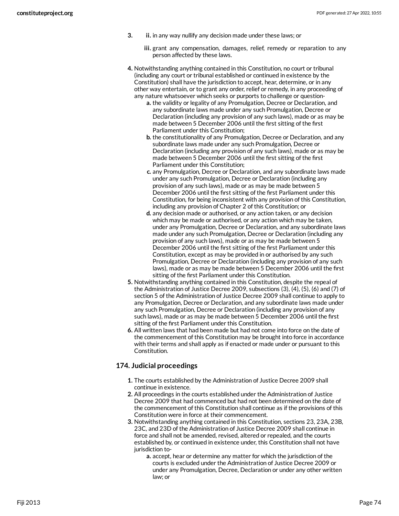- **3. ii.** in any way nullify any decision made under these laws; or
	- **iii.** grant any compensation, damages, relief, remedy or reparation to any person affected by these laws.
- **4.** Notwithstanding anything contained in this Constitution, no court or tribunal (including any court or tribunal established or continued in existence by the Constitution) shall have the jurisdiction to accept, hear, determine, or in any other way entertain, or to grant any order, relief or remedy, in any proceeding of any nature whatsoever which seeks or purports to challenge or question
	- **a.** the validity or legality of any Promulgation, Decree or Declaration, and any subordinate laws made under any such Promulgation, Decree or Declaration (including any provision of any such laws), made or as may be made between 5 December 2006 until the first sitting of the first Parliament under this Constitution;
	- **b.** the constitutionality of any Promulgation, Decree or Declaration, and any subordinate laws made under any such Promulgation, Decree or Declaration (including any provision of any such laws), made or as may be made between 5 December 2006 until the first sitting of the first Parliament under this Constitution;
	- **c.** any Promulgation, Decree or Declaration, and any subordinate laws made under any such Promulgation, Decree or Declaration (including any provision of any such laws), made or as may be made between 5 December 2006 until the first sitting of the first Parliament under this Constitution, for being inconsistent with any provision of this Constitution, including any provision of Chapter 2 of this Constitution; or
	- **d.** any decision made or authorised, or any action taken, or any decision which may be made or authorised, or any action which may be taken, under any Promulgation, Decree or Declaration, and any subordinate laws made under any such Promulgation, Decree or Declaration (including any provision of any such laws), made or as may be made between 5 December 2006 until the first sitting of the first Parliament under this Constitution, except as may be provided in or authorised by any such Promulgation, Decree or Declaration (including any provision of any such laws), made or as may be made between 5 December 2006 until the first sitting of the first Parliament under this Constitution.
- **5.** Notwithstanding anything contained in this Constitution, despite the repeal of the Administration of Justice Decree 2009, subsections (3), (4), (5), (6) and (7) of section 5 of the Administration of Justice Decree 2009 shall continue to apply to any Promulgation, Decree or Declaration, and any subordinate laws made under any such Promulgation, Decree or Declaration (including any provision of any such laws), made or as may be made between 5 December 2006 until the first sitting of the first Parliament under this Constitution.
- **6.** All written laws that had been made but had not come into force on the date of the commencement of this Constitution may be brought into force in accordance with their terms and shall apply as if enacted or made under or pursuant to this Constitution.

### **174. Judicial proceedings**

- **1.** The courts established by the Administration of Justice Decree 2009 shall continue in existence.
- **2.** All proceedings in the courts established under the Administration of Justice Decree 2009 that had commenced but had not been determined on the date of the commencement of this Constitution shall continue as if the provisions of this Constitution were in force at their commencement.
- **3.** Notwithstanding anything contained in this Constitution, sections 23, 23A, 23B, 23C, and 23D of the Administration of Justice Decree 2009 shall continue in force and shall not be amended, revised, altered or repealed, and the courts established by, or continued in existence under, this Constitution shall not have jurisdiction to
	- **a.** accept, hear or determine any matter for which the jurisdiction of the courts is excluded under the Administration of Justice Decree 2009 or under any Promulgation, Decree, Declaration or under any other written law; or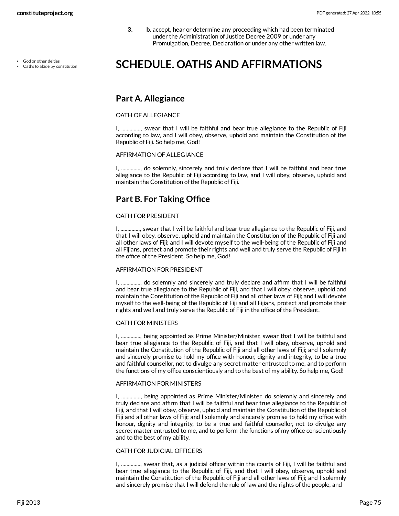**3. b.** accept, hear or determine any proceeding which had been terminated under the Administration of Justice Decree 2009 or under any Promulgation, Decree, Declaration or under any other written law.

- God or other deities
- Oaths to abide by constitution

# <span id="page-74-0"></span>**SCHEDULE. OATHS AND AFFIRMATIONS**

### **Part A. Allegiance**

#### OATH OF ALLEGIANCE

I, .............., swear that I will be faithful and bear true allegiance to the Republic of Fiji according to law, and I will obey, observe, uphold and maintain the Constitution of the Republic of Fiji. So help me, God!

#### AFFIRMATION OF ALLEGIANCE

I, .............., do solemnly, sincerely and truly declare that I will be faithful and bear true allegiance to the Republic of Fiji according to law, and I will obey, observe, uphold and maintain the Constitution of the Republic of Fiji.

### **Part B. For Taking Office**

#### OATH FOR PRESIDENT

I, .............., swear that I will be faithful and bear true allegiance to the Republic of Fiji, and that I will obey, observe, uphold and maintain the Constitution of the Republic of Fiji and all other laws of Fiji; and I will devote myself to the well-being of the Republic of Fiji and all Fijians, protect and promote their rights and well and truly serve the Republic of Fiji in the office of the President. So help me, God!

#### AFFIRMATION FOR PRESIDENT

I, .............., do solemnly and sincerely and truly declare and affirm that I will be faithful and bear true allegiance to the Republic of Fiji, and that I will obey, observe, uphold and maintain the Constitution of the Republic of Fiji and all other laws of Fiji; and I will devote myself to the well-being of the Republic of Fiji and all Fijians, protect and promote their rights and well and truly serve the Republic of Fiji in the office of the President.

#### OATH FOR MINISTERS

I, .............., being appointed as Prime Minister/Minister, swear that I will be faithful and bear true allegiance to the Republic of Fiji, and that I will obey, observe, uphold and maintain the Constitution of the Republic of Fiji and all other laws of Fiji; and I solemnly and sincerely promise to hold my office with honour, dignity and integrity, to be a true and faithful counsellor, not to divulge any secret matter entrusted to me, and to perform the functions of my office conscientiously and to the best of my ability. So help me, God!

#### AFFIRMATION FOR MINISTERS

I, .............., being appointed as Prime Minister/Minister, do solemnly and sincerely and truly declare and affirm that I will be faithful and bear true allegiance to the Republic of Fiji, and that I will obey, observe, uphold and maintain the Constitution of the Republic of Fiji and all other laws of Fiji; and I solemnly and sincerely promise to hold my office with honour, dignity and integrity, to be a true and faithful counsellor, not to divulge any secret matter entrusted to me, and to perform the functions of my office conscientiously and to the best of my ability.

#### OATH FOR JUDICIAL OFFICERS

I, .............., swear that, as a judicial officer within the courts of Fiji, I will be faithful and bear true allegiance to the Republic of Fiji, and that I will obey, observe, uphold and maintain the Constitution of the Republic of Fiji and all other laws of Fiji; and I solemnly and sincerely promise that I will defend the rule of law and the rights of the people, and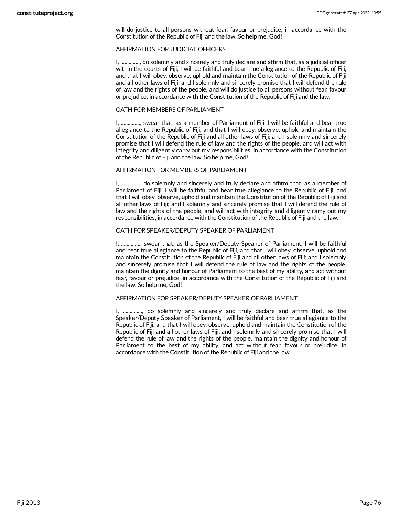will do justice to all persons without fear, favour or prejudice, in accordance with the Constitution of the Republic of Fiji and the law. So help me, God!

#### AFFIRMATION FOR JUDICIAL OFFICERS

I, .............., do solemnly and sincerely and truly declare and affirm that, as a judicial officer within the courts of Fiji, I will be faithful and bear true allegiance to the Republic of Fiji, and that I will obey, observe, uphold and maintain the Constitution of the Republic of Fiji and all other laws of Fiji; and I solemnly and sincerely promise that I will defend the rule of law and the rights of the people, and will do justice to all persons without fear, favour or prejudice, in accordance with the Constitution of the Republic of Fiji and the law.

#### OATH FOR MEMBERS OF PARLIAMENT

I, .............., swear that, as a member of Parliament of Fiji, I will be faithful and bear true allegiance to the Republic of Fiji, and that I will obey, observe, uphold and maintain the Constitution of the Republic of Fiji and all other laws of Fiji; and I solemnly and sincerely promise that I will defend the rule of law and the rights of the people, and will act with integrity and diligently carry out my responsibilities, in accordance with the Constitution of the Republic of Fiji and the law. So help me, God!

#### AFFIRMATION FOR MEMBERS OF PARLIAMENT

I, .............., do solemnly and sincerely and truly declare and affirm that, as a member of Parliament of Fiji, I will be faithful and bear true allegiance to the Republic of Fiji, and that I will obey, observe, uphold and maintain the Constitution of the Republic of Fiji and all other laws of Fiji; and I solemnly and sincerely promise that I will defend the rule of law and the rights of the people, and will act with integrity and diligently carry out my responsibilities, in accordance with the Constitution of the Republic of Fiji and the law.

#### OATH FOR SPEAKER/DEPUTY SPEAKER OF PARLIAMENT

I, .............., swear that, as the Speaker/Deputy Speaker of Parliament, I will be faithful and bear true allegiance to the Republic of Fiji, and that I will obey, observe, uphold and maintain the Constitution of the Republic of Fiji and all other laws of Fiji; and I solemnly and sincerely promise that I will defend the rule of law and the rights of the people, maintain the dignity and honour of Parliament to the best of my ability, and act without fear, favour or prejudice, in accordance with the Constitution of the Republic of Fiji and the law. So help me, God!

#### AFFIRMATION FOR SPEAKER/DEPUTY SPEAKER OF PARLIAMENT

I, .............., do solemnly and sincerely and truly declare and affirm that, as the Speaker/Deputy Speaker of Parliament, I will be faithful and bear true allegiance to the Republic of Fiji, and that I will obey, observe, uphold and maintain the Constitution of the Republic of Fiji and all other laws of Fiji; and I solemnly and sincerely promise that I will defend the rule of law and the rights of the people, maintain the dignity and honour of Parliament to the best of my ability, and act without fear, favour or prejudice, in accordance with the Constitution of the Republic of Fiji and the law.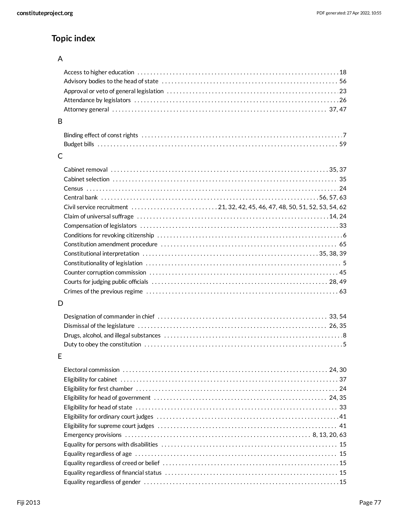# **Topic index**

## A

## B

# C

# D

# E

| Emergency provisions $\dots\dots\dots\dots\dots\dots\dots\dots\dots\dots\dots\dots\dots\dots\dots$ . 8, 13, 20, 63 |  |
|--------------------------------------------------------------------------------------------------------------------|--|
|                                                                                                                    |  |
|                                                                                                                    |  |
|                                                                                                                    |  |
|                                                                                                                    |  |
|                                                                                                                    |  |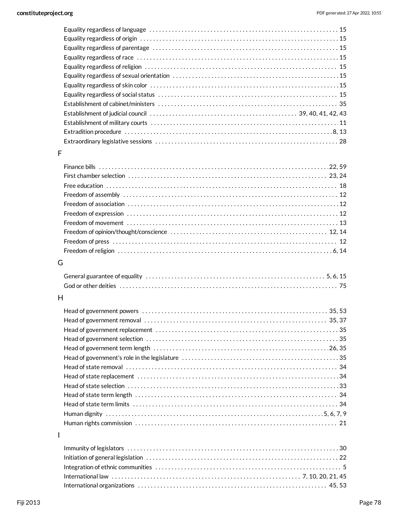### F

## G

### H

## I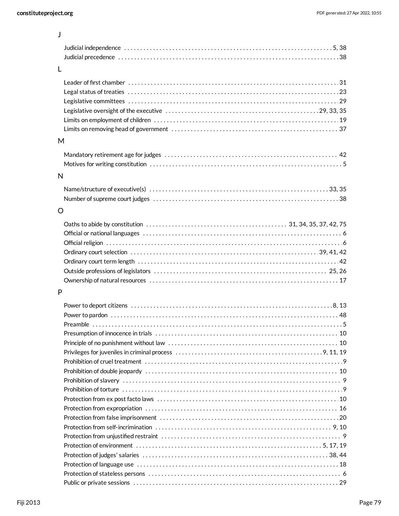| × | ٠<br>I<br>۰. |  |
|---|--------------|--|

| Judicial precedence in the contract of the contract of the contract of the contract of the contract of the control of the contract of the contract of the contract of the contract of the contract of the contract of the cont |  |
|--------------------------------------------------------------------------------------------------------------------------------------------------------------------------------------------------------------------------------|--|
| L                                                                                                                                                                                                                              |  |
|                                                                                                                                                                                                                                |  |
|                                                                                                                                                                                                                                |  |
|                                                                                                                                                                                                                                |  |
|                                                                                                                                                                                                                                |  |
|                                                                                                                                                                                                                                |  |
|                                                                                                                                                                                                                                |  |
| M                                                                                                                                                                                                                              |  |
|                                                                                                                                                                                                                                |  |
|                                                                                                                                                                                                                                |  |
|                                                                                                                                                                                                                                |  |
| N                                                                                                                                                                                                                              |  |
|                                                                                                                                                                                                                                |  |
|                                                                                                                                                                                                                                |  |
| O                                                                                                                                                                                                                              |  |
|                                                                                                                                                                                                                                |  |
|                                                                                                                                                                                                                                |  |
|                                                                                                                                                                                                                                |  |
|                                                                                                                                                                                                                                |  |
|                                                                                                                                                                                                                                |  |
|                                                                                                                                                                                                                                |  |
|                                                                                                                                                                                                                                |  |
| P                                                                                                                                                                                                                              |  |
|                                                                                                                                                                                                                                |  |
|                                                                                                                                                                                                                                |  |
|                                                                                                                                                                                                                                |  |
| Presumption of innocence in trials ………………………………………………………………………… 10                                                                                                                                                             |  |
|                                                                                                                                                                                                                                |  |
|                                                                                                                                                                                                                                |  |
|                                                                                                                                                                                                                                |  |
|                                                                                                                                                                                                                                |  |
|                                                                                                                                                                                                                                |  |
|                                                                                                                                                                                                                                |  |
|                                                                                                                                                                                                                                |  |
|                                                                                                                                                                                                                                |  |
|                                                                                                                                                                                                                                |  |
|                                                                                                                                                                                                                                |  |
|                                                                                                                                                                                                                                |  |
|                                                                                                                                                                                                                                |  |
|                                                                                                                                                                                                                                |  |
|                                                                                                                                                                                                                                |  |
|                                                                                                                                                                                                                                |  |
|                                                                                                                                                                                                                                |  |
|                                                                                                                                                                                                                                |  |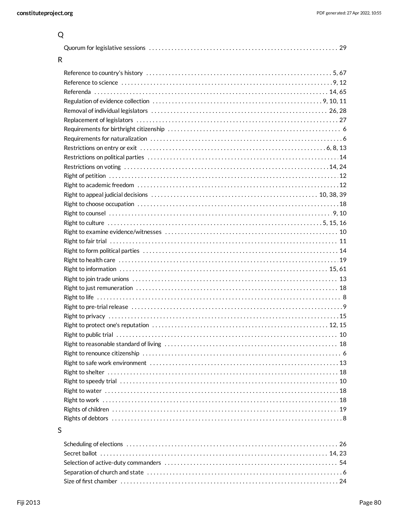# $\mathsf Q$

| R                                                                                                                                                                                                                              |  |
|--------------------------------------------------------------------------------------------------------------------------------------------------------------------------------------------------------------------------------|--|
|                                                                                                                                                                                                                                |  |
| Reference to science with the continuum of the control of the control of the control of the control of the control of the control of the control of the control of the control of the control of the control of the control of |  |
|                                                                                                                                                                                                                                |  |
|                                                                                                                                                                                                                                |  |
|                                                                                                                                                                                                                                |  |
|                                                                                                                                                                                                                                |  |
|                                                                                                                                                                                                                                |  |
|                                                                                                                                                                                                                                |  |
|                                                                                                                                                                                                                                |  |
|                                                                                                                                                                                                                                |  |
|                                                                                                                                                                                                                                |  |
|                                                                                                                                                                                                                                |  |
|                                                                                                                                                                                                                                |  |
|                                                                                                                                                                                                                                |  |
|                                                                                                                                                                                                                                |  |
|                                                                                                                                                                                                                                |  |
|                                                                                                                                                                                                                                |  |
|                                                                                                                                                                                                                                |  |
|                                                                                                                                                                                                                                |  |
|                                                                                                                                                                                                                                |  |
|                                                                                                                                                                                                                                |  |
|                                                                                                                                                                                                                                |  |
|                                                                                                                                                                                                                                |  |
|                                                                                                                                                                                                                                |  |
|                                                                                                                                                                                                                                |  |
|                                                                                                                                                                                                                                |  |
|                                                                                                                                                                                                                                |  |
|                                                                                                                                                                                                                                |  |
|                                                                                                                                                                                                                                |  |
|                                                                                                                                                                                                                                |  |
|                                                                                                                                                                                                                                |  |
|                                                                                                                                                                                                                                |  |
|                                                                                                                                                                                                                                |  |
|                                                                                                                                                                                                                                |  |
|                                                                                                                                                                                                                                |  |
|                                                                                                                                                                                                                                |  |
|                                                                                                                                                                                                                                |  |
|                                                                                                                                                                                                                                |  |
| S                                                                                                                                                                                                                              |  |